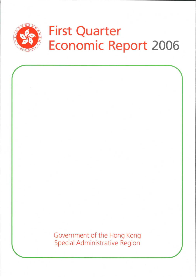

Government of the Hong Kong **Special Administrative Region**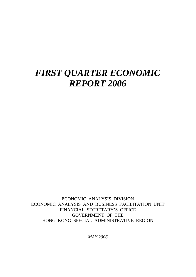# *FIRST QUARTER ECONOMIC REPORT 2006*

ECONOMIC ANALYSIS DIVISION ECONOMIC ANALYSIS AND BUSINESS FACILITATION UNIT FINANCIAL SECRETARY'S OFFICE GOVERNMENT OF THE HONG KONG SPECIAL ADMINISTRATIVE REGION

*MAY 2006*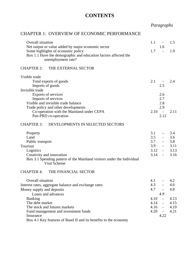## **CONTENTS**

# *Paragraphs*

#### CHAPTER 1: OVERVIEW OF ECONOMIC PERFORMANCE

| Overall situation                                                                             | 1.1<br>$\overline{\phantom{a}}$  | 1.5  |
|-----------------------------------------------------------------------------------------------|----------------------------------|------|
| Net output or value added by major economic sector                                            | 1.6                              |      |
| Some highlights of economic policy                                                            | 1.7<br>$\sim$                    | 1.9  |
| Box 1.1 Have the demographic and education factors affected the<br>unemployment rate?         |                                  |      |
| <b>CHAPTER 2:</b><br>THE EXTERNAL SECTOR                                                      |                                  |      |
| Visible trade                                                                                 |                                  |      |
| Total exports of goods                                                                        | 2.1                              | 2.4  |
| Imports of goods                                                                              | 2.5                              |      |
| Invisible trade                                                                               |                                  |      |
| Exports of services                                                                           | 2.6                              |      |
| Imports of services                                                                           | 2.7                              |      |
| Visible and invisible trade balance                                                           | 2.8                              |      |
| Trade policy and other developments                                                           | 2.9                              | 2.11 |
| Co-operation with the Mainland under CEPA<br>Pan-PRD co-operation                             | 2.10<br>$\sim$<br>2.12           |      |
|                                                                                               |                                  |      |
| <b>CHAPTER 3:</b><br>DEVELOPMENTS IN SELECTED SECTORS                                         |                                  |      |
| Property                                                                                      | 3.1<br>$\overline{\phantom{a}}$  | 3.4  |
| Land                                                                                          | 3.5                              | 3.6  |
| Public transport                                                                              | 3.7<br>$\sim 100$                | 3.8  |
| Tourism                                                                                       | 3.9                              | 3.11 |
| Logistics                                                                                     | 3.12                             | 3.13 |
| Creativity and innovation                                                                     | 3.14                             | 3.16 |
| Box 3.1 Spending pattern of the Mainland visitors under the Individual<br><b>Visit Scheme</b> |                                  |      |
| <b>CHAPTER 4:</b><br>THE FINANCIAL SECTOR                                                     |                                  |      |
| Overall situation                                                                             | 4.1                              | 4.2  |
| Interest rates, aggregate balance and exchange rates                                          | 4.3                              | 4.6  |
| Money supply and deposits                                                                     | 4.7<br>$\overline{\phantom{a}}$  | 4.8  |
| Loans and advances                                                                            | 4.9                              |      |
| <b>Banking</b>                                                                                | 4.10                             | 4.13 |
| The debt market                                                                               | 4.14<br>$\blacksquare$           | 4.15 |
| The stock and futures markets                                                                 | 4.16<br>$\overline{\phantom{a}}$ | 4.19 |
| Fund management and investment funds                                                          | 4.20<br>$\mathbf{r}$             | 4.21 |
| Insurance                                                                                     | 4.22                             |      |
| Box 4.1 Key features of Basel II and its benefits to the economy                              |                                  |      |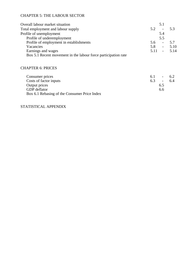#### CHAPTER 5: THE LABOUR SECTOR

| Overall labour market situation                                |      | 5.1                      |         |
|----------------------------------------------------------------|------|--------------------------|---------|
| Total employment and labour supply                             | 5.2  |                          | 5.3     |
| Profile of unemployment                                        |      | 5.4                      |         |
| Profile of underemployment                                     |      | 5.5                      |         |
| Profile of employment in establishments                        | 5.6  | $\overline{\phantom{a}}$ | 5.7     |
| Vacancies                                                      | 5.8  | $\overline{\phantom{a}}$ | 5.10    |
| Earnings and wages                                             | 5.11 |                          | $-5.14$ |
| Box 5.1 Recent movement in the labour force participation rate |      |                          |         |
|                                                                |      |                          |         |

#### CHAPTER 6: PRICES

| Consumer prices                              | 6.1 | $\sim 100$ km s $^{-1}$ | 62 |
|----------------------------------------------|-----|-------------------------|----|
| Costs of factor inputs                       | 6.3 | $\sim$                  | 64 |
| Output prices                                |     | 6.5                     |    |
| <b>GDP</b> deflator                          |     | 6.6                     |    |
| Box 6.1 Rebasing of the Consumer Price Index |     |                         |    |

#### STATISTICAL APPENDIX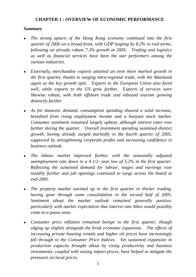## **CHAPTER 1 : OVERVIEW OF ECONOMIC PERFORMANCE**

#### *Summary*

- <sup>z</sup>*The strong upturn of the Hong Kong economy continued into the first quarter of 2006 on a broad front, with GDP leaping by 8.2% in real terms, following an already robust 7.3% growth in 2005. Trading and logistics as well as financial services have been the star performers among the various industries.*
- Externally, merchandise exports attained an even more marked growth in *the first quarter, thanks to surging intra-regional trade, with the Mainland again as the key growth spot. Exports to the European Union also fared well, while exports to the US grew further. Exports of services were likewise robust, with both offshore trade and inbound tourism growing distinctly further.*
- <sup>z</sup>*As for domestic demand, consumption spending showed a solid increase, benefited from rising employment income and a buoyant stock market. Consumer sentiment remained largely upbeat, although interest rates rose further during the quarter. Overall investment spending sustained distinct growth, having already surged markedly in the fourth quarter of 2005, supported by strengthening corporate profits and increasing confidence in business outlook.*
- The labour market improved further, with the seasonally adjusted *unemployment rate down to a 4 1/2- year low of 5.2% in the first quarter. Reflecting the sustained demand for labour, wages and earnings rose steadily further and job openings continued to surge across the board at end-2005.*
- *The property market warmed up in the first quarter in thicker trading, having gone through some consolidation in the second half of 2005. Sentiment about the market outlook remained generally positive, particularly with market expectation that interest rate hikes would possibly come to a pause soon.*
- <sup>z</sup>*Consumer price inflation remained benign in the first quarter, though edging up slightly alongside the brisk economic expansion. The effects of increasing private housing rentals and higher oil prices have increasingly fed through to the Consumer Price Indices. Yet sustained expansion in production capacity brought about by rising productivity and business investments, coupled with easing import prices, have helped to mitigate the pressures on local prices.*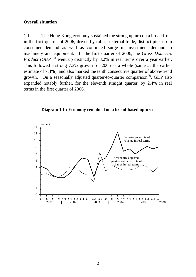#### **Overall situation**

1.1 The Hong Kong economy sustained the strong upturn on a broad front in the first quarter of 2006, driven by robust external trade, distinct pick-up in consumer demand as well as continued surge in investment demand in machinery and equipment. In the first quarter of 2006, the *Gross Domestic Product* (*GDP*)<sup>(1)</sup> went up distinctly by 8.2% in real terms over a year earlier. This followed a strong 7.3% growth for 2005 as a whole (same as the earlier estimate of 7.3%), and also marked the tenth consecutive quarter of above-trend growth. On a seasonally adjusted quarter-to-quarter comparison<sup>(2)</sup>, GDP also expanded notably further, for the eleventh straight quarter, by 2.4% in real terms in the first quarter of 2006.



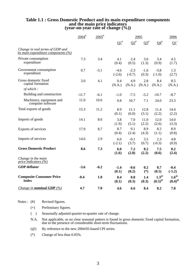## **Table 1.1 : Gross Domestic Product and its main expenditure components and the main price indicators (year-on-year rate of change (%))**

|                                                                               | $2004$ <sup>#</sup> | $2005$ <sup>#</sup> |                    |                           | 2005            |                                       | 2006                                |
|-------------------------------------------------------------------------------|---------------------|---------------------|--------------------|---------------------------|-----------------|---------------------------------------|-------------------------------------|
|                                                                               |                     |                     | $\Omega^*$         | $\mathbf{Q2}^{\text{\#}}$ | $Q3^{\#}$       | $Q4^{\text{#}}$                       | $\mathbf{Q1}^+$                     |
| Change in real terms of GDP and<br><i>its main expenditure components (%)</i> |                     |                     |                    |                           |                 |                                       |                                     |
| Private consumption<br>expenditure                                            | 7.3                 | 3.4                 | 4.1<br>(0.4)       | 2.4<br>(0.5)              | 3.6<br>(1.3)    | 3.4<br>(0.9)                          | 4.5<br>(1.7)                        |
| Government consumption<br>expenditure                                         | 0.7                 | $-3.1$              | $-4.6$<br>$(-2.6)$ | $-2.3$<br>$(-0.7)$        | $-1.6$<br>(0.3) | $-3.8$<br>$(-1.0)$                    | 1.3<br>(2.7)                        |
| Gross domestic fixed<br>capital formation                                     | 3.0                 | 4.1                 | 0.4<br>(N.A.)      | 4.9<br>(N.A.)             | 2.8<br>(N.A.)   | 8.4<br>(N.A.)                         | 8.5<br>(N.A.)                       |
| of which:                                                                     |                     |                     |                    |                           |                 |                                       |                                     |
| Building and construction                                                     | $-11.7$             | $-6.1$              | $-1.0$             | $-7.5$                    | $-5.2$          | $-10.7$                               | $-8.7$                              |
| Machinery, equipment and<br>computer software                                 | 11.0                | 10.6                | 0.8                | 10.7                      | 7.1             | 24.0                                  | 23.3                                |
| Total exports of goods                                                        | 15.3                | 11.2                | 8.9<br>(0.1)       | 11.1<br>(6.0)             | 12.8<br>(3.1)   | 11.4<br>(2.2)                         | 14.4<br>(2.2)                       |
| Imports of goods                                                              | 14.1                | 8.6                 | 3.8<br>(1.9)       | 7.0<br>(5.1)              | 11.0<br>(2.2)   | 12.0<br>(2.6)                         | 14.0<br>(3.3)                       |
| Exports of services                                                           | 17.9                | 8.7                 | 8.7<br>(0.4)       | 9.1<br>(2.4)              | 8.9<br>(4.3)    | 8.2<br>(1.1)                          | 8.9<br>(0.8)                        |
| Imports of services                                                           | 14.6                | 2.9                 | 6.0<br>$(-2.1)$    | $-0.1$<br>(3.7)           | 3.5<br>(0.7)    | 2.3<br>$(-0.3)$                       | 4.8<br>(0.9)                        |
| <b>Gross Domestic Product</b>                                                 | 8.6                 | 7.3                 | 6.0<br>(1.6)       | 7.2<br>(2.8)              | 8.2<br>(2.2)    | 7.5<br>(0.6)                          | 8.2<br>(2.4)                        |
| Change in the main<br>price indicators $(\%)$                                 |                     |                     |                    |                           |                 |                                       |                                     |
| <b>GDP</b> deflator                                                           | $-3.6$              | $-0.2$              | $-1.4$<br>(0.1)    | $-0.6$<br>(0.2)           | 0.2<br>$(*)$    | 0.7<br>(0.5)                          | $-0.4$<br>$(-1.2)$                  |
| <b>Composite Consumer Price</b><br><b>Index</b>                               | $-0.4$              | 1.0                 | 0.4<br>(0.1)       | 0.8<br>(0.3)              | 1.4<br>(0.3)    | $1.3^\circ$<br>$(0.5)^{\circledcirc}$ | $1.6^\circ$<br>$(0.4)$ <sup>@</sup> |
| <i>Change in nominal GDP</i> $(\%)$                                           | 4.7                 | 7.0                 | 4.6                | 6.6                       | 8.4             | 8.2                                   | 7.8                                 |

Notes : (#) Revised figures.

- (+) Preliminary figures.
- ( ) Seasonally adjusted quarter-to-quarter rate of change.
- N.A. Not applicable, as no clear seasonal pattern is found in gross domestic fixed capital formation, due to the presence of considerable short-term fluctuations.
- (@) By reference to the new 2004/05-based CPI series.
- (\*) Change of less than 0.05%.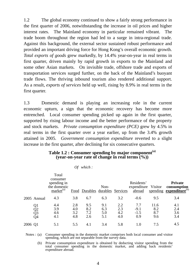1.2 The global economy continued to show a fairly strong performance in the first quarter of 2006, notwithstanding the increase in oil prices and higher interest rates. The Mainland economy in particular remained vibrant. The trade boom throughout the region had led to a surge in intra-regional trade. Against this background, the external sector sustained robust performance and provided an important driving force for Hong Kong's overall economic growth. *Total exports of goods* grew markedly, by 14.4% year-on-year in real terms in first quarter, driven mainly by rapid growth in exports to the Mainland and some other Asian markets. On invisible trade, offshore trade and exports of transportation services surged further, on the back of the Mainland's buoyant trade flows. The thriving inbound tourism also rendered additional support. As a result, *exports of services* held up well, rising by 8.9% in real terms in the first quarter.

1.3 Domestic demand is playing an increasing role in the current economic upturn, a sign that the economic recovery has become more entrenched. Local consumer spending picked up again in the first quarter, supported by rising labour income and the better performance of the property and stock markets. *Private consumption expenditure (PCE)* grew by 4.5% in real terms in the first quarter over a year earlier, up from the 3.4% growth attained in 2005. *Government consumption expenditure* reverted to a slight increase in the first quarter, after declining for six consecutive quarters.

#### **Table 1.2 : Consumer spending by major component(a) (year-on-year rate of change in real terms (%))**

| Оf | which: |  |
|----|--------|--|
|    |        |  |

|         |                      | Total<br>consumer<br>spending in<br>the domestic<br>market <sup>(a)</sup> |                          | Food Durables durables Services | Non-                     |                          | Residents'<br>expenditure<br>abroad | Visitor                   | <b>Private</b><br>consumption<br>spending expenditure <sup>(b)</sup> |
|---------|----------------------|---------------------------------------------------------------------------|--------------------------|---------------------------------|--------------------------|--------------------------|-------------------------------------|---------------------------|----------------------------------------------------------------------|
|         | 2005 Annual          | 4.3                                                                       | 3.8                      | 6.7                             | 6.3                      | 3.2                      | $-0.6$                              | 9.5                       | 3.4                                                                  |
|         | Q1<br>Q2<br>Q3<br>Q4 | 4.4<br>3.9<br>4.6<br>4.1                                                  | 2.8<br>4.0<br>3.2<br>4.8 | 9.5<br>8.2<br>7.2<br>2.6        | 9.1<br>6.3<br>5.0<br>5.1 | 2.2<br>2.3<br>4.2<br>4.0 | 7.7<br>$-9.1$<br>$-1.5$<br>0.9      | 11.6<br>8.2<br>8.7<br>9.6 | 4.1<br>2.4<br>3.6<br>3.4                                             |
| 2006 Q1 |                      | 5.1                                                                       | 5.5                      | 4.1                             | 3.4                      | 5.8                      | 1.0                                 | 7.5                       | 4.5                                                                  |

Notes : (a) Consumer spending in the domestic market comprises both local consumer and visitor spending, which are not separable from the survey data.

 (b) Private consumption expenditure is obtained by deducting visitor spending from the total consumer spending in the domestic market, and adding back residents' expenditure abroad.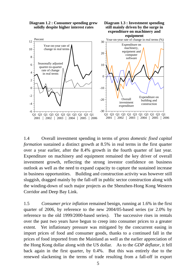

1.4 Overall investment spending in terms of *gross domestic fixed capital formation* sustained a distinct growth at 8.5% in real terms in the first quarter over a year earlier, after the 8.4% growth in the fourth quarter of last year. Expenditure on machinery and equipment remained the key driver of overall investment growth, reflecting the strong investor confidence on business outlook as well as the need to expand capacity to capture the sustained increase in business opportunities. Building and construction activity was however still sluggish, dragged mainly by the fall-off in public sector construction along with the winding-down of such major projects as the Shenzhen-Hong Kong Western Corridor and Deep Bay Link.

1.5 *Consumer price inflation* remained benign, running at 1.6% in the first quarter of 2006, by reference to the new 2004/05-based series (or 2.0% by reference to the old 1999/2000-based series). The successive rises in rentals over the past two years have begun to creep into consumer prices to a greater extent. Yet inflationary pressure was mitigated by the concurrent easing in import prices of food and consumer goods, thanks to a continued fall in the prices of food imported from the Mainland as well as the earlier appreciation of the Hong Kong dollar along with the US dollar. As to the *GDP deflator*, it fell back again in the first quarter, by 0.4%. But this was entirely due to the renewed slackening in the terms of trade resulting from a fall-off in export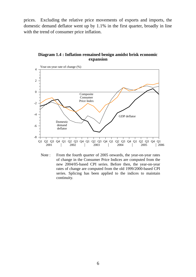prices. Excluding the relative price movements of exports and imports, the domestic demand deflator went up by 1.1% in the first quarter, broadly in line with the trend of consumer price inflation.

#### **Diagram 1.4 : Inflation remained benign amidst brisk economic expansion**



Note : From the fourth quarter of 2005 onwards, the year-on-year rates of change in the Consumer Price Indices are computed from the new 2004/05-based CPI series. Before then, the year-on-year rates of change are computed from the old 1999/2000-based CPI series. Splicing has been applied to the indices to maintain continuity.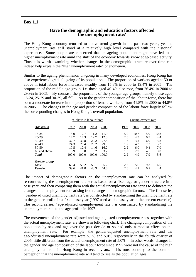## **Box 1.1**

#### **Have the demographic and education factors affected the unemployment rate?**

The Hong Kong economy returned to above trend growth in the past two years, yet the unemployment rate still stood at a relatively high level compared with the historical experience. Some people are concerned that an ageing population might have led to a higher unemployment rate amid the shift of the economy towards knowledge-based activity. Thus it is worth examining whether changes in the demographic structure over time can indeed help explain the "high unemployment rate" phenomenon.

Similar to the ageing phenomenon on-going in many developed economies, Hong Kong has also experienced gradual ageing of its population. The proportion of workers aged at 50 or above in total labour force increased steadily from 15.8% in 2000 to 19.4% in 2005. The proportion of the middle-age group, i.e. those aged 40-49, also rose, from 26.4% in 2000 to 29.9% in 2005. By contrast, the proportions of the younger age groups, namely those aged 15-24, 25-29 and 30-39, all fell. As to the gender composition of the labour-force, there has been a moderate increase in the proportion of female workers, from 41.8% in 2000 to 44.8% in 2005. The changes in the age and gender composition of the labour force largely follow the corresponding changes in Hong Kong's overall population,

|              |       | % share in labour force |       |       | Unemployment rate |      |      |      |  |
|--------------|-------|-------------------------|-------|-------|-------------------|------|------|------|--|
| Age group    | 1997  | 2000                    | 2003  | 2005  | 1997              | 2000 | 2003 | 2005 |  |
| 15-24        | 13.9  | 12.7                    | 11.2  | 11.0  | 5.0               | 10.7 | 15.0 | 10.8 |  |
| 25-29        | 14.7  | 14.3                    | 12.7  | 12.0  | 2.0               | 4.3  | 6.7  | 4.4  |  |
| 30-39        | 32.7  | 30.8                    | 29.2  | 27.8  | 1.6               | 3.2  | 6.0  | 3.8  |  |
| 40-49        | 24.3  | 26.4                    | 29.2  | 29.9  | 1.7               | 4.3  | 7.3  | 5.2  |  |
| 50-59        | 10.5  | 12.4                    | 14.6  | 16.2  | 2.2               | 6.0  | 9.4  | 7.0  |  |
| 60 and above | 3.9   | 3.8                     | 3.2   | 3.2   | 1.0               | 2.9  | 4.5  | 3.8  |  |
| <b>Total</b> | 100.0 | 100.0                   | 100.0 | 100.0 | 2.2               | 4.9  | 7.9  | 5.6  |  |
| Gender group |       |                         |       |       |                   |      |      |      |  |
| Male         | 60.4  | 58.2                    | 56.1  | 55.2  | 2.3               | 5.6  | 9.3  | 6.5  |  |
| Female       | 39.6  | 41.8                    | 43.9  | 44.8  | 2.0               | 4.1  | 6.2  | 4.4  |  |

The impact of demographic factors on the unemployment rate can be analysed by re-constructing the unemployment rate series based on a fixed age or gender structure in a base year, and then comparing them with the actual unemployment rate series to delineate the changes in unemployment rate arising from changes in demographic factors. The first series, "gender-adjusted unemployment rate", is constructed by standardising the unemployment rate to the gender profile in a fixed base year (1997 used as the base year in the present exercise). The second series, "age-adjusted unemployment rate", is constructed by standardising the unemployment rate to the age profile in 1997.

The movements of the gender-adjusted and age-adjusted unemployment rates, together with the actual unemployment rate, are shown in following chart. The changing composition of the population by sex and age over the past decade or so had only a modest effect on the unemployment rate. For example, the gender-adjusted unemployment rate and the age-adjusted unemployment rate were 5.1% and 5.0% respectively in the fourth quarter of 2005, little different from the actual unemployment rate of 5.0%. In other words, changes in the gender and age composition of the labour force since 1997 were not the cause of the high unemployment rate in Hong Kong in recent years. This runs contrary to the common perception that the unemployment rate will tend to rise as the population ages.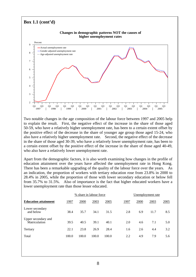

Two notable changes in the age composition of the labour force between 1997 and 2005 help to explain the result. First, the negative effect of the increase in the share of those aged 50-59, who have a relatively higher unemployment rate, has been to a certain extent offset by the positive effect of the decrease in the share of younger age group those aged 15-24, who also have a relatively higher unemployment rate. Second, the negative effect of the decrease in the share of those aged 30-39, who have a relatively lower unemployment rate, has been to a certain extent offset by the positive effect of the increase in the share of those aged 40-49, who also have a relatively lower unemployment rate.

Apart from the demographic factors, it is also worth examining how changes in the profile of education attainment over the years have affected the unemployment rate in Hong Kong. There has been a remarkable upgrading of the quality of the labour force over the years. As an indication, the proportion of workers with tertiary education rose from 23.8% in 2000 to 28.4% in 2005, while the proportion of those with lower secondary education or below fell from 35.7% to 31.5%. Also of importance is the fact that higher educated workers have a lower unemployment rate than those lesser educated.

|                                      |       |       | % share in labour force |       | Unemployment rate |      |      |             |  |
|--------------------------------------|-------|-------|-------------------------|-------|-------------------|------|------|-------------|--|
| <b>Education attainment</b>          | 1997  | 2000  | 2003                    | 2005  | 1997              | 2000 | 2003 | <u>2005</u> |  |
| Lower secondary<br>and below         | 38.4  | 35.7  | 34.1                    | 31.5  | 2.8               | 6.9  | 11.7 | 8.5         |  |
| Upper secondary and<br>Matriculation | 39.5  | 40.5  | 39.1                    | 40.1  | 2.0               | 4.6  | 7.1  | 5.0         |  |
| Tertiary                             | 22.1  | 23.8  | 26.9                    | 28.4  | 1.6               | 2.6  | 4.4  | 3.2         |  |
| Total                                | 100.0 | 100.0 | 100.0                   | 100.0 | 2.2               | 4.9  | 7.9  | 5.6         |  |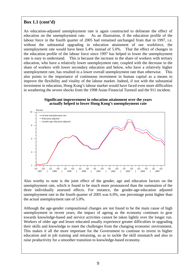## **Box 1.1 (cont'd)**

An education-adjusted unemployment rate is again constructed to delineate the effect of education on the unemployment rate. As an illustration, if the education profile of the labour force in the fourth quarter of 2005 had remained unchanged from that in 1997, i.e. without the substantial upgrading in education attainment of our workforce, the unemployment rate would have been 5.4% instead of 5.0%. That the effect of changes in the education profile of the labour force since 1997 has helped to lower the unemployment rate is easy to understand. This is because the increase in the share of workers with tertiary education, who have a relatively lower unemployment rate, coupled with the decrease in the share of workers with lower secondary education and below, who have a relatively higher unemployment rate, has resulted in a lower overall unemployment rate than otherwise. This also points to the importance of continuous investment in human capital as a means to improve the flexibility and vitality of the labour market. Indeed, if not with the substantial investment in education, Hong Kong's labour market would have faced even more difficulties in weathering the severe shocks from the 1998 Asian Financial Turmoil and the 911 incident.





Also worthy to note is the joint effect of the gender, age and education factors on the unemployment rate, which is found to be much more pronounced than the summation of the three individually assessed effects. For instance, the gender-age-education adjusted unemployment rate in the fourth quarter of 2005 was 6.0%, one percentage point higher than the actual unemployment rate of 5.0%.

Although the age-gender compositional changes are not found to be the main cause of high unemployment in recent years, the impact of ageing as the economy continues to gear towards knowledge-based and service activities cannot be taken lightly over the longer run. Workers of older age and lesser educated usually experience greater difficulties in upgrading their skills and knowledge to meet the challenges from the changing economic environment. This makes it all the more important for the Government to continue to invest in higher education and in job training and retraining, so as to tackle the skill mismatch and also to raise productivity for a smoother transition to knowledge-based economy.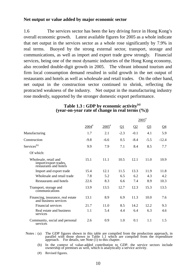#### **Net output or value added by major economic sector**

1.6 The services sector has been the key driving force in Hong Kong's overall economic growth. Latest available figures for 2005 as a whole indicate that net output in the services sector as a whole rose significantly by 7.9% in real terms. Buoyed by the strong external sector, transport, storage and communications, as well as import and export trade grew strongly. Financial services, being one of the most dynamic industries of the Hong Kong economy, also recorded double-digit growth in 2005. The vibrant inbound tourism and firm local consumption demand resulted in solid growth in the net output of restaurants and hotels as well as wholesale and retail trades. On the other hand, net output in the construction sector continued to shrink, reflecting the protracted weakness of the industry. Net output in the manufacturing industry rose modestly, supported by the stronger domestic export performance.

|                                                                          |                     |                     |        |          | $2005$ <sup>#</sup>   |           |
|--------------------------------------------------------------------------|---------------------|---------------------|--------|----------|-----------------------|-----------|
|                                                                          | $2004$ <sup>#</sup> | $2005$ <sup>#</sup> | Q1     | $\Omega$ | $\Omega$ <sup>3</sup> | <u>Q4</u> |
| Manufacturing                                                            | 1.7                 | 2.1                 | $-2.3$ | $-0.1$   | 4.1                   | 5.9       |
| Construction                                                             | $-9.8$              | $-6.6$              | 0.5    | $-8.4$   | $-5.5$                | $-12.4$   |
| Services <sup>(b)</sup>                                                  | 9.9                 | 7.9                 | 7.1    | 8.4      | 8.5                   | 7.7       |
| Of which:                                                                |                     |                     |        |          |                       |           |
| Wholesale, retail and<br>import/export trades,<br>restaurants and hotels | 15.1                | 11.1                | 10.5   | 12.1     | 11.0                  | 10.9      |
| Import and export trade                                                  | 15.4                | 12.1                | 11.5   | 13.3     | 11.9                  | 11.8      |
| Wholesale and retail trade                                               | 7.8                 | 5.2                 | 6.5    | 6.2      | 4.3                   | 4.2       |
| Restaurants and hotels                                                   | 22.6                | 8.3                 | 6.6    | 7.4      | 8.9                   | 10.3      |
| Transport, storage and<br>communications                                 | 13.9                | 13.5                | 12.7   | 12.3     | 15.3                  | 13.5      |
| Financing, insurance, real estate<br>and business services               | 13.1                | 8.9                 | 6.9    | 11.3     | 10.0                  | 7.6       |
| Financial services                                                       | 21.7                | 11.0                | 8.5    | 14.2     | 12.2                  | 9.3       |
| Real estate and business<br>services                                     | 1.1                 | 5.4                 | 4.4    | 6.4      | 6.3                   | 4.6       |
| Community, social and personal<br>services                               | 2.6                 | 0.9                 | 1.0    | 0.1      | 1.1                   | 1.5       |

#### **Table 1.3 : GDP by economic activity(a) (year-on-year rate of change in real terms (%))**

Notes: (a) The GDP figures shown in this table are compiled from the production approach, in parallel with those shown in Table 1.1 which are compiled from the expenditure approach. For details, see Note (1) to this chapte

 (b) In the context of value-added contribution to GDP, the service sectors include ownership of premises as well, which is analytically a service activity.

(#) Revised figures.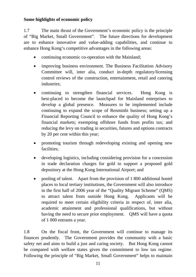## **Some highlights of economic policy**

1.7 The main thrust of the Government's economic policy is the principle of "Big Market, Small Government". The future directions for development are to enhance innovative and value-adding capabilities, and continue to enhance Hong Kong's competitive advantages in the following areas:

- continuing economic co-operation with the Mainland;
- improving business environment. The Business Facilitation Advisory Committee will, inter alia, conduct in-depth regulatory/licensing control reviews of the construction, entertainment, retail and catering industries;
- continuing to strengthen financial services. Hong Kong is best-placed to become the launchpad for Mainland enterprises to develop a global presence. Measures to be implemented include continuing to expand the scope of Renminbi business; setting up a Financial Reporting Council to enhance the quality of Hong Kong's financial markets; exempting offshore funds from profits tax; and reducing the levy on trading in securities, futures and options contracts by 20 per cent within this year;
- promoting tourism through redeveloping existing and opening new facilities;
- developing logistics, including considering provision for a concession in trade declaration charges for gold to support a proposed gold depository at the Hong Kong International Airport; and
- pooling of talent. Apart from the provision of 1 800 additional hostel places to local tertiary institutions, the Government will also introduce in the first half of 2006 year of the "Quality Migrant Scheme" (QMS) to attract talent from outside Hong Kong. Applicants will be required to meet certain eligibility criteria in respect of, inter alia, academic attainment and professional qualifications, but without having the need to secure prior employment. QMS will have a quota of 1 000 entrants a year.

1.8 On the fiscal front, the Government will continue to manage its finances prudently. The Government provides the community with a basic safety net and aims to build a just and caring society. But Hong Kong cannot be compared with welfare states given the commitment to low tax regime. Following the principle of "Big Market, Small Government" helps to maintain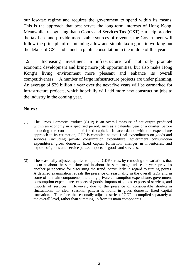our low-tax regime and requires the government to spend within its means. This is the approach that best serves the long-term interests of Hong Kong. Meanwhile, recognising that a Goods and Services Tax (GST) can help broaden the tax base and provide more stable sources of revenue, the Government will follow the principle of maintaining a low and simple tax regime in working out the details of GST and launch a public consultation in the middle of this year.

1.9 Increasing investment in infrastructure will not only promote economic development and bring more job opportunities, but also make Hong Kong's living environment more pleasant and enhance its overall competitiveness. A number of large infrastructure projects are under planning. An average of \$29 billion a year over the next five years will be earmarked for infrastructure projects, which hopefully will add more new construction jobs to the industry in the coming year.

## **Notes :**

- (1) The Gross Domestic Product (GDP) is an overall measure of net output produced within an economy in a specified period, such as a calendar year or a quarter, before deducting the consumption of fixed capital. In accordance with the expenditure approach to its estimation, GDP is compiled as total final expenditures on goods and services (including private consumption expenditure, government consumption expenditure, gross domestic fixed capital formation, changes in inventories, and exports of goods and services), less imports of goods and services.
- (2) The seasonally adjusted quarter-to-quarter GDP series, by removing the variations that occur at about the same time and in about the same magnitude each year, provides another perspective for discerning the trend, particularly in regard to turning points. A detailed examination reveals the presence of seasonality in the overall GDP and in some of its main components, including private consumption expenditure, government consumption expenditure, exports of goods, imports of goods, exports of services, and imports of services. However, due to the presence of considerable short-term fluctuations, no clear seasonal pattern is found in gross domestic fixed capital formation. Therefore, the seasonally adjusted series of GDP is compiled separately at the overall level, rather than summing up from its main components.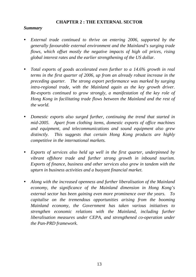#### **CHAPTER 2 : THE EXTERNAL SECTOR**

#### *Summary*

- *External trade continued to thrive on entering 2006, supported by the generally favourable external environment and the Mainland's surging trade flows, which offset mostly the negative impacts of high oil prices, rising global interest rates and the earlier strengthening of the US dollar.*
- *Total exports of goods accelerated even further to a 14.6% growth in real terms in the first quarter of 2006, up from an already robust increase in the preceding quarter. The strong export performance was marked by surging intra-regional trade, with the Mainland again as the key growth driver. Re-exports continued to grow strongly, a manifestation of the key role of Hong Kong in facilitating trade flows between the Mainland and the rest of the world.*
- Domestic exports also surged further, continuing the trend that started in *mid-2005. Apart from clothing items, domestic exports of office machines and equipment, and telecommunications and sound equipment also grew distinctly. This suggests that certain Hong Kong products are highly competitive in the international markets.*
- *Exports of services also held up well in the first quarter, underpinned by vibrant offshore trade and further strong growth in inbound tourism. Exports of finance, business and other services also grew in tandem with the upturn in business activities and a buoyant financial market.*
- y *Along with the increased openness and further liberalisation of the Mainland economy, the significance of the Mainland dimension in Hong Kong's external sector has been gaining even more prominence over the years. To capitalise on the tremendous opportunities arising from the booming Mainland economy, the Government has taken various initiatives to strengthen economic relations with the Mainland, including further liberalisation measures under CEPA, and strengthened co-operation under the Pan-PRD framework.*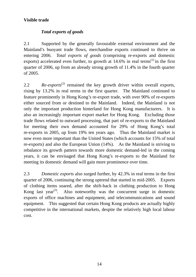## **Visible trade**

## *Total exports of goods*

2.1 Supported by the generally favourable external environment and the Mainland's buoyant trade flows, merchandise exports continued to thrive on entering 2006. *Total exports of goods* (comprising re-exports and domestic exports) accelerated even further, to growth at  $14.6\%$  in real terms<sup>(1)</sup> in the first quarter of 2006, up from an already strong growth of 11.4% in the fourth quarter of 2005.

2.2 *Re-exports*<sup>(2)</sup> remained the key growth driver within overall exports, rising by 13.2% in real terms in the first quarter. The Mainland continued to feature prominently in Hong Kong's re-export trade, with over 90% of re-exports either sourced from or destined to the Mainland. Indeed, the Mainland is not only the important production hinterland for Hong Kong manufacturers. It is also an increasingly important export market for Hong Kong. Excluding those trade flows related to outward processing, that part of re-exports to the Mainland for meeting their own demand accounted for 29% of Hong Kong's total re-exports in 2005, up from 19% ten years ago. Thus the Mainland market is now even more important than the United States (which accounts for 15% of total re-exports) and also the European Union (14%). As the Mainland is striving to rebalance its growth pattern towards more domestic demand-led in the coming years, it can be envisaged that Hong Kong's re-exports to the Mainland for meeting its domestic demand will gain more prominence over time.

2.3 *Domestic exports* also surged further, by 42.3% in real terms in the first quarter of 2006, continuing the strong uptrend that started in mid-2005. Exports of clothing items soared, after the shift-back in clothing production to Hong Kong last year<sup>(3)</sup>. Also noteworthy was the concurrent surge in domestic exports of office machines and equipment, and telecommunications and sound equipment. This suggested that certain Hong Kong products are actually highly competitive in the international markets, despite the relatively high local labour cost.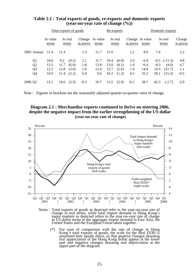|         |                      |                   |              | Total exports of goods |                     |                   | Re-exports   |                  |                              |                  | Domestic exports |                           |                     |
|---------|----------------------|-------------------|--------------|------------------------|---------------------|-------------------|--------------|------------------|------------------------------|------------------|------------------|---------------------------|---------------------|
|         |                      | In value<br>terms |              | In real<br>terms       | Change<br>in prices | In value<br>terms |              | In real<br>terms | Change In value<br>in prices | terms            |                  | In real<br>terms          | Change<br>in prices |
|         | 2005 Annual          | -11.4             | 11.4         |                        | 1.3                 | 11.7              | 11.6         |                  | 1.2                          | 8.0              | 7.6              |                           | 2.2                 |
|         | Q1<br>Q2             | 10.6<br>12.5      | 9.2<br>11.7  | (0.2)<br>(6.0)         | 2.1<br>1.8          | 11.7<br>13.8      | 10.4<br>13.0 | (0.9)<br>(6.1)   | 2.0<br>1.6                   | $-6.9$<br>$-6.4$ | $-8.3$           | $-9.5$ $(-11.3)$<br>(4.0) | 4.8<br>4.7          |
|         | Q <sub>3</sub><br>Q4 | 12.5<br>10.0      | 12.8<br>11.4 | (3.0)<br>(2.2)         | 1.0<br>0.4          | 12.4<br>9.0       | 12.7<br>10.3 | (2.0)<br>(1.3)   | 1.0<br>0.5                   | 14.0<br>25.2     | 14.3<br>28.1     | (21.7)<br>(15.3)          | 1.1<br>$-0.5$       |
| 2006 Q1 |                      | 12.1              | 14.6         | (2.5)                  | $-0.3$              | 10.7              | 13.2         | (2.9)            | $-0.2$                       | 38.7             | 42.3             | $(-2.7)$                  | $-2.9$              |

#### **Table 2.1 : Total exports of goods, re-exports and domestic exports (year-on-year rate of change (%))**

Note : Figures in brackets are the seasonally adjusted quarter-to-quarter rates of change.

#### **Diagram 2.1 : Merchandise exports continued to thrive on entering 2006, despite the negative impact from the earlier strengthening of the US dollar (year-on-year rate of change)**



Notes : Total exports of goods as depicted refer to the year-on-year rate of change in real terms, while total import demand in Hong Kong's major markets as depicted refers to the year-on-year rate of change in US dollar t United States and the European Union taken together.

 (\*) For ease of comparison with the rate of change in Hong Kong's total exports of goods, the scale for the Real EERI is presented here upside down, so that positive changes denoting part and negative changes denoting real depreciation at the upper part of the diagram.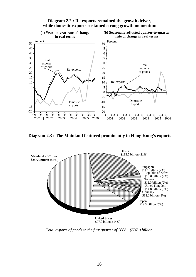

**Diagram 2.2 : Re-exports remained the growth driver, while domestic exports sustained strong growth momentum**

**Diagram 2.3 : The Mainland featured prominently in Hong Kong's exports**



*Total exports of goods in the first quarter of 2006 : \$537.0 billion*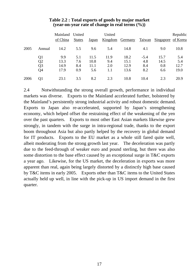|      |                | Mainland United<br>of China | <b>States</b> | Japan | United<br>Kingdom | <b>Germany</b> | Taiwan | Singapore of Korea | Republic |
|------|----------------|-----------------------------|---------------|-------|-------------------|----------------|--------|--------------------|----------|
| 2005 | Annual         | 14.2                        | 5.5           | 9.6   | 5.4               | 14.8           | 4.1    | 9.0                | 10.8     |
|      | Q1             | 9.9                         | 5.1           | 11.5  | 11.9              | 18.2           | $-5.4$ | 15.7               | 5.4      |
|      | Q <sub>2</sub> | 13.3                        | 7.6           | 10.8  | 9.4               | 15.1           | 4.8    | 14.5               | 5.4      |
|      | Q3             | 14.9                        | 8.4           | 11.1  | 2.0               | 12.9           | 8.4    | 0.8                | 12.7     |
|      | Q4             | 17.9                        | 0.9           | 5.6   | 1.1               | 13.6           | 8.2    | 6.6                | 19.0     |
| 2006 | Q1             | 23.1                        | 3.5           | 8.2   | 2.3               | 10.8           | 10.4   | 2.3                | 20.9     |

#### **Table 2.2 : Total exports of goods by major market (year-on-year rate of change in real terms (%))**

2.4 Notwithstanding the strong overall growth, performance in individual markets was diverse. Exports to the Mainland accelerated further, bolstered by the Mainland's persistently strong industrial activity and robust domestic demand. Exports to Japan also re-accelerated, supported by Japan's strengthening economy, which helped offset the restraining effect of the weakening of the yen over the past quarters. Exports to most other East Asian markets likewise grew strongly, in tandem with the surge in intra-regional trade, thanks to the export boom throughout Asia but also partly helped by the recovery in global demand for IT products. Exports to the EU market as a whole still fared quite well, albeit moderating from the strong growth last year. The deceleration was partly due to the feed-through of weaker euro and pound sterling, but there was also some distortion to the base effect caused by an exceptional surge in T&C exports a year ago. Likewise, for the US market, the deceleration in exports was more apparent than real, again being largely distorted by a distinctly high base caused by T&C items in early 2005. Exports other than T&C items to the United States actually held up well, in line with the pick-up in US import demand in the first quarter.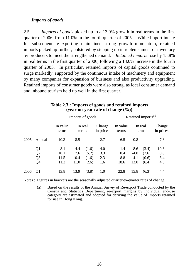### *Imports of goods*

2.5 *Imports of goods* picked up to a 13.9% growth in real terms in the first quarter of 2006, from 11.0% in the fourth quarter of 2005. While import intake for subsequent re-exporting maintained strong growth momentum, retained imports picked up further, bolstered by stepping up in replenishment of inventory by producers to meet the strengthened demand. *Retained imports* rose by 15.8% in real terms in the first quarter of 2006, following a 13.0% increase in the fourth quarter of 2005. In particular, retained imports of capital goods continued to surge markedly, supported by the continuous intake of machinery and equipment by many companies for expansion of business and also productivity upgrading. Retained imports of consumer goods were also strong, as local consumer demand and inbound tourism held up well in the first quarter.

|      |                |                   | Imports of goods |                  |                     | Retained imports <sup>(a)</sup> |        |                  |                     |  |
|------|----------------|-------------------|------------------|------------------|---------------------|---------------------------------|--------|------------------|---------------------|--|
|      |                | In value<br>terms |                  | In real<br>terms | Change<br>in prices | In value<br>terms               |        | In real<br>terms | Change<br>in prices |  |
| 2005 | Annual         | 10.3              | 8.5              |                  | 2.7                 | 6.5                             | 0.8    |                  | 7.6                 |  |
|      | Q <sub>1</sub> | 8.1               | 4.4              | (1.6)            | 4.0                 | $-1.4$                          | $-8.6$ | (3.4)            | 10.3                |  |
|      | Q <sub>2</sub> | 10.1              | 7.6              | (5.2)            | 3.3                 | 0.4                             | $-4.8$ | (2.6)            | 8.8                 |  |
|      | Q <sub>3</sub> | 11.5              | 10.4             | (1.6)            | 2.3                 | 8.8                             | 4.1    | (0.6)            | 6.4                 |  |
|      | Q <sub>4</sub> | 11.3              | 11.0             | (2.6)            | 1.6                 | 18.6                            | 13.0   | (6.4)            | 4.5                 |  |
| 2006 | Q <sub>1</sub> | 13.8              | 13.9             | (3.8)            | 1.0                 | 22.8                            | 15.8   | (6.3)            | 4.4                 |  |

#### **Table 2.3 : Imports of goods and retained imports (year-on-year rate of change (%))**

Notes : Figures in brackets are the seasonally adjusted quarter-to-quarter rates of change.

 (a) Based on the results of the Annual Survey of Re-export Trade conducted by the Census and Statistics Department, re-export margins by individual end-use category are estimated and adopted for deriving the value of imports retained for use in Hong Kong.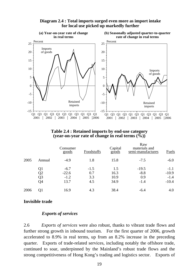

#### **Diagram 2.4 : Total imports surged even more as import intake for local use picked up markedly further**

| Table 2.4 : Retained imports by end-use category    |  |  |
|-----------------------------------------------------|--|--|
| (year-on-year rate of change in real terms $(\%)$ ) |  |  |

|      |                | Consumer<br>goods | Foodstuffs | Capital<br>$\overline{goods}$ | Raw<br>materials and<br>semi-manufactures | Fuels   |
|------|----------------|-------------------|------------|-------------------------------|-------------------------------------------|---------|
| 2005 | Annual         | $-4.9$            | 1.8        | 15.8                          | $-7.5$                                    | $-6.0$  |
|      | Q1             | $-6.7$            | $-1.5$     | 1.5                           | $-19.5$                                   | $-1.1$  |
|      | Q <sub>2</sub> | $-22.6$           | 0.7        | 16.3                          | $-8.8$                                    | $-10.9$ |
|      | Q <sub>3</sub> | $-1.2$            | 3.3        | 10.9                          | 0.9                                       | $-1.4$  |
|      | Q4             | 13.7              | 4.5        | 34.9                          | $-1.4$                                    | $-10.4$ |
| 2006 | Q <sub>1</sub> | 16.9              | 4.3        | 38.4                          | $-6.4$                                    | 4.0     |

#### **Invisible trade**

### *Exports of services*

2.6 *Exports of services* were also robust, thanks to vibrant trade flows and further strong growth in inbound tourism. For the first quarter of 2006, growth accelerated to 8.9% in real terms, up from an 8.2% increase in the preceding quarter. Exports of trade-related services, including notably the offshore trade, continued to soar, underpinned by the Mainland's robust trade flows and the strong competitiveness of Hong Kong's trading and logistics sector. Exports of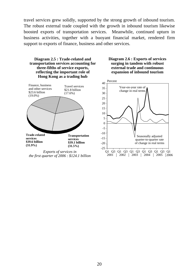travel services grew solidly, supported by the strong growth of inbound tourism. The robust external trade coupled with the growth in inbound tourism likewise boosted exports of transportation services. Meanwhile, continued upturn in business activities, together with a buoyant financial market, rendered firm support to exports of finance, business and other services.



*the first quarter of 2006 : \$124.1 billion*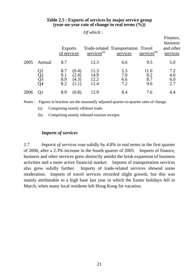|      |                      | <b>Exports</b><br>of services                       | services <sup>(a)</sup>      | Trade-related Transportation Travel<br>services | services $(b)$            | Finance,<br>business<br>and other<br>services |
|------|----------------------|-----------------------------------------------------|------------------------------|-------------------------------------------------|---------------------------|-----------------------------------------------|
| 2005 | Annual               | 8.7                                                 | 12.3                         | 6.6                                             | 9.5                       | 5.0                                           |
|      | Q1<br>Q2<br>Q3<br>Q4 | 8.7<br>(0.4)<br>9.1<br>(2.4)<br>(4.3)<br>8.9<br>8.2 | 11.3<br>14.9<br>12.2<br>11.4 | 5.3<br>7.0<br>6.6<br>7.2                        | 11.6<br>8.2<br>8.7<br>9.6 | 7.2<br>4.0<br>6.0<br>2.7                      |
| 2006 |                      | (0.8)<br>8.9                                        | 12.9                         | 8.4                                             | 7.6                       | 4.4                                           |

#### **Table 2.5 : Exports of services by major service group (year-on-year rate of change in real terms (%))**

*Of which :*

Notes : Figures in brackets are the seasonally adjusted quarter-to-quarter rates of change.

(a) Comprising mainly offshore trade.

(b) Comprising mainly inbound tourism receipts.

#### *Imports of services*

2.7 *Imports of services* rose solidly by 4.8% in real terms in the first quarter of 2006, after a 2.3% increase in the fourth quarter of 2005. Imports of finance, business and other services grew distinctly amidst the brisk expansion of business activities and a more active financial market. Imports of transportation services also grew solidly further. Imports of trade-related services showed some moderation. Imports of travel services recorded slight growth, but this was mainly attributable to a high base last year in which the Easter holidays fell in March, when many local residents left Hong Kong for vacation.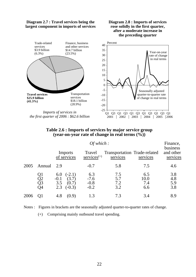

*the first quarter of 2006 : \$62.6 billion*

#### **Table 2.6 : Imports of services by major service group (year-on-year rate of change in real terms (%))**

2001 2002 2003 2004 2005 2006 2006

|      | Of which:            |                                                                       |                                   |                                          |                           | Finance,                          |  |
|------|----------------------|-----------------------------------------------------------------------|-----------------------------------|------------------------------------------|---------------------------|-----------------------------------|--|
|      |                      | Imports<br>of services                                                | Travel<br>$s$ ervices $(+)$       | Transportation Trade-related<br>services | services                  | business<br>and other<br>services |  |
| 2005 | Annual               | 2.9                                                                   | $-0.7$                            | 5.8                                      | 7.5                       | 4.6                               |  |
|      | Ql<br>Q2<br>Q3<br>Q4 | $(-2.1)$<br>6.0<br>(3.7)<br>$-0.1$<br>(0.7)<br>3.5<br>2.3<br>$(-0.3)$ | 6.3<br>$-7.6$<br>$-0.8$<br>$-0.2$ | 7.5<br>5.7<br>7.2<br>3.2                 | 6.5<br>10.0<br>7.4<br>6.6 | 3.8<br>4.8<br>5.9<br>3.8          |  |
| 2006 |                      | 4.8<br>(0.9)                                                          | 1.3                               | 7.3                                      | 3.4                       | 8.9                               |  |

Notes : Figures in brackets are the seasonally adjusted quarter-to-quarter rates of change.

(+) Comprising mainly outbound travel spending.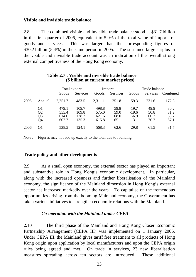## **Visible and invisible trade balance**

2.8 The combined visible and invisible trade balance stood at \$31.7 billion in the first quarter of 2006, equivalent to 5.0% of the total value of imports of goods and services. This was larger than the corresponding figures of \$30.2 billion (5.4%) in the same period in 2005. The sustained large surplus in the visible and invisible trade account was an indication of the overall strong external competitiveness of the Hong Kong economy.

|      |                      | Total exports                    |                                  | <b>Imports</b>                   |                              | Trade balance                           |                              |                              |
|------|----------------------|----------------------------------|----------------------------------|----------------------------------|------------------------------|-----------------------------------------|------------------------------|------------------------------|
|      |                      | Goods                            | Services                         | Goods                            | <b>Services</b>              | Goods                                   | Services                     | Combined                     |
| 2005 | Annual               | 2,251.7                          | 483.5                            | 2,311.1                          | 251.8                        | $-59.3$                                 | 231.6                        | 172.3                        |
|      | Q1<br>Q2<br>Q3<br>Q4 | 479.1<br>555.4<br>614.6<br>602.7 | 109.7<br>109.8<br>128.7<br>135.3 | 498.8<br>575.0<br>621.6<br>615.8 | 59.8<br>59.0<br>68.0<br>65.1 | $-19.7$<br>$-19.6$<br>$-6.9$<br>$-13.1$ | 49.9<br>50.8<br>60.7<br>70.2 | 30.2<br>31.2<br>53.7<br>57.1 |
| 2006 | 01                   | 538.5                            | 124.1                            | 568.3                            | 62.6                         | $-29.8$                                 | 61.5                         | 31.7                         |

#### **Table 2.7 : Visible and invisible trade balance (\$ billion at current market prices)**

Note : Figures may not add up exactly to the total due to rounding.

#### **Trade policy and other developments**

2.9 As a small open economy, the external sector has played an important and substantive role in Hong Kong's economic development. In particular, along with the increased openness and further liberalisation of the Mainland economy, the significance of the Mainland dimension in Hong Kong's external sector has increased markedly over the years. To capitalise on the tremendous opportunities arising from the booming Mainland economy, the Government has taken various initiatives to strengthen economic relations with the Mainland.

#### *Co-operation with the Mainland under CEPA*

2.10 The third phase of the Mainland and Hong Kong Closer Economic Partnership Arrangement (CEPA III) was implemented on 1 January 2006. Under CEPA III, the Mainland gives tariff free treatment to all products of Hong Kong origin upon application by local manufacturers and upon the CEPA origin rules being agreed and met. On trade in services, 23 new liberalisation measures spreading across ten sectors are introduced. These additional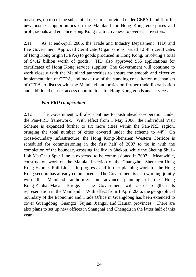measures, on top of the substantial measures provided under CEPA I and II, offer new business opportunities on the Mainland for Hong Kong enterprises and professionals and enhance Hong Kong's attractiveness to overseas investors.

2.11 As at end-April 2006, the Trade and Industry Department (TID) and five Government Approved Certificate Organisations issued 12 485 certificates of Hong Kong origin (CEPA) to goods produced in Hong Kong, involving a total of \$4.42 billion worth of goods. TID also approved 955 applications for certificates of Hong Kong service supplier. The Government will continue to work closely with the Mainland authorities to ensure the smooth and effective implementation of CEPA, and make use of the standing consultation mechanism of CEPA to discuss with the Mainland authorities on further trade liberalisation and additional market access opportunities for Hong Kong goods and services.

## *Pan-PRD co-operation*

2.12 The Government will also continue to push ahead co-operation under the Pan-PRD framework. With effect from 1 May 2006, the Individual Visit Scheme is expanded further to six more cities within the Pan-PRD region, bringing the total number of cities covered under the scheme to  $44<sup>(4)</sup>$ . On cross-boundary infrastructure, the Hong Kong-Shenzhen Western Corridor is scheduled for commissioning in the first half of 2007 to tie in with the completion of the boundary-crossing facility in Shekou, while the Sheung Shui - Lok Ma Chau Spur Line is expected to be commissioned in 2007. Meanwhile, construction work on the Mainland section of the Guangzhou-Shenzhen-Hong Kong Express Rail Link is in progress, and further planning work for the Hong Kong section has already commenced. The Government is also working jointly with the Mainland authorities on advance planning of the Hong Kong-Zhuhai-Macau Bridge. The Government will also strengthen its representation in the Mainland. With effect from 1 April 2006, the geographical boundary of the Economic and Trade Office in Guangdong has been extended to cover Guangdong, Guangxi, Fujian, Jiangxi and Hainan provinces. There are also plans to set up new offices in Shanghai and Chengdu in the latter half of this year.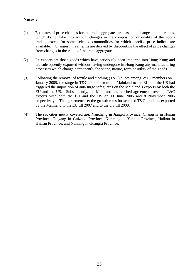#### **Notes :**

- (1) Estimates of price changes for the trade aggregates are based on changes in unit values, which do not take into account changes in the composition or quality of the goods traded, except for some selected commodities for which specific price indices are available. Changes in real terms are derived by discounting the effect of price changes from changes in the value of the trade aggregates.
- (2) Re-exports are those goods which have previously been imported into Hong Kong and are subsequently exported without having undergone in Hong Kong any manufacturing processes which change permanently the shape, nature, form or utility of the goods.
- (3) Following the removal of textile and clothing (T&C) quota among WTO members on 1 January 2005, the surge in T&C exports from the Mainland to the EU and the US had triggered the imposition of anti-surge safeguards on the Mainland's exports by both the EU and the US. Subsequently, the Mainland has reached agreements over its T&C exports with both the EU and the US on 11 June 2005 and 8 November 2005 respectively. The agreements set the growth rates for selected T&C products exported by the Mainland to the EU till 2007 and to the US till 2008.
- (4) The six cities newly covered are: Nanchang in Jiangxi Province, Changsha in Hunan Province, Guiyang in Guizhou Province, Kunming in Yunnan Province, Haikou in Hainan Province, and Nanning in Guangxi Province.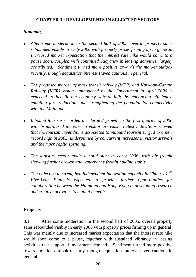## **CHAPTER 3 : DEVELOPMENTS IN SELECTED SECTORS**

## *Summary*

- After some moderation in the second half of 2005, overall property sales *rebounded visibly in early 2006 with property prices firming up in general. Increased market expectation that the interest rate hike would come to a pause soon, coupled with continued buoyancy in leasing activities, largely contributed. Sentiment turned more positive towards the market outlook recently, though acquisition interest stayed cautious in general.*
- The proposed merger of mass transit railway (MTR) and *Kowloon-Canton Railway (KCR) systems announced by the Government in April 2006 is expected to benefit the economy substantially by enhancing efficiency, enabling fare reduction, and strengthening the potential for connectivity with the Mainland.*
- Inbound tourism recorded accelerated growth in the first quarter of 2006 *with broad-based increase in visitor arrivals. Latest indications showed that the tourism expenditure associated to inbound tourism surged to a new record high in 2005, underpinned by concurrent increases in visitor arrivals and their per capita spending.*
- The logistics sector made a solid start in early 2006, with air freight *showing further growth and waterborne freight holding stable.*
- The objective to strengthen independent innovation capacity in China's  $11<sup>th</sup>$ *Five-Year Plan is expected to provide further opportunities for collaboration between the Mainland and Hong Kong in developing research and creative activities to mutual benefits.*

## **Property**

3.1 After some moderation in the second half of 2005, overall property sales rebounded visibly in early 2006 with property prices firming up in general. This was mainly due to increased market expectation that the interest rate hike would soon come to a pause, together with sustained vibrancy in leasing activities that supported investment demand. Sentiment turned more positive towards market outlook recently, though acquisition interest stayed cautious in general.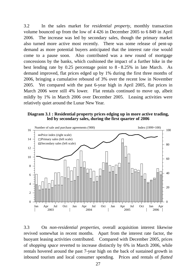3.2 In the sales market for *residential property*, monthly transaction volume bounced up from the low of 4 426 in December 2005 to 6 849 in April 2006. The increase was led by secondary sales, though the primary market also turned more active most recently. There was some release of pent-up demand as more potential buyers anticipated that the interest rate rise would come to a pause soon. Also contributed was a new round of mortgage concessions by the banks, which cushioned the impact of a further hike in the best lending rate by 0.25 percentage point to 8 - 8.25% in late March. As demand improved, flat prices edged up by 1% during the first three months of 2006, bringing a cumulative rebound of 3% over the recent low in November 2005. Yet compared with the past 6-year high in April 2005, flat prices in March 2006 were still 4% lower. Flat rentals continued to move up, albeit mildly by 1% in March 2006 over December 2005. Leasing activities were relatively quiet around the Lunar New Year.

#### **Diagram 3.1 : Residential property prices edging up in more active trading, led by secondary sales, during the first quarter of 2006**



3.3 On *non-residential properties,* overall acquisition interest likewise revived somewhat in recent months. Apart from the interest rate factor, the buoyant leasing activities contributed. Compared with December 2005, prices of *shopping space* reverted to increase distinctly by 6% in March 2006, while rentals hovered around the past 7-year high on the back of sustained growth in inbound tourism and local consumer spending. Prices and rentals of *flatted*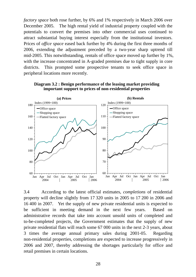*factory space* both rose further, by 6% and 1% respectively in March 2006 over December 2005. The high rental yield of industrial property coupled with the potentials to convert the premises into other commercial uses continued to attract substantial buying interest especially from the institutional investors. Prices of *office space* eased back further by 4% during the first three months of 2006, extending the adjustment preceded by a two-year sharp uptrend till mid-2005. This notwithstanding, rentals of office space moved up further by 1%, with the increase concentrated in A-graded premises due to tight supply in core districts. This prompted some prospective tenants to seek office space in peripheral locations more recently.



**Diagram 3.2 : Benign performance of the leasing market providing important support to prices of non-residential properties**

3.4 According to the latest official estimates, *completions* of residential property will decline slightly from 17 320 units in 2005 to 17 200 in 2006 and 16 400 in 2007. Yet the supply of new private residential units is expected to be sufficient in meeting demand in the next few years. Based on administrative records that take into account unsold units of completed and to-be-completed projects, the Government estimates that the supply of new private residential flats will reach some 67 000 units in the next 2-3 years, about 3 times the average annual primary sales during 2001-05. Regarding non-residential properties, completions are expected to increase progressively in 2006 and 2007, thereby addressing the shortages particularly for office and retail premises in certain locations.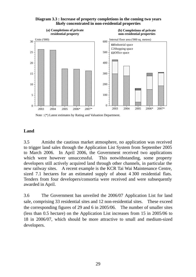

#### **Diagram 3.3 : Increase of property completions in the coming two years likely concentrated in non-residential properties**

Note : (\*) Latest estimates by Rating and Valuation Department.

## **Land**

3.5 Amidst the cautious market atmosphere, no application was received to trigger land sales through the Application List System from September 2005 to March 2006. In April 2006, the Government received two applications which were however unsuccessful. This notwithstanding, some property developers still actively acquired land through other channels, in particular the new railway sites. A recent example is the KCR Tai Wai Maintenance Centre, sized 7.1 hectares for an estimated supply of about 4 300 residential flats. Tenders from four developers/consortia were received and were subsequently awarded in April.

3.6 The Government has unveiled the 2006/07 Application List for land sale, comprising 33 residential sites and 12 non-residential sites. These exceed the corresponding figures of 29 and 6 in 2005/06. The number of smaller sites (less than 0.5 hectare) on the Application List increases from 15 in 2005/06 to 18 in 2006/07, which should be more attractive to small and medium-sized developers.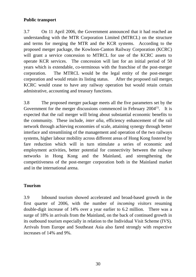## **Public transport**

3.7 On 11 April 2006, the Government announced that it had reached an understanding with the MTR Corporation Limited (MTRCL) on the structure and terms for merging the MTR and the KCR systems. According to the proposed merger package, the Kowloon-Canton Railway Corporation (KCRC) will grant a service concession to MTRCL for use of the KCRC assets to operate KCR services. The concession will last for an initial period of 50 years which is extendable, co-terminous with the franchise of the post-merger corporation. The MTRCL would be the legal entity of the post-merger corporation and would retain its listing status. After the proposed rail merger, KCRC would cease to have any railway operation but would retain certain admistrative, accounting and treasury functions.

3.8 The proposed merger package meets all the five parameters set by the Government for the merger discussions commenced in February  $2004$ <sup>(1)</sup>. It is expected that the rail merger will bring about substantial economic benefits to the community. These include, *inter alia*, efficiency enhancement of the rail network through achieving economies of scale, attaining synergy through better interface and streamlining of the management and operation of the two railways systems, higher labour mobility across different areas of Hong Kong fostered by fare reduction which will in turn stimulate a series of economic and employment activities, better potential for connectivity between the railway networks in Hong Kong and the Mainland, and strengthening the competitiveness of the post-merger corporation both in the Mainland market and in the international arena.

## **Tourism**

3.9 Inbound tourism showed accelerated and broad-based growth in the first quarter of 2006, with the number of *incoming visitors* resuming double-digit increase of 14% over a year earlier to 6.2 million. There was a surge of 18% in arrivals from the Mainland, on the back of continued growth in its outbound tourism especially in relation to the Individual Visit Scheme (IVS). Arrivals from Europe and Southeast Asia also fared strongly with respective increases of 14% and 9%.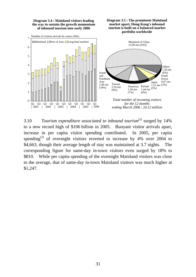**Diagram 3.4 : Mainland visitors leading the way to sustain the growth momentum of inbound tourism into early 2006**

 $7 \frac{\text{Number of visitors arrivals by source (Mn)}}{1}$ 





3.10 *Tourism expenditure associated to inbound tourism*(2) surged by 14% to a new record high of \$106 billion in 2005. Buoyant visitor arrivals apart, increase in per capita visitor spending contributed. In 2005, per capita spending<sup>(3)</sup> of overnight visitors reverted to increase by 4% over 2004 to \$4,663, though their average length of stay was maintained at 3.7 nights. The corresponding figure for same-day in-town visitors even surged by 18% to \$810. While per capita spending of the overnight Mainland visitors was close to the average, that of same-day in-town Mainland visitors was much higher at \$1,247.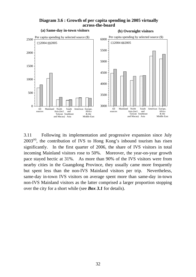



3.11 Following its implementation and progressive expansion since July  $2003<sup>(4)</sup>$ , the contribution of IVS to Hong Kong's inbound tourism has risen significantly. In the first quarter of 2006, the share of IVS visitors in total incoming Mainland visitors rose to 50%. Moreover, the year-on-year growth pace stayed hectic at 31%. As more than 90% of the IVS visitors were from nearby cities in the Guangdong Province, they usually came more frequently but spent less than the non-IVS Mainland visitors per trip. Nevertheless, same-day in-town IVS visitors on average spent more than same-day in-town non-IVS Mainland visitors as the latter comprised a larger proportion stopping over the city for a short while (see *Box 3.1* for details).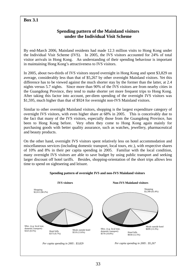## **Box 3.1**

## **Spending pattern of the Mainland visitors under the Individual Visit Scheme**

By end-March 2006, Mainland residents had made 12.3 million visits to Hong Kong under the Individual Visit Scheme (IVS). In 2005, the IVS visitors accounted for 24% of total visitor arrivals in Hong Kong. An understanding of their spending behaviour is important in maintaining Hong Kong's attractiveness to IVS visitors.

In 2005, about two-thirds of IVS visitors stayed overnight in Hong Kong and spent \$3,829 on average, considerably less than that of \$5,267 by other overnight Mainland visitors. Yet this difference has to be viewed against the much shorter stay by the former than the latter, at 2.4 nights versus 5.7 nights. Since more than 90% of the IVS visitors are from nearby cities in the Guangdong Province, they tend to make shorter yet more frequent trips to Hong Kong. After taking this factor into account, per-diem spending of the overnight IVS visitors was \$1,595, much higher than that of \$924 for overnight non-IVS Mainland visitors.

Similar to other overnight Mainland visitors, shopping is the largest expenditure category of overnight IVS visitors, with even higher share at 68% in 2005. This is conceivably due to the fact that many of the IVS visitors, especially those from the Guangdong Province, has been to Hong Kong before. Very often they come to Hong Kong again mainly for purchasing goods with better quality assurance, such as watches, jewellery, pharmaceutical and beauty products.

On the other hand, overnight IVS visitors spent relatively less on hotel accommodation and miscellaneous services (including domestic transport, local tours, etc.), with respective shares of 10% and 8% in their per capita spending in 2005. Familiar with the local condition, many overnight IVS visitors are able to save budget by using public transport and seeking larger discount off hotel tariffs. Besides, shopping-orientation of the short trips allows less time to spend on sightseeing and leisure.

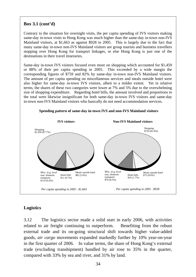# **Box 3.1 (cont'd)**

Contrary to the situation for overnight visits, the per capita spending of IVS visitors making same-day in-town visits to Hong Kong was much higher than the same-day in-town non-IVS Mainland visitors, at \$1,663 as against \$928 in 2005. This is largely due to the fact that many same-day in-town non-IVS Mainland visitors are group tourists and business travellers stopping over Hong Kong for transport linkages, or else Hong Kong is just one of the destinations in their travel itineraries.

Same-day in-town IVS visitors focused even more on shopping which accounted for \$1,459 or 88% of their per capita spending in 2005. This exceeded by a wide margin the corresponding figures of \$759 and 82% by same-day in-town non-IVS Mainland visitors. The amount of per capita spending on miscellaneous services and meals outside hotel were also higher for same-day in-town IVS visitors, albeit to a milder extent. Yet in relative terms, the shares of these two categories were lower at 7% and 5% due to the overwhelming size of shopping expenditure. Regarding hotel bills, the amount involved and proportions to the total were likewise insignificant for both same-day in-town IVS visitors and same-day in-town non-IVS Mainland visitors who basically do not need accommodation services.



#### **Spending pattern of same-day in-town IVS and non-IVS Mainland visitors**

### **Logistics**

3.12 The logistics sector made a solid start in early 2006, with activities related to air freight continuing to outperform. Benefiting from the robust external trade and its on-going structural shift towards higher value-added goods, *air cargo* movements expanded markedly further by 10% year-on-year in the first quarter of 2006. In value terms, the share of Hong Kong's external trade (excluding transhipment) handled by air rose to 35% in the quarter, compared with 33% by sea and river, and 31% by land.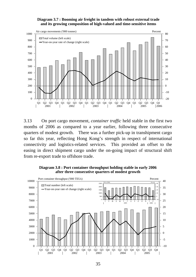**Diagram 3.7 : Booming air freight in tandem with robust external trade and its growing composition of high-valued and time-sensitive items**



3.13 On port cargo movement, *container traffic* held stable in the first two months of 2006 as compared to a year earlier, following three consecutive quarters of modest growth. There was a further pick-up in transhipment cargo so far this year, reflecting Hong Kong's strength in respect of international connectivity and logistics-related services. This provided an offset to the easing in direct shipment cargo under the on-going impact of structural shift from re-export trade to offshore trade.

**Diagram 3.8 : Port container throughput holding stable in early 2006 after three consecutive quarters of modest growth** 

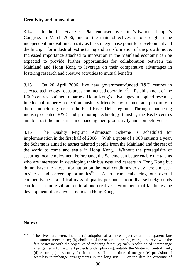# **Creativity and innovation**

3.14 In the  $11<sup>th</sup>$  Five-Year Plan endorsed by China's National People's Congress in March 2006, one of the main objectives is to strengthen the independent innovation capacity as the strategic base point for development and the linchpin for industrial restructuring and transformation of the growth mode. Increased importance attached to innovation in the Mainland economy can be expected to provide further opportunities for collaboration between the Mainland and Hong Kong to leverage on their comparative advantages in fostering research and creative activities to mutual benefits.

3.15 On 20 April 2006, five new government-funded R&D centres in selected technology focus areas commenced operation<sup> $(5)$ </sup>. Establishment of the R&D centres is aimed to harness Hong Kong's advantages in applied research, intellectual property protection, business-friendly environment and proximity to the manufacturing base in the Pearl River Delta region. Through conducting industry-oriented R&D and promoting technology transfer, the R&D centres aim to assist the industries in enhancing their productivity and competitiveness.

3.16 The Quality Migrant Admission Scheme is scheduled for implementation in the first half of 2006. With a quota of 1 000 entrants a year, the Scheme is aimed to attract talented people from the Mainland and the rest of the world to come and settle in Hong Kong. Without the prerequisite of securing local employment beforehand, the Scheme can better enable the talents who are interested in developing their business and careers in Hong Kong but do not have the latest information on the local conditions to stay here and seek business and career opportunities<sup> $(6)$ </sup>. Apart from enhancing our overall competitiveness, a critical mass of quality personnel from diverse backgrounds can foster a more vibrant cultural and creative environment that facilitates the development of creative activities in Hong Kong.

### **Notes :**

(1) The five parameters include (a) adoption of a more objective and transparent fare adjustment mechanism; (b) abolition of the second boarding charge and review of the fare structure with the objective of reducing fares; (c) early resolution of interchange arrangements for new rail projects under planning, notably the Shatin to Central Link; (d) ensuring job security for frontline staff at the time of merger; (e) provision of seamless interchange arrangements in the long run. For the detailed outcome of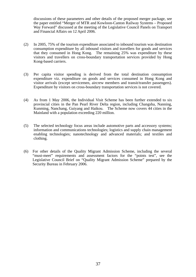discussions of these parameters and other details of the proposed merger package, see the paper entitled "Merger of MTR and Kowloon-Canton Railway Systems – Proposed Way Forward" discussed at the meeting of the Legislative Council Panels on Transport and Financial Affairs on 12 April 2006.

- (2) In 2005, 75% of the tourism expenditure associated to inbound tourism was destination consumption expenditure by all inbound visitors and travellers for goods and services that they consumed in Hong Kong. The remaining 25% was expenditure by these visitors and travellers on cross-boundary transportation services provided by Hong Kong-based carriers.
- (3) Per capita visitor spending is derived from the total destination consumption expenditure viz. expenditure on goods and services consumed in Hong Kong and visitor arrivals (except servicemen, aircrew members and transit/transfer passengers). Expenditure by visitors on cross-boundary transportation services is not covered.
- (4) As from 1 May 2006, the Individual Visit Scheme has been further extended to six provincial cities in the Pan Pearl River Delta region, including Changsha, Nanning, Kunming, Nanchang, Guiyang and Haikou. The Scheme now covers 44 cities in the Mainland with a population exceeding 220 million.
- (5) The selected technology focus areas include automotive parts and accessory systems; information and communications technologies; logistics and supply chain management enabling technologies; nanotechnology and advanced materials; and textiles and clothing.
- (6) For other details of the Quality Migrant Admission Scheme, including the several "must-meet" requirements and assessment factors for the "points test", see the Legislative Council Brief on "Quality Migrant Admission Scheme" prepared by the Security Bureau in February 2006.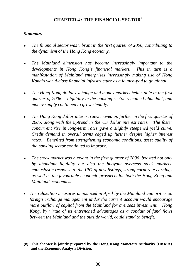# **CHAPTER 4 : THE FINANCIAL SECTOR#**

## *Summary*

- <sup>z</sup>*The financial sector was vibrant in the first quarter of 2006, contributing to the dynamism of the Hong Kong economy.*
- The Mainland dimension has become increasingly important to the *developments in Hong Kong's financial markets. This in turn is a manifestation of Mainland enterprises increasingly making use of Hong Kong's world-class financial infrastructure as a launch-pad to go global.*
- <sup>z</sup>*The Hong Kong dollar exchange and money markets held stable in the first quarter of 2006. Liquidity in the banking sector remained abundant, and money supply continued to grow steadily.*
- The Hong Kong dollar interest rates moved up further in the first quarter of *2006, along with the uptrend in the US dollar interest rates. The faster concurrent rise in long-term rates gave a slightly steepened yield curve. Credit demand in overall terms edged up further despite higher interest rates. Benefited from strengthening economic conditions, asset quality of the banking sector continued to improve.*
- The stock market was buoyant in the first quarter of 2006, boosted not only *by abundant liquidity but also the buoyant overseas stock markets, enthusiastic response to the IPO of new listings, strong corporate earnings as well as the favourable economic prospects for both the Hong Kong and Mainland economies.*
- *The relaxation measures announced in April by the Mainland authorities on foreign exchange management under the current account would encourage more outflow of capital from the Mainland for overseas investment. Hong Kong, by virtue of its entrenched advantages as a conduit of fund flows between the Mainland and the outside world, could stand to benefit.*

**\_\_\_\_\_\_\_\_\_** 

**<sup>(#)</sup> This chapter is jointly prepared by the Hong Kong Monetary Authority (HKMA) and the Economic Analysis Division.**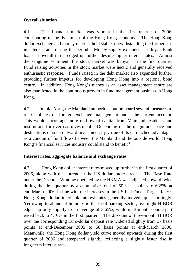# **Overall situation**

4.1 The financial market was vibrant in the first quarter of 2006, contributing to the dynamism of the Hong Kong economy. The Hong Kong dollar exchange and money markets held stable, notwithstanding the further rise in interest rates during the period. Money supply expanded steadily. Bank loans in overall terms edged up further despite higher interest rates. Amidst the sanguine sentiment, the stock market was buoyant in the first quarter. Fund raising activities in the stock market were hectic and generally received enthusiastic response. Funds raised in the debt market also expanded further, providing further impetus for developing Hong Kong into a regional bond centre. In addition, Hong Kong's niches as an asset management centre are also manifested in the continuous growth in fund management business in Hong Kong.

4.2 In mid-April, the Mainland authorities put on board several measures to relax policies on foreign exchange management under the current account. This would encourage more outflow of capital from Mainland residents and institutions for overseas investment. Depending on the magnitude, pace and destinations of such outward investment, by virtue of its entrenched advantages as a conduit of fund flows between the Mainland and the outside world, Hong Kong's financial services industry could stand to benefit<sup> $(1)$ </sup>.

# **Interest rates, aggregate balance and exchange rates**

4.3 Hong Kong dollar interest rates moved up further in the first quarter of 2006, along with the uptrend in the US dollar interest rates. The Base Rate under the Discount Window operated by the HKMA was adjusted upward twice during the first quarter by a cumulative total of 50 basis points to 6.25% at end-March 2006, in line with the increases in the US Fed Funds Target Rate<sup>(2)</sup>. Hong Kong dollar interbank interest rates generally moved up accordingly. Yet owing to abundant liquidity in the local banking sector, overnight HIBOR edged up only slightly to an average of 3.65%, while its 3-month counterpart eased back to 4.10% in the first quarter. The discount of three-month HIBOR over the corresponding Euro-dollar deposit rate widened slightly from 37 basis points at end-December 2005 to 58 basis points at end-March 2006. Meanwhile, the Hong Kong dollar yield curve moved upwards during the first quarter of 2006 and steepened slightly, reflecting a slightly faster rise in long-term interest rates.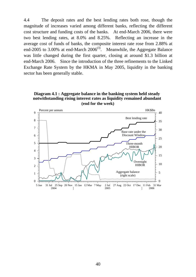4.4 The deposit rates and the best lending rates both rose, though the magnitude of increases varied among different banks, reflecting the different cost structure and funding costs of the banks. At end-March 2006, there were two best lending rates, at 8.0% and 8.25%. Reflecting an increase in the average cost of funds of banks, the composite interest rate rose from 2.88% at end-2005 to 3.00% at end-March  $2006^{(3)}$ . Meanwhile, the Aggregate Balance was little changed during the first quarter, closing at around \$1.3 billion at end-March 2006. Since the introduction of the three refinements to the Linked Exchange Rate System by the HKMA in May 2005, liquidity in the banking sector has been generally stable.

**Diagram 4.1 : Aggregate balance in the banking system held steady notwithstanding rising interest rates as liquidity remained abundant (end for the week)**

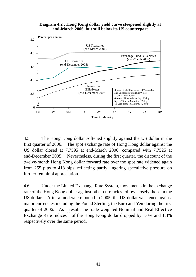**Diagram 4.2 : Hong Kong dollar yield curve steepened slightly at end-March 2006, but still below its US counterpart**



4.5 The Hong Kong dollar softened slightly against the US dollar in the first quarter of 2006. The spot exchange rate of Hong Kong dollar against the US dollar closed at 7.7595 at end-March 2006, compared with 7.7525 at end-December 2005. Nevertheless, during the first quarter, the discount of the twelve-month Hong Kong dollar forward rate over the spot rate widened again from 255 pips to 418 pips, reflecting partly lingering speculative pressure on further renminbi appreciation.

4.6 Under the Linked Exchange Rate System, movements in the exchange rate of the Hong Kong dollar against other currencies follow closely those in the US dollar. After a moderate rebound in 2005, the US dollar weakened against major currencies including the Pound Sterling, the Euro and Yen during the first quarter of 2006. As a result, the trade-weighted Nominal and Real Effective Exchange Rate Indices<sup>(4)</sup> of the Hong Kong dollar dropped by  $1.0\%$  and  $1.3\%$ respectively over the same period.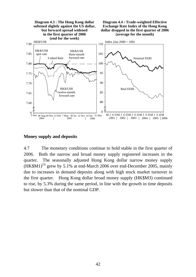

**Money supply and deposits** 

4.7 The monetary conditions continue to hold stable in the first quarter of 2006. Both the narrow and broad money supply registered increases in the quarter. The seasonally adjusted Hong Kong dollar narrow money supply  $(HK$M1)<sup>(5)</sup>$  grew by 5.1% at end-March 2006 over end-December 2005, mainly due to increases in demand deposits along with high stock market turnover in the first quarter. Hong Kong dollar broad money supply (HK\$M3) continued to rise, by 5.3% during the same period, in line with the growth in time deposits but slower than that of the nominal GDP.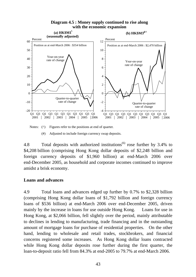

#### **Diagram 4.5 : Money supply continued to rise along with the economic expansion**

Notes: ( $\wedge$ ) Figures refer to the positions at end of quarter.

(#) Adjusted to include foreign currency swap deposits.

4.8 Total deposits with authorized institutions<sup>(6)</sup> rose further by 3.4% to \$4,208 billion (comprising Hong Kong dollar deposits of \$2,248 billion and foreign currency deposits of \$1,960 billion) at end-March 2006 over end-December 2005, as household and corporate incomes continued to improve amidst a brisk economy.

# **Loans and advances**

4.9 Total loans and advances edged up further by 0.7% to \$2,328 billion (comprising Hong Kong dollar loans of \$1,792 billion and foreign currency loans of \$536 billion) at end-March 2006 over end-December 2005, driven mainly by the increase in loans for use outside Hong Kong. Loans for use in Hong Kong, at \$2,066 billion, fell slightly over the period, mainly attributable to declines in lending to manufacturing, trade financing and in the outstanding amount of mortgage loans for purchase of residential properties. On the other hand, lending to wholesale and retail trades, stockbrokers, and financial concerns registered some increases. As Hong Kong dollar loans contracted while Hong Kong dollar deposits rose further during the first quarter, the loan-to-deposit ratio fell from 84.3% at end-2005 to 79.7% at end-March 2006.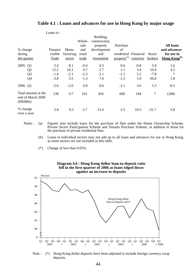|                                                      | LUALIS W. |           |        |                            |                         |          |         |                          |
|------------------------------------------------------|-----------|-----------|--------|----------------------------|-------------------------|----------|---------|--------------------------|
|                                                      |           |           | Whole- | Building,<br>construction, |                         |          |         |                          |
|                                                      |           |           | sale   | property                   | Purchase                |          |         | <b>All loans</b>         |
| % change                                             | Finance   | Manu-     | and    | development                | of                      |          |         | and advances             |
| during                                               | visible   | facturing | retail | and                        | residential Financial   |          | Stock-  | for use in               |
| the quarter                                          | Trade     | sector    | trade  | investment                 | property <sup>(a)</sup> | concerns | brokers | Hong Kong <sup>(b)</sup> |
| 2005 Q1                                              | 2.4       | 8.1       | $-0.6$ | 4.3                        | 0.6                     | $-0.8$   | 5.8     | 1.6                      |
| Q <sub>2</sub>                                       | 12.2      | 10.1      | 6.7    | 2.7                        | 1.1                     | 3.4      | 10.9    | 4.2                      |
| Q <sub>3</sub>                                       | $-1.4$    | $-2.1$    | $-2.3$ | 2.1                        | $-1.1$                  | 2.2      | $-7.8$  | $\ast$                   |
| Q <sub>4</sub>                                       | $-3.8$    | 3.5       | $-1.3$ | 7.6                        | $-1.3$                  | 1.0      | $-36.6$ | 1.8                      |
| 2006 Q1                                              | $-2.6$    | $-2.0$    | 0.8    | 0.6                        | $-1.1$                  | 3.6      | 5.3     | $-0.3$                   |
| Total amount at the<br>end of March 2006<br>(HK\$Bn) | 138       | 117       | 101    | 454                        | 600                     | 184      | $\tau$  | 2,066                    |
| % change<br>over a year                              | 3.8       | 9.3       | 3.7    | 13.4                       | 2.3                     | 10.5     | $-31.7$ | 5.8                      |

#### **Table 4.1 : Loans and advances for use in Hong Kong by major usage**

- Notes : (a) Figures also include loans for the purchase of flats under the Home Ownership Scheme, Private Sector Participation Scheme and Tenants Purchase Scheme, in addition to those for the purchase of private residential flats.
	- (b) Loans to individual sectors may not add up to all loans and advances for use in Hong Kong, as some sectors are not included in this table.
	- (\*) Change of less than 0.05%.

 $L$ oans to :



Note : (\*) Hong Kong dollar deposits have been adjusted to include foreign currency swap deposits.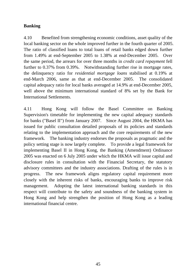# **Banking**

4.10 Benefited from strengthening economic conditions, asset quality of the local banking sector on the whole improved further in the fourth quarter of 2005. The ratio of classified loans to total loans of retail banks edged down further from 1.49% at end-September 2005 to 1.38% at end-December 2005. Over the same period, the arrears for over three months in *credit card repayment* fell further to 0.37% from 0.39%. Notwithstanding further rise in mortgage rates, the delinquency ratio for *residential mortgage loans* stabilised at 0.19% at end-March 2006, same as that at end-December 2005. The consolidated capital adequacy ratio for local banks averaged at 14.9% at end-December 2005, well above the minimum international standard of 8% set by the Bank for International Settlements.

4.11 Hong Kong will follow the Basel Committee on Banking Supervision's timetable for implementing the new capital adequacy standards for banks ("Basel II") from January 2007. Since August 2004, the HKMA has issued for public consultation detailed proposals of its policies and standards relating to the implementation approach and the core requirements of the new framework. The banking industry endorses the proposals as pragmatic and the policy setting stage is now largely complete. To provide a legal framework for implementing Basel II in Hong Kong, the Banking (Amendment) Ordinance 2005 was enacted on 6 July 2005 under which the HKMA will issue capital and disclosure rules in consultation with the Financial Secretary, the statutory advisory committees and the industry associations. Drafting of the rules is in progress. The new framework aligns regulatory capital requirement more closely with the inherent risks of banks, encouraging banks to improve risk management. Adopting the latest international banking standards in this respect will contribute to the safety and soundness of the banking system in Hong Kong and help strengthen the position of Hong Kong as a leading international financial centre.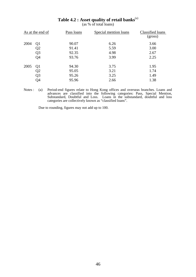|      | As at the end of | Pass loans | Special mention loans | Classified loans<br>(gross) |
|------|------------------|------------|-----------------------|-----------------------------|
| 2004 | Q <sub>1</sub>   | 90.07      | 6.26                  | 3.66                        |
|      | Q2               | 91.41      | 5.59                  | 3.00                        |
|      | Q <sub>3</sub>   | 92.35      | 4.98                  | 2.67                        |
|      | Q4               | 93.76      | 3.99                  | 2.25                        |
| 2005 | Q <sub>1</sub>   | 94.30      | 3.75                  | 1.95                        |
|      | Q2               | 95.05      | 3.21                  | 1.74                        |
|      | Q <sub>3</sub>   | 95.26      | 3.25                  | 1.49                        |
|      | Q4               | 95.96      | 2.66                  | 1.38                        |

# **Table 4.2 : Asset quality of retail banks**(a)

(as % of total loans)

Notes : (a) Period-end figures relate to Hong Kong offices and overseas branches. Loans and advances are classified into the following categories: Pass, Special Mention, Substandard, Doubtful and Loss. Loans in the substandard, doubtful and loss categories are collectively known as "classified loans".

Due to rounding, figures may not add up to 100.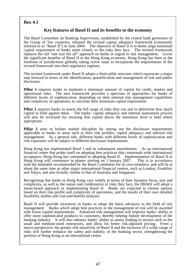#### **Box 4.1**

#### **Key features of Basel II and its benefits to the economy**

The Basel Committee on Banking Supervision, established by the central bank governors of the Group of Ten countries, released the revised capital adequacy framework (commonly referred to as "Basel II") in June 2004. The objective of Basel II is to better align minimum capital requirement of banks more closely to the risks they face. The revised framework replaces the old "one size fits all" approach on banks in regard to risk management. Given the significant benefits of Basel II to the Hong Kong economy, Hong Kong has been at the forefront of jurisdictions globally taking active steps to incorporate the requirements of the revised framework into their regulatory regimes.

The revised framework under Basel II adopts a three-pillar structure which represents a major step forward in terms of the identification, quantification and management of risk and public disclosure.

**Pillar 1** requires banks to maintain a minimum amount of capital for credit, market and operational risks. The new framework provides a spectrum of approaches for banks of different levels of sophistication, depending on their internal risk management capabilities and complexity of operations, to calculate their minimum capital requirement.

**Pillar 2** requires banks to assess the full range of risks they run and to determine how much capital to hold against them. The banks' capital adequacy and internal assessment process will also be reviewed for ensuring that capital above the minimum level is held where appropriate.

**Pillar 3** aims to bolster market discipline by setting out the disclosure requirements applicable to banks in areas such as their risk profiles, capital adequacy and internal risk management. As a general rule, different banks with different levels of sophistication and risk exposures will be subject to different disclosure requirements.

Hong Kong has implemented Basel I and its subsequent amendments. As an international financial centre that prides itself on adopting best practices that commands wide international acceptance, Hong Kong has committed to adopting Basel II. Implementation of Basel II in Hong Kong will commence in phases starting on 1 January 2007. This is in accordance with the timetable recommended by the Basel Committee for its own members, and will be at about the same time as other major international financial centres, such as London, Frankfurt and Tokyo, and also broadly similar to that of Australia and Singapore.

Recognizing that banks in Hong Kong vary widely in terms of their business focus, size and complexity, as well as the nature and combination of risks they face, the HKMA will adopt a menu-based approach in implementing Basel II. Banks are expected to choose options based on their risk profile and complexity of operations, and the results of their own detailed feasibility studies and cost-and-benefit analyses.

Basel II will provide incentives to banks to adopt the latest advances in the field of risk management. Banks which adopt best practices in the management of risk will be awarded with lower capital requirements. Enhanced risk management will improve banks' ability to offer more sophisticated products to customers, thereby helping bolster development of the banking industry. It will also enhance banks' ability to assess lending to sectors such as the small and medium-sized enterprises, and allow for better risk-adjusted pricing. From a macro perspective, the greater risk sensitivity of Basel II and the inclusion of a wider range of risks will further enhance the safety and stability of the banking sector, strengthening the position of Hong Kong as an international centre.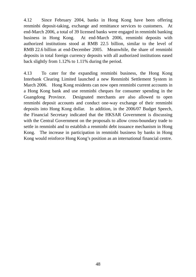4.12 Since February 2004, banks in Hong Kong have been offering renminbi deposit-taking, exchange and remittance services to customers. At end-March 2006, a total of 39 licensed banks were engaged in renminbi banking business in Hong Kong. At end-March 2006, renminbi deposits with authorized institutions stood at RMB 22.5 billion, similar to the level of RMB 22.6 billion at end-December 2005. Meanwhile, the share of renminbi deposits in total foreign currency deposits with all authorized institutions eased back slightly from 1.12% to 1.11% during the period.

4.13 To cater for the expanding renminbi business, the Hong Kong Interbank Clearing Limited launched a new Renminbi Settlement System in March 2006. Hong Kong residents can now open renminbi current accounts in a Hong Kong bank and use renminbi cheques for consumer spending in the Guangdong Province. Designated merchants are also allowed to open renminbi deposit accounts and conduct one-way exchange of their renminbi deposits into Hong Kong dollar. In addition, in the 2006/07 Budget Speech, the Financial Secretary indicated that the HKSAR Government is discussing with the Central Government on the proposals to allow cross-boundary trade to settle in renminbi and to establish a renminbi debt issuance mechanism in Hong Kong. The increase in participation in renminbi business by banks in Hong Kong would reinforce Hong Kong's position as an international financial centre.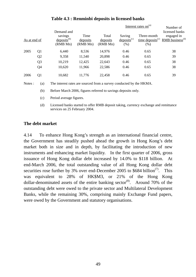|      | Demand and                                                     |        |                              |                               | Interest rates on $(a)$            | Number of<br>licensed banks                           |                                             |
|------|----------------------------------------------------------------|--------|------------------------------|-------------------------------|------------------------------------|-------------------------------------------------------|---------------------------------------------|
|      | savings<br>$\text{deposits}^{(b)}$<br>As at end of<br>(RMB Mn) |        | Time<br>deposits<br>(RMB Mn) | Total<br>deposits<br>(RMB Mn) | Saving<br>$deposits^{(c)}$<br>(% ) | Three-month<br>$time$ deposits <sup>(c)</sup><br>(% ) | engaged in<br>$RMB$ business <sup>(d)</sup> |
| 2005 | Q <sub>1</sub>                                                 | 6,440  | 8,536                        | 14,976                        | 0.46                               | 0.65                                                  | 38                                          |
|      | Q <sub>2</sub>                                                 | 9,358  | 11,540                       | 20,898                        | 0.46                               | 0.65                                                  | 39                                          |
|      | Q <sub>3</sub>                                                 | 10,219 | 12,425                       | 22,643                        | 0.46                               | 0.65                                                  | 38                                          |
|      | Q <sub>4</sub>                                                 | 10,620 | 11,966                       | 22,586                        | 0.46                               | 0.65                                                  | 38                                          |
| 2006 | Q <sub>1</sub>                                                 | 10,682 | 11,776                       | 22,458                        | 0.46                               | 0.65                                                  | 39                                          |

# **Table 4.3 : Renminbi deposits in licensed banks**

Notes : (a) The interest rates are sourced from a survey conducted by the HKMA.

(b) Before March 2006, figures referred to savings deposits only.

- (c) Period average figures.
- (d) Licensed banks started to offer RMB deposit taking, currency exchange and remittance services on 25 February 2004.

### **The debt market**

4.14 To enhance Hong Kong's strength as an international financial centre, the Government has steadily pushed ahead the growth in Hong Kong's debt market both in size and in depth, by facilitating the introduction of new instruments and enhancing market liquidity. In the first quarter of 2006, gross issuance of Hong Kong dollar debt increased by 14.0% to \$118 billion. At end-March 2006, the total outstanding value of all Hong Kong dollar debt securities rose further by 3% over end-December 2005 to \$684 billion<sup> $(7)$ </sup>. This was equivalent to 28% of HK\$M3, or 21% of the Hong Kong dollar-denominated assets of the entire banking sector<sup>(8)</sup>. Around 70% of the outstanding debt were owed to the private sector and Multilateral Development Banks, while the remaining 30%, comprising mainly Exchange Fund papers, were owed by the Government and statutory organisations.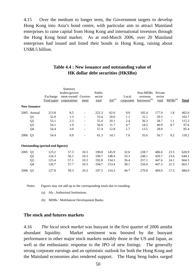4.15 Over the medium to longer term, the Government targets to develop Hong Kong into Asia's bond centre, with particular aim to attract Mainland enterprises to raise capital from Hong Kong and international investors through the Hong Kong bond market. As at end-March 2006, over 20 Mainland enterprises had issued and listed their bonds in Hong Kong, raising about US\$8.5 billion.

## **Table 4.4 : New issuance and outstanding value of HK dollar debt securities (HK\$Bn)**

|         |                     |                                         | Statutory<br>bodies/govern |                          | Public          |                        |                     | Non-MDBs                             | Private         |                          |              |
|---------|---------------------|-----------------------------------------|----------------------------|--------------------------|-----------------|------------------------|---------------------|--------------------------------------|-----------------|--------------------------|--------------|
|         |                     | Exchange<br>Fund paper                  | ment-owned<br>corporations | Govern-<br>ment          | sector<br>total | $\overline{AIs}^{(a)}$ | Local<br>corporates | overseas<br>borrowers <sup>(b)</sup> | sector<br>total | $MDBs^{(b)}$             | <b>Total</b> |
|         | <b>New Issuance</b> |                                         |                            |                          |                 |                        |                     |                                      |                 |                          |              |
| 2005    | Annual              | 213.8                                   | 8.5                        | $\overline{\phantom{a}}$ | 222.3           | 62.6                   | 9.9                 | 105.4                                | 177.9           | 1.8                      | 402.0        |
|         | Q1                  | 52.0                                    | 1.3                        | $\overline{\phantom{a}}$ | 53.4            | 18.0                   | $1.1\,$             | 31.1                                 | 50.3            | ۰                        | 103.7        |
|         | Q <sub>2</sub>      | 53.1                                    | 2.3                        | $\overline{\phantom{a}}$ | 55.4            | 20.1                   | 2.4                 | 36.3                                 | 58.7            | 1.1                      | 115.3        |
|         | Q <sub>3</sub>      | 54.1                                    | 1.9                        | $\overline{\phantom{a}}$ | 56.0            | 11.7                   | 4.7                 | 24.5                                 | 40.9            | 0.7                      | 97.6         |
|         | Q4                  | 54.4                                    | 3.0                        | $\overline{\phantom{a}}$ | 57.4            | 12.8                   | 1.7                 | 13.5                                 | 28.0            | $\overline{\phantom{a}}$ | 85.4         |
| 2006    | Q <sub>1</sub>      | 54.4                                    | 6.9                        | ٠                        | 61.3            | 14.1                   | 7.0                 | 35.6                                 | 56.7            | 0.2                      | 118.2        |
|         |                     | <b>Outstanding (period-end figures)</b> |                            |                          |                 |                        |                     |                                      |                 |                          |              |
| 2005    | Q <sub>1</sub>      | 123.2                                   | 57.3                       | 10.3                     | 190.8           | 145.9                  | 32.0                | 228.7                                | 406.6           | 23.5                     | 620.9        |
|         | Q <sub>2</sub>      | 124.3                                   | 56.1                       | 10.3                     | 190.7           | 148.4                  | 33.3                | 248.1                                | 429.7           | 23.6                     | 644.1        |
|         | Q <sub>3</sub>      | 125.4                                   | 57.1                       | 10.3                     | 192.8           | 154.1                  | 36.4                | 257.1                                | 447.6           | 24.1                     | 664.5        |
|         | Q4                  | 126.7                                   | 57.7                       | 10.3                     | 194.7           | 153.4                  | 38.1                | 256.0                                | 447.5           | 21.5                     | 663.7        |
| 2006 Q1 |                     | 127.9                                   | 59.3                       | 10.3                     | 197.5           | 154.3                  | 44.7                | 270.0                                | 469.0           | 17.5                     | 684.0        |

Notes: Figures may not add up to the corresponding totals due to rounding.

(a) AIs : Authorized Institutions.

(b) MDBs : Multilateral Development Banks.

#### **The stock and futures markets**

4.16 *The local stock market* was buoyant in the first quarter of 2006 amidst abundant liquidity. Market sentiment was boosted by the buoyant performance in other major stock markets notably those in the US and Japan, as well as the enthusiastic response to the IPO of new listings. The generally strong corporate earnings and an optimistic outlook for both the Hong Kong and the Mainland economies also rendered support. The Hang Seng Index surged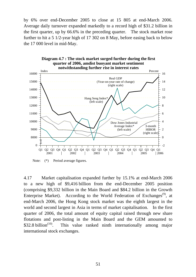by 6% over end-December 2005 to close at 15 805 at end-March 2006. Average daily turnover expanded markedly to a record high of \$31.2 billion in the first quarter, up by 66.6% in the preceding quarter. The stock market rose further to hit a 5 1/2-year high of 17 302 on 8 May, before easing back to below the 17 000 level in mid-May.



Note: (\*) Period average figures.

4.17 Market capitalisation expanded further by 15.1% at end-March 2006 to a new high of \$9,416 billion from the end-December 2005 position (comprising \$9,332 billion in the Main Board and \$84.2 billion in the Growth Enterprise Market). According to the World Federation of Exchanges<sup> $(9)$ </sup>, at end-March 2006, the Hong Kong stock market was the eighth largest in the world and second largest in Asia in terms of market capitalisation. In the first quarter of 2006, the total amount of equity capital raised through new share flotations and post-listing in the Main Board and the GEM amounted to \$32.8 billion<sup>(10)</sup>. This value ranked ninth internationally among major international stock exchanges.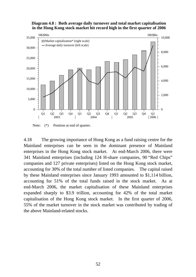#### **Diagram 4.8 : Both average daily turnover and total market capitalisation in the Hong Kong stock market hit record high in the first quarter of 2006**



Note:  $(*)$  Position at end of quarter.

4.18 The growing importance of Hong Kong as a fund raising centre for the Mainland enterprises can be seen in the dominant presence of Mainland enterprises in the Hong Kong stock market. At end-March 2006, there were 341 Mainland enterprises (including 124 H-share companies, 90 "Red Chips" companies and 127 private enterprises) listed on the Hong Kong stock market, accounting for 30% of the total number of listed companies. The capital raised by these Mainland enterprises since January 1993 amounted to \$1,114 billion, accounting for 51% of the total funds raised in the stock market. As at end-March 2006, the market capitalisation of these Mainland enterprises expanded sharply to \$3.9 trillion, accounting for 42% of the total market capitalisation of the Hong Kong stock market. In the first quarter of 2006, 55% of the market turnover in the stock market was contributed by trading of the above Mainland-related stocks.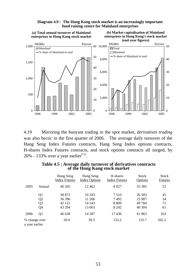

**Diagram 4.9 : The Hong Kong stock market is an increasingly important fund raising centre for Mainland enterprises**

4.19 Mirroring the buoyant trading in the spot market, *derivatives trading* was also hectic in the first quarter of 2006. The average daily turnover of the Hang Seng Index Futures contracts, Hang Seng Index options contracts, H-shares Index Futures contracts, and stock options contracts all surged, by 20% - 133% over a year earlier<sup>(11)</sup>.

|                                 |                | Hang Seng<br><b>Index Futures</b> | Hang Seng<br><b>Index Options</b> | H-shares<br><b>Index Futures</b> | <b>Stock</b><br>Options | <b>Stock</b><br><b>Futures</b> |
|---------------------------------|----------------|-----------------------------------|-----------------------------------|----------------------------------|-------------------------|--------------------------------|
| 2005                            | Annual         | 40 205                            | 12462                             | 8 0 2 7                          | 35 38 5                 | 53                             |
|                                 | Q <sub>1</sub> | 38 872                            | 10 243                            | 7.510                            | 26 5 8 3                | 45                             |
|                                 | Q <sub>2</sub> | 36 396                            | 11 266                            | 7492                             | 23 907                  | 34                             |
|                                 | Q <sub>3</sub> | 42 122                            | 14 5 43                           | 8 8 0 9                          | 49 7 84                 | 71                             |
|                                 | Q4             | 43 294                            | 13 603                            | 8 2 4 2                          | 40 304                  | 61                             |
| 2006                            | Q1             | 46 638                            | 14 287                            | 17436                            | 61 863                  | 163                            |
| % change over<br>a year earlier |                | 20.0                              | 39.5                              | 132.2                            | 132.7                   | 262.2                          |

**Table 4.5 : Average daily turnover of derivatives contracts of the Hong Kong stock market**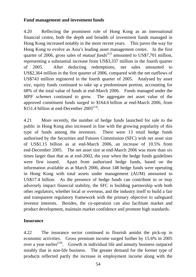# **Fund management and investment funds**

4.20 Reflecting the prominent role of Hong Kong as an international financial centre, both the depth and breadth of investment funds managed in Hong Kong increased notably in the more recent years. This paves the way for Hong Kong to evolve as Asia's leading asset management centre. In the first quarter of 2006, gross sales of *mutual funds*<sup>(12)</sup> amounted to US\$7,701 million, representing a substantial increase from US\$3,337 million in the fourth quarter of 2005. After deducting redemptions, net sales amounted to US\$2,364 million in the first quarter of 2006, compared with the net outflows of US\$743 million registered in the fourth quarter of 2005. Analysed by asset size, equity funds continued to take up a predominant portion, accounting for 68% of the total value of funds at end-March 2006. Funds managed under the *MPF schemes* continued to grow. The aggregate net asset value of the approved constituent funds surged to \$164.6 billion at end-March 2006, from  $$151.4$  billion at end-December 2005<sup>(13)</sup>.

4.21 More recently, the number of hedge funds launched for sale to the public in Hong Kong also increased in line with the growing popularity of this type of funds among the investors. There were 13 retail hedge funds authorised by the Securities and Futures Commission (SFC) with net asset size of US\$1.15 billion as at end-March 2006, an increase of 10.5% from end-December 2005. The net asset size at end-March 2006 was more than six times larger than that as at end-2002, the year when the hedge funds guidelines were first issued. Apart from authorised hedge funds, based on the information available as at March 2006, about 148 hedge funds were operating in Hong Kong with total assets under management (AUM) amounted to US\$17.4 billion. As the presence of hedge funds can contribute to or may adversely impact financial stability, the SFC is building partnership with both other regulators, whether local or overseas, and the industry itself to build a fair and transparent regulatory framework with the primary objective to safeguard investor interests. Besides, the co-operation can also facilitate market and product development, maintain market confidence and promote high standards.

# **Insurance**

4.22 The insurance sector continued to flourish amidst the pick-up in economic activities. Gross premium income surged further by 15.6% in 2005 over a year earlier<sup> $(14)$ </sup>. Growth in individual life and annuity business outpaced notably that in non-life business. The greater demand for the former type of products reflected partly the increase in employment income along with the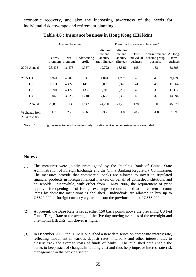economic recovery, and also the increasing awareness of the needs for individual risk coverage and retirement planning.

|         |                               |                  | General business : |                               | Premium for long-term business <sup>*</sup> :     |                                               |                                 |                                            |                               |  |  |
|---------|-------------------------------|------------------|--------------------|-------------------------------|---------------------------------------------------|-----------------------------------------------|---------------------------------|--------------------------------------------|-------------------------------|--|--|
|         |                               | Gross<br>premium | Net<br>premium     | Underwriting<br><u>profit</u> | Individual<br>life and<br>annuity<br>(non-linked) | Individual<br>life and<br>annuity<br>(linked) | Other<br>individual<br>business | Non-retirement<br>scheme group<br>business | All long-<br>term<br>business |  |  |
|         | 2004 Annual                   | 23,478           | 16,578             | 1,957                         | 19,722                                            | 18,515                                        | 195                             | 163                                        | 38,595                        |  |  |
| 2005 Q1 |                               | 6,944            | 4,909              | 63                            | 4,814                                             | 4,209                                         | 45                              | 41                                         | 9,109                         |  |  |
|         | Q <sub>2</sub>                | 6,171            | 4,422              | 141                           | 6,099                                             | 5,376                                         | 41                              | 48                                         | 11,564                        |  |  |
|         | Q <sub>3</sub>                | 5,704            | 4,177              | 433                           | 5,749                                             | 5,281                                         | 43                              | 39                                         | 11,112                        |  |  |
|         | Q4                            | 5,069            | 3,525              | 1,210                         | 7,628                                             | 6,385                                         | 49                              | 32                                         | 14,094                        |  |  |
|         | Annual                        | 23,888           | 17,033             | 1,847                         | 24,290                                            | 21,251                                        | 178                             | 160                                        | 45,879                        |  |  |
|         | % change from<br>2004 to 2005 | 1.7              | 2.7                | $-5.6$                        | 23.2                                              | 14.8                                          | $-8.7$                          | $-1.8$                                     | 18.9                          |  |  |

### **Table 4.6 : Insurance business in Hong Kong (HK\$Mn)**

Note : (\*) Figures refer to new businesses only. Retirement scheme businesses are excluded.

#### **Notes :**

- (1) The measures were jointly promulgated by the People's Bank of China, State Administration of Foreign Exchange and the China Banking Regulatory Commission. The measures provide that commercial banks are allowed to invest in stipulated financial products in foreign financial markets on behalf of domestic institutions and households. Meanwhile, with effect from 1 May 2006, the requirement of prior approval for opening up of foreign exchange account related to the current account items by domestic institutions is abolished. Individuals are allowed to buy up to US\$20,000 of foreign currency a year, up from the previous quota of US\$8,000.
- (2) At present, the Base Rate is set at either 150 basis points above the prevailing US Fed Funds Target Rate or the average of the five-day moving averages of the overnight and one-month HIBORs, whichever is higher.
- (3) In December 2005, the HKMA published a new data series on composite interest rate, reflecting movement in various deposit rates, interbank and other interest rates to closely track the average costs of funds of banks. The published data enable the banks to keep track of changes in funding cost and thus help improve interest rate risk management in the banking sector.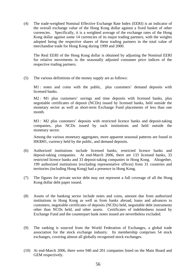(4) The trade-weighted Nominal Effective Exchange Rate Index (EERI) is an indicator of the overall exchange value of the Hong Kong dollar against a fixed basket of other currencies. Specifically, it is a weighted average of the exchange rates of the Hong Kong dollar against some 14 currencies of its major trading partners, with the weights adopted being the respective shares of these trading partners in the total value of merchandise trade for Hong Kong during 1999 and 2000.

 The Real EERI of the Hong Kong dollar is obtained by adjusting the Nominal EERI for relative movements in the seasonally adjusted consumer price indices of the respective trading partners.

(5) The various definitions of the money supply are as follows:

M1 : notes and coins with the public, plus customers' demand deposits with licensed banks.

M2 : M1 plus customers' savings and time deposits with licensed banks, plus negotiable certificates of deposit (NCDs) issued by licensed banks, held outside the monetary sector as well as short-term Exchange Fund placements of less than one month.

M3 : M2 plus customers' deposits with restricted licence banks and deposit-taking companies, plus NCDs issued by such institutions and held outside the monetary sector.

 Among the various monetary aggregates, more apparent seasonal patterns are found in HK\$M1, currency held by the public, and demand deposits.

- (6) Authorized institutions include licensed banks, restricted licence banks and deposit-taking companies. At end-March 2006, there are 133 licensed banks, 33 restricted licence banks and 33 deposit-taking companies in Hong Kong. Altogether, 199 authorized institutions (excluding representative offices) from 31 countries and territories (including Hong Kong) had a presence in Hong Kong.
- (7) The figures for private sector debt may not represent a full coverage of all the Hong Kong dollar debt paper issued.
- (8) Assets of the banking sector include notes and coins, amount due from authorized institutions in Hong Kong as well as from banks abroad, loans and advances to customers, negotiable certificates of deposits (NCDs) held, negotiable debt instruments other than NCDs held, and other assets. Certificates of indebtedness issued by Exchange Fund and the counterpart bank notes issued are nevertheless excluded.
- (9) The ranking is sourced from the World Federation of Exchanges, a global trade association for the stock exchange industry. Its membership comprises 54 stock exchanges, covering almost all globally recognised stock exchanges.
- (10) At end-March 2006, there were 940 and 201 companies listed on the Main Board and GEM respectively.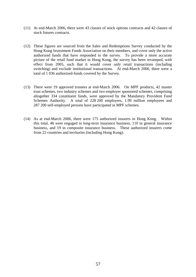- (11) At end-March 2006, there were 43 classes of stock options contracts and 42 classes of stock futures contracts.
- (12) These figures are sourced from the Sales and Redemptions Survey conducted by the Hong Kong Investment Funds Association on their members, and cover only the active authorized funds that have responded to the survey. To provide a more accurate picture of the retail fund market in Hong Kong, the survey has been revamped, with effect from 2005, such that it would cover only retail transactions (including switching) and exclude institutional transactions. At end-March 2006, there were a total of 1 036 authorized-funds covered by the Survey.
- (13) There were 19 approved trustees at end-March 2006. On MPF products, 42 master trust schemes, two industry schemes and two employer sponsored schemes, comprising altogether 334 constituent funds, were approved by the Mandatory Provident Fund Schemes Authority. A total of 228 200 employers, 1.99 million employees and 287 200 self-employed persons have participated in MPF schemes.
- (14) As at end-March 2006, there were 175 authorized insurers in Hong Kong. Within this total, 46 were engaged in long-term insurance business, 110 in general insurance business, and 19 in composite insurance business. These authorized insurers come from 22 countries and territories (including Hong Kong).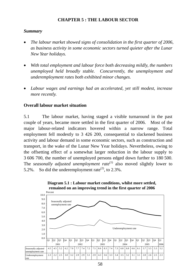# **CHAPTER 5 : THE LABOUR SECTOR**

# *Summary*

- *The labour market showed signs of consolidation in the first quarter of 2006, as business activity in some economic sectors turned quieter after the Lunar New Year holidays.*
- *With total employment and labour force both decreasing mildly, the numbers unemployed held broadly stable. Concurrently, the unemployment and underemployment rates both exhibited minor changes.*
- *Labour wages and earnings had an accelerated, yet still modest, increase more recently.*

# **Overall labour market situation**

5.1 The labour market, having staged a visible turnaround in the past couple of years, became more settled in the first quarter of 2006. Most of the major labour-related indicators hovered within a narrow range. Total employment fell modestly to 3 426 200, consequential to slackened business activity and labour demand in some economic sectors, such as construction and transport, in the wake of the Lunar New Year holidays. Nevertheless, owing to the offsetting effect of a somewhat larger reduction in the labour supply to 3 606 700, the number of unemployed persons edged down further to 180 500. The *seasonally adjusted unemployment rate*<sup>(1)</sup> also moved slightly lower to 5.2%. So did the underemployment rate<sup>(2)</sup>, to 2.3%.



**Diagram 5.1 : Labour market conditions, whilst more settled, remained on an improving trend in the first quarter of 2006**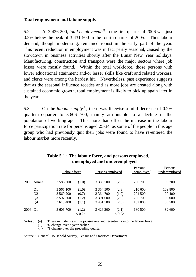### **Total employment and labour supply**

5.2 At 3 426 200, *total employment*(3) in the first quarter of 2006 was just 0.2% below the peak of 3 431 500 in the fourth quarter of 2005. Thus labour demand, though moderating, remained robust in the early part of the year. This recent reduction in employment was in fact partly seasonal, caused by the slowdown in business activities shortly after the Lunar New Year holidays. Manufacturing, construction and transport were the major sectors where job losses were mostly found. Within the total workforce, those persons with lower educational attainment and/or lesser skills like craft and related workers, and clerks were among the hardest hit. Nevertheless, past experience suggests that as the seasonal influence recedes and as more jobs are created along with sustained economic growth, total employment is likely to pick up again later in the year.

5.3 On the *labour supply*<sup>(4)</sup>, there was likewise a mild decrease of 0.2% quarter-to-quarter to 3 606 700, mainly attributable to a decline in the population of working age. This more than offset the increase in the labour force participation rate for persons aged 25-34, as some of the people in this age group who had previously quit their jobs were found to have re-entered the labour market more recently.

|         |                | Labour force  |          | Persons employed |          | Persons<br>$\mu$ unemployed <sup>(a)</sup> | Persons<br>underemployed |
|---------|----------------|---------------|----------|------------------|----------|--------------------------------------------|--------------------------|
|         | 2005 Annual    | 3 586 300     | (1.0)    | 3 3 8 5 5 0 0    | (2.3)    | 200 700                                    | 98 700                   |
|         | Q1             | 3 5 6 5 1 0 0 | (1.0)    | 3 3 5 4 5 0 0    | (2.3)    | 210 600                                    | 109 800                  |
|         | Q <sub>2</sub> | 3 569 200     | (0.7)    | 3 364 700        | (1.9)    | 204 500                                    | 100 400                  |
|         | Q <sub>3</sub> | 3 597 300     | (1.2)    | 3 391 600        | (2.6)    | 205 700                                    | 95 000                   |
|         | Q4             | 3 613 400     | (1.1)    | 3 4 3 1 5 0 0    | (2.5)    | 182 000                                    | 89 500                   |
| 2006 Q1 |                | 3 606 700     | (1.2)    | 3 4 2 6 2 0 0    | (2.1)    | 180 500                                    | 82 600                   |
|         |                |               | $<-0.2>$ |                  | $<-0.2>$ |                                            |                          |

# **Table 5.1 : The labour force, and persons employed, unemployed and underemployed**

Notes : (a) These include first-time job-seekers and re-entrants into the labour force.

 $( )$  % change over a year earlier.

 $\leq$  % change over the preceding quarter.

Source : General Household Survey, Census and Statistics Department.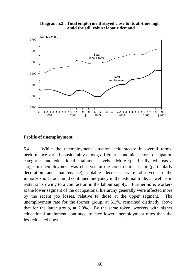



#### **Profile of unemployment**

5.4 While the unemployment situation held steady in overall terms, performance varied considerably among different economic sectors, occupation categories and educational attainment levels. More specifically, whereas a surge in unemployment was observed in the construction sector (particularly decoration and maintenance), notable decreases were observed in the import/export trade amid continued buoyancy in the external trade, as well as in restaurants owing to a contraction in the labour supply. Furthermore, workers at the lower segment of the occupational hierarchy generally were affected more by the recent job losses, relative to those at the upper segment. The unemployment rate for the former group, at 6.1%, remained distinctly above that for the latter group, at 2.0%. By the same token, workers with higher educational attainment continued to face lower unemployment rates than the less educated ones.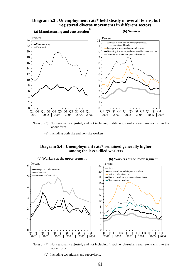#### **Diagram 5.3 : Unemployment rate\* held steady in overall terms, but registered diverse movements in different sectors**



- Notes : (\*) Not seasonally adjusted, and not including first-time job seekers and re-entrants into the labour force.
	- (#) Including both site and non-site workers.

#### **Diagram 5.4 : Unemployment rate\* remained generally higher among the less skilled workers**



 Notes : (\*) Not seasonally adjusted, and not including first-time job-seekers and re-entrants into the labour force.

(#) Including technicians and supervisors.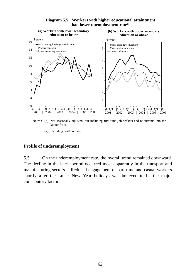

#### **Diagram 5.5 : Workers with higher educational attaintment had lower unemployment rate\***

Notes : (\*) Not seasonally adjusted, but including first-time job seekers and re-entrants into the labour force.

(#) Including craft courses.

#### **Profile of underemployment**

5.5 On the underemployment rate, the overall trend remained downward. The decline in the latest period occurred most apparently in the transport and manufacturing sectors. Reduced engagement of part-time and casual workers shortly after the Lunar New Year holidays was believed to be the major contributory factor.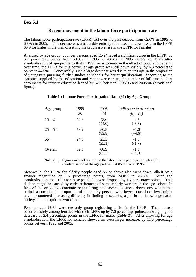## **Box 5.1**

### **Recent movement in the labour force participation rate**

The labour force participation rate (LFPR) fell over the past decade, from 62.0% in 1995 to 60.9% in 2005. This decline was attributable entirely to the secular downtrend in the LFPR 60.9 for males, more than offsetting the progressive rise in the LFPR for females.

Analysed by age group, younger persons aged 15-24 faced a significant drop in the LFPR, by 6.7 percentage points from 50.3% in 1995 to 43.6% in 2005 (*Table 1*). Even after standardisation of age profile to that in 1995 so as to remove the effect of population ageing over time, the LFPR for this particular age group was still down visibly, by  $6.3$  percentage points to 44.0%. Conceivably, such a large decrease was due to an upsurge in the proportion of youngsters pursuing further studies at schools for better qualifications. According to the statistics supplied by the Education and Manpower Bureau, the number of full-time student enrolments for tertiary education leaped by 57% between 1995/96 and 2005/06 (provisional figure).

| Age group | 1995<br>(a) | 2005<br>(b)    | Difference in % points<br>$(b)-(a)$ |
|-----------|-------------|----------------|-------------------------------------|
| $15 - 24$ | 50.3        | 43.6<br>(44.0) | $-6.7$<br>$(-6.3)$                  |
| $25 - 54$ | 79.2        | 80.8<br>(83.8) | $+1.6$<br>$(+4.6)$                  |
| $55+$     | 24.8        | 23.3<br>(23.1) | $-1.6$<br>$(-1.7)$                  |
| Overall   | 62.0        | 60.9<br>(63.3) | $-1.0$<br>$(+1.3)$                  |

#### **Table 1 : Labour Force Participation Rate (%) by Age Group**

Note: () Figures in brackets refer to the labour force participation rates after standardisation of the age profile in 2005 to that in 1995.

Meanwhile, the LFPR for elderly people aged 55 or above also went down, albeit by a smaller magnitude of 1.6 percentage points, from 24.8% to 23.3%. After age standardisation, the LFPR for these people likewise dropped, by 1.7 percentage points. This decline might be caused by early retirement of some elderly workers in the age cohort. In face of the on-going economic restructuring and several business downturns within this period, a considerable proportion of the elderly persons with lower educational level might have encountered increasing difficulty in finding or securing a job in the knowledge-based society and thus quit the workforce.

Persons aged 25-54 were the only group registering a rise in the LFPR. The increase occurred solely among females with their LFPR up by 7.6 percentage points, outweighing the decrease of 2.4 percentage points in the LFPR for males (*Table 2*). After allowing for age standardisation, the LFPR for females showed an even larger increase, by 11.0 percentage points between 1995 and 2005.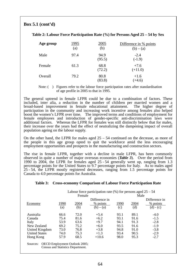# **Box 5.1 (cont'd)**

| Table 2: Labour Force Participation Rate (%) for Persons Aged 25 – 54 by Sex |  |  |
|------------------------------------------------------------------------------|--|--|
|                                                                              |  |  |

| Age group | 1995<br>(a) | 2005<br>(b)    | Difference in % points<br>$(b) - (a)$ |
|-----------|-------------|----------------|---------------------------------------|
| Male      | 97.4        | 94.9<br>(95.5) | $-2.4$<br>$(-1.9)$                    |
| Female    | 61.3        | 68.8<br>(72.2) | $+7.6$<br>$(+11.0)$                   |
| Overall   | 79.2        | 80.8<br>(83.8) | $+1.6$<br>$(+4.6)$                    |

Note: () Figures refer to the labour force participation rates after standardisation of age profile in 2005 to that in 1995.

The general uptrend in female LFPR could be due to a combination of factors. These included, inter alia, a reduction in the number of children per married women and a broad-based improvement in female educational attainment. participation in the community and increasing work incentive among females also helped boost the women's LFPR over time. The improved terms and conditions of employment for female employees and introduction of gender-specific anti-discrimination laws were additional factors. Whereas the LFPR for females was still distinctly below that for males, their increase over the years had the effect of neutralizing the dampening impact of overall population ageing on the labour supply.

On the other hand, the LFPR for males aged  $25 - 54$  continued on the decrease, as more of the people in this age group opted to quit the workforce amid the less encouraging employment opportunities and prospects in the manufacturing and construction sectors.

The rise in female LFPR, together with a decline in male LFPR, has been commonly observed in quite a number of major overseas economies (*Table 3*). Over the period from 1990 to 2004, the LFPR for females aged 25 - 54 generally went up, ranging from 1.3 percentage points for the United States to 9.7 percentage points for Italy. As to males aged 25 - 54, the LFPR mostly registered decreases, ranging from 1.5 percentage points for Canada to 4.0 percentage points for Australia.

#### **Table 3: Cross-economy Comparison of Labour Force Participation Rate**

| Labour force participation rate $(\%)$ for persons aged 25 – 54 |      |        |               |              |      |               |  |  |
|-----------------------------------------------------------------|------|--------|---------------|--------------|------|---------------|--|--|
|                                                                 |      | Female |               |              | Male |               |  |  |
|                                                                 |      |        | Difference in |              |      | Difference in |  |  |
| Economy                                                         | 1990 | 2004   | % points      | <u> 1990</u> | 2004 | % points      |  |  |
|                                                                 | (a)  | (b)    | $(b) - (a)$   | (c)          | (d)  | $(d) - (c)$   |  |  |
| Australia                                                       | 66.6 | 72.0   | $+5.4$        | 93.1         | 89.1 | $-4.0$        |  |  |
| Canada                                                          | 75.4 | 81.6   | $+6.2$        | 93.1         | 91.6 | $-1.5$        |  |  |
| Italy                                                           | 53.9 | 63.6   | $+9.7$        | 94.1         | 91.3 | $-2.8$        |  |  |
| New Zealand                                                     | 69.2 | 75.2   | $+6.0$        | 93.5         | 91.6 | $-1.9$        |  |  |
| United Kingdom                                                  | 73.0 | 76.8   | $+3.8$        | 94.8         | 91.0 | $-3.8$        |  |  |
| <b>United States</b>                                            | 74.0 | 75.3   | $+1.3$        | 93.4         | 90.5 | $-2.9$        |  |  |
| Hong Kong                                                       | 57.9 | 68.5   | $+10.6$       | 98.0         | 95.3 | $-2.7$        |  |  |
| <b>OECD Employment Outlook 2005;</b><br>Sources:                |      |        |               |              |      |               |  |  |

Census and Statistics Department.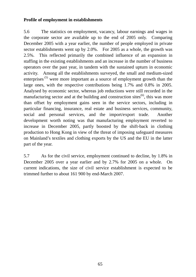# **Profile of employment in establishments**

5.6 The statistics on employment, vacancy, labour earnings and wages in the corporate sector are available up to the end of 2005 only. Comparing December 2005 with a year earlier, the number of people employed in private sector establishments went up by 2.0%. For 2005 as a whole, the growth was 2.5%. This reflected primarily the combined influence of an expansion in staffing in the existing establishments and an increase in the number of business operators over the past year, in tandem with the sustained upturn in economic activity. Among all the establishments surveyed, the small and medium-sized enterprises<sup>(5)</sup> were more important as a source of employment growth than the large ones, with the respective contributions being 1.7% and 0.8% in 2005. Analysed by economic sector, whereas job reductions were still recorded in the manufacturing sector and at the building and construction sites<sup> $(6)$ </sup>, this was more than offset by employment gains seen in the service sectors, including in particular financing, insurance, real estate and business services, community, social and personal services, and the import/export trade. Another development worth noting was that manufacturing employment reverted to increase in December 2005, partly boosted by the shift-back in clothing production to Hong Kong in view of the threat of imposing safeguard measures on Mainland's textiles and clothing exports by the US and the EU in the latter part of the year.

5.7 As for the civil service, employment continued to decline, by 1.8% in December 2005 over a year earlier and by 2.7% for 2005 on a whole. On current indications, the size of civil service establishment is expected to be trimmed further to about 161 900 by end-March 2007.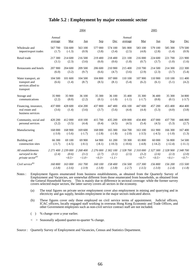#### **Table 5.2 : Employment by major economic sector**

|                                                                          |                   | 2004                                  |                             |                             |                             | 2005               |                             |                             |                             |                             |
|--------------------------------------------------------------------------|-------------------|---------------------------------------|-----------------------------|-----------------------------|-----------------------------|--------------------|-----------------------------|-----------------------------|-----------------------------|-----------------------------|
|                                                                          | Annual<br>average | Mar                                   | Jun                         | <b>Sep</b>                  | Dec                         | Annual<br>average  | Mar                         | Jun                         | <b>Sep</b>                  | Dec                         |
| Wholesale and                                                            | 567 700           | 556 600                               | 563 100                     | 577 000                     | 574 100                     | 581 800            | 583 100                     | 579 100                     | 585 300                     | 579 500                     |
| import/export trades                                                     | (1.7)             | $(-1.3)$                              | (0.9)                       | (3.8)                       | (3.4)                       | (2.5)              | (4.8)                       | (2.8)                       | (1.4)                       | (0.9)                       |
| Retail trade                                                             | 217 300           | 214 600                               | 216 500                     | 219 400                     | 218 400                     | 221 100            | 216 000                     | 224 600                     | 221 700                     | 221 900                     |
|                                                                          | (3.1)             | (2.3)                                 | (3.6)                       | (6.0)                       | (0.6)                       | (1.8)              | (0.7)                       | (3.7)                       | (1.0)                       | (1.6)                       |
| Restaurants and hotels                                                   | 207 900           | 204 600                               | 209 500                     | 206 600                     | 210 900                     | 215 400            | 210 700                     | 214 500                     | 214 300                     | 222 300                     |
|                                                                          | (6.0)             | (3.2)                                 | (9.7)                       | (6.6)                       | (4.7)                       | (3.6)              | (2.9)                       | (2.3)                       | (3.7)                       | (5.4)                       |
| Water transport, air<br>transport and<br>services allied to<br>transport | 104 500<br>(6.6)  | 101 600<br>(1.4)                      | 104 500<br>(8.7)            | 104 800<br>(8.5)            | 107 000<br>(8.1)            | 110 100<br>(5.4)   | 107 900<br>(6.2)            | 110 900<br>(6.1)            | 110 100<br>(5.1)            | 111 400<br>(4.2)            |
| Storage and                                                              | 35 900            | 35 900                                | 36 100                      | 35 300                      | 36 100                      | 35 400             | 35 300                      | 36 400                      | 35 300                      | 34 800                      |
| communications                                                           | (2.2)             | (8.0)                                 | (2.2)                       | (0.1)                       | $(-1.0)$                    | $(-1.1)$           | $(-1.7)$                    | (0.8)                       | (0.1)                       | $(-3.7)$                    |
| Financing, insurance,<br>real estate and<br>business services            | 437 000<br>(3.6)  | 428 600<br>(1.4)                      | 434 200<br>(3.6)            | 437 800<br>(3.7)            | 447 400<br>(5.6)            | 456 100<br>(4.4)   | 447 600<br>(4.4)            | 457 200<br>(5.3)            | 455 400<br>(4.0)            | 464 400<br>(3.8)            |
| Community, social and                                                    | 420 200           | 412 000                               | 418 100                     | 415 700                     | 435 200                     | 439 000            | 434 400                     | 437 000                     | 437 700                     | 446 800                     |
| personal services                                                        | (3.2)             | (3.5)                                 | (4.4)                       | (0.4)                       | (4.5)                       | (4.5)              | (5.4)                       | (4.5)                       | (5.3)                       | (2.7)                       |
| Manufacturing                                                            | 168 000           | 168 900                               | 169 600                     | 168 000                     | 165 300                     | 164 700            | 163 100                     | 161 900                     | 166 300                     | 167 400                     |
|                                                                          | $(-3.0)$          | $(-5.6)$                              | $(-1.7)$                    | $(-2.8)$                    | $(-1.8)$                    | $(-2.0)$           | $(-3.5)$                    | $(-4.5)$                    | $(-1.0)$                    | (1.3)                       |
| Building and                                                             | 66 300            | 69 100                                | 69 900                      | 64 900                      | 61 200                      | 59 300             | 65 800                      | 60 000                      | 56 800                      | 54 500                      |
| construction sites                                                       | $(-5.7)$          | $(-4.5)$                              | $(-0.1)$                    | $(-8.1)$                    | $(-10.3)$                   | $(-10.6)$          | $(-4.8)$                    | $(-14.2)$                   | $(-12.4)$                   | $(-11.1)$                   |
| All establishments<br>surveyed in the<br>private sector <sup>(a)</sup>   | (2.4)             | 2 271 400 2 239 000<br>(0.6)<br><0.5> | 2 268 400<br>(3.1)<br><1.0> | 2 276 000<br>(2.7)<br><0.3> | 2 302 100<br>(3.1)<br><1.1> | 2 328 700<br>(2.5) | 2 310 000<br>(3.2)<br><0.7> | 2 327 300<br>(2.6)<br><0.5> | 2 328 900<br>(2.3)<br><0.1> | 2 348 700<br>(2.0)<br><0.7> |
| Civil service <sup>(b)</sup>                                             | 160 800           | 163 000                               | 161 700                     | 160 100                     | 158 400                     | 156 500            | 157 300                     | 156 800                     | 156 200                     | 155 500                     |
|                                                                          | $(-3.8)$          | $(-3.6)$                              | $(-3.9)$                    | $(-3.8)$                    | $(-3.8)$                    | $(-2.7)$           | $(-3.5)$                    | $(-3.0)$                    | $(-2.4)$                    | $(-1.8)$                    |

Notes : Employment figures enumerated from business establishments, as obtained from the Quarterly Survey of Employment and Vacancies, are somewhat different from those enumerated from households, as obtained from the General Household Survey. This is mainly due to difference in sectoral coverage: while the former survey covers selected major sectors, the latter survey covers all sectors in the economy.

 (a) The total figures on private sector employment cover also employment in mining and quarrying and in electricity and gas supply, besides employment in the major sectors indicated above.

- (b) These figures cover only those employed on civil service terms of appointment. Judicial officers, ICAC officers, locally engaged staff working in overseas Hong Kong Economic and Trade Offices, and other Government employees such as non-civil service contract staff are not included.
- ( ) % change over a year earlier.
- < > Seasonally adjusted quarter-to-quarter % change.
- Source : Quarterly Survey of Employment and Vacancies, Census and Statistics Department.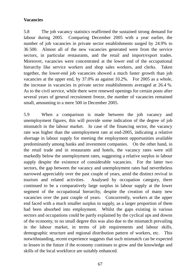## **Vacancies**

5.8 The job vacancy statistics reaffirmed the sustained strong demand for labour during 2005. Comparing December 2005 with a year earlier, the number of job vacancies in private sector establishments surged by 24.9% to 36 500. Almost all of the new vacancies generated were from the service sectors, in particular restaurants, and the retail and import/export trades. Moreover, vacancies were concentrated at the lower end of the occupational hierarchy like service workers and shop sales workers, and clerks. Taken together, the lower-end job vacancies showed a much faster growth than job vacancies at the upper end, by 37.0% as against 10.2%. For 2005 as a whole, the increase in vacancies in private sector establishments averaged at 26.4 %. As to the civil service, while there were renewed openings for certain posts after several years of general recruitment freeze, the number of vacancies remained small, amounting to a mere 500 in December 2005.

5.9 When a comparison is made between the job vacancy and unemployment figures, this will provide some indication of the degree of job mismatch in the labour market. In case of the financing sector, the vacancy rate was higher than the unemployment rate at end-2005, indicating a relative shortage in labour supply for meeting the employment opportunities available predominantly among banks and investment companies. On the other hand, in the retail trade and in restaurants and hotels, the vacancy rates were still markedly below the unemployment rates, suggesting a relative surplus in labour supply despite the existence of considerable vacancies. For the latter two sectors, the gap between the vacancy and unemployment rates had nevertheless narrowed appreciably over the past couple of years, amid the distinct revival in tourism and related activities. Analysed by occupation category, there continued to be a comparatively large surplus in labour supply at the lower segment of the occupational hierarchy, despite the creation of many new vacancies over the past couple of years. Concurrently, workers at the upper end faced with a much smaller surplus in supply, as a larger proportion of them had been absorbed into employment. Whilst the gaps existing in various sectors and occupations could be partly explained by the cyclical ups and downs of the economy, to no small degree this was also due to the mismatch prevailing in the labour market, in terms of job requirements and labour skills, demographic structure and regional distribution pattern of workers, etc. This notwithstanding, recent experience suggests that such mismatch can be expected to lessen in the future if the economy continues to grow and the knowledge and skills of the local workforce are suitably enhanced.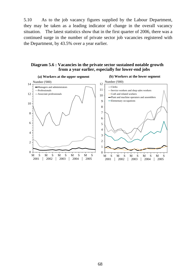5.10 As to the job vacancy figures supplied by the Labour Department, they may be taken as a leading indicator of change in the overall vacancy situation. The latest statistics show that in the first quarter of 2006, there was a continued surge in the number of private sector job vacancies registered with the Department, by 43.5% over a year earlier.

### **Diagram 5.6 : Vacancies in the private sector sustained notable growth from a year earlier, especially for lower-end jobs**

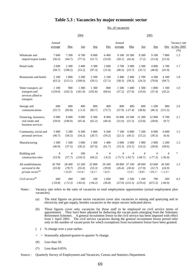### **Table 5.3 : Vacancies by major economic sector**

No. of vacancies

|                                                                          |                   | 2005                       |                                               |                             |                           |                   |                                    |                           |                            |                                            |                                        |
|--------------------------------------------------------------------------|-------------------|----------------------------|-----------------------------------------------|-----------------------------|---------------------------|-------------------|------------------------------------|---------------------------|----------------------------|--------------------------------------------|----------------------------------------|
|                                                                          | Annual<br>average | Mar                        | Jun                                           | <b>Sep</b>                  | Dec                       | Annual<br>average | Mar                                | Jun                       | Sep                        | Dec                                        | Vacancy rate<br>in Dec 2005<br>$(\% )$ |
| Wholesale and<br>import/export trades                                    | 7600<br>(56.5)    | 7 200<br>(64.7)            | 8700<br>(77.5)                                | 8 0 0 0<br>(51.7)           | 6400<br>(33.0)            | (20.1)            | 9 100 10 300<br>(42.4)             | 9 300<br>(7.2)            | 9 100<br>(13.4)            | 7800<br>(21.0)                             | 1.3                                    |
| Retail trade                                                             | 2 600<br>(58.7)   | 2 3 0 0<br>(108.2)         | 2 4 0 0<br>(55.2)                             | 3 3 0 0<br>(97.3)           | 2 600<br>(11.0)           | 3 700<br>(40.3)   | 3 000<br>(33.7)                    | 3 3 0 0<br>(35.7)         | 4 800<br>(46.8)            | 3700<br>(41.9)                             | 1.7                                    |
| Restaurants and hotels                                                   | 2 100<br>(63.2)   | 1800<br>(113.1)            | 2 2 0 0<br>(100.6)                            | 2 500<br>(50.1)             | 2 100<br>(27.1)           | 3 400<br>(58.3)   | 2 4 0 0<br>(39.3)                  | 2 700<br>(24.3)           | 4 3 0 0<br>(70.8)          | 4 100<br>(94.7)                            | 1.8                                    |
| Water transport, air<br>transport and<br>services allied to<br>transport | 1 100<br>(129.0)  | 900<br>(102.3)             | 1 300<br>(161.0)                              | 1 300<br>(192.8)            | 800<br>(60.6)             | 1 500<br>(37.2)   | 1 400<br>(57.9)                    | 1500<br>(19.0)            | 1 800<br>(37.4)            | 1 100<br>(43.2)                            | 1.0                                    |
| Storage and<br>communications                                            | 600<br>(55.7)     | 600<br>(83.8)              | 400<br>$(-3.3)$                               | 800<br>(83.7)               | 400<br>(73.7)             | 800               | 400<br>$(37.9)$ $(-27.4)$          | 600<br>(38.8)             | 1 200<br>(46.3)            | 900<br>(111.2)                             | 2.6                                    |
| Financing, insurance,<br>real estate and<br>business services            | 9 0 0 0<br>(59.6) | 8 600<br>(106.0)           | 9 0 0 0<br>(45.4)                             | 9 3 0 0<br>(62.2)           | 8 9 0 0<br>(40.4)         | (21.0)            | 10 800 10 500<br>(21.5)            | 11 200<br>(23.8)          | 12 000<br>(28.8)           | 9700<br>(9.7)                              | 2.1                                    |
| Community, social and<br>personal services                               | 5 9 0 0<br>(40.7) | 5 200<br>(56.5)            | 6 200<br>(34.2)                               | 5 800<br>(20.7)             | 6 200<br>(59.2)           | 7 100<br>(22.1)   | 6 800<br>(30.1)                    | 7 200<br>(15.2)           | 8 0 0 0<br>(39.3)          | 6 600<br>(6.4)                             | 1.5                                    |
| Manufacturing                                                            | 1 500<br>(46.9)   | 1500<br>(37.5)             | 1 600<br>(30.2)                               | 1500<br>(67.0)              | 1 400<br>(61.7)           | 2 000<br>(33.3)   | 2 0 0 0<br>(33.1)                  | 1 900<br>(16.2)           | 2 000<br>(28.8)            | 2 2 0 0<br>(58.6)                          | 1.3                                    |
| Building and<br>construction sites                                       | #<br>(53.9)       | #<br>(57.7)                | 100<br>(118.5)                                | #<br>(69.2)                 | #<br>$(-8.3)$             | #                 | #<br>$(-75.7)$ $(-92.7)$           | #<br>$(-84.7)$            | #<br>$(-77.3)$             | #<br>$(-36.4)$                             | *                                      |
| All establishments<br>surveyed in the<br>private sector <sup>(a)</sup>   | 30 700<br>(55.8)  | 28 400<br>(78.7)<br><13.0> | 32 200<br>(55.0)<br>$\langle$ <i>II.6&gt;</i> | 32 800<br>(55.3)<br>< 6.1 > | 29 200<br>(39.8)<br><4.5> | (26.4)            | 38 800 37 100<br>(30.4)<br>< 5.5 > | 38 000<br>(17.9)<br><0.8> | 43 600<br>(32.7)<br><19.1> | 36 500<br>(24.9)<br>$\langle -1.2 \rangle$ | 1.5                                    |
| Civil service <sup>(b)</sup>                                             | 600<br>$(-59.8)$  | 400<br>$(-72.3)$           | 300<br>$(-82.6)$                              | 100<br>$(-94.2)$            | 1600<br>(36.8)            | 900               | 1 500<br>$(57.0)$ $(231.5)$        | 1 100<br>(270.4)          | 700<br>(672.5)             | 500<br>$(-66.9)$                           | 0.3                                    |

Notes : Vacancy rate refers to the ratio of vacancies to total employment opportunities (actual employment plus vacancies).

(a) The total figures on private sector vacancies cover also vacancies in mining and quarrying and in electricity and gas supply, besides vacancies in the major sectors indicated above.

(b) These figures cover only vacancies for those staff to be employed on civil service terms of appointment. They have been adjusted by deducting the vacant posts emerging from the Voluntary Retirement Schemes. A general recruitment freeze to the civil service has been imposed with effect from 1 April 2003. The civil service vacancies during the general recruitment freeze period refer only to the number of vacant posts for which exemptions from recruitment freeze have been granted.

- ( ) % change over a year earlier.
- < > Seasonally adjusted quarter-to-quarter % change.
- $(\#)$  Less than 50.
- $(*)$  Less than 0.05%.

Source : Quarterly Survey of Employment and Vacancies, Census and Statistics Department.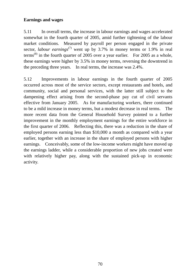## **Earnings and wages**

5.11 In overall terms, the increase in labour earnings and wages accelerated somewhat in the fourth quarter of 2005, amid further tightening of the labour market conditions. Measured by payroll per person engaged in the private sector, *labour earnings*<sup>(7)</sup> went up by 3.7% in money terms or 1.9% in real terms<sup>(8)</sup> in the fourth quarter of 2005 over a year earlier. For 2005 as a whole, these earnings were higher by 3.5% in money terms, reversing the downtrend in the preceding three years. In real terms, the increase was 2.4%.

5.12 Improvements in labour earnings in the fourth quarter of 2005 occurred across most of the service sectors, except restaurants and hotels, and community, social and personal services, with the latter still subject to the dampening effect arising from the second-phase pay cut of civil servants effective from January 2005. As for manufacturing workers, there continued to be a mild increase in money terms, but a modest decrease in real terms. The more recent data from the General Household Survey pointed to a further improvement in the monthly employment earnings for the entire workforce in the first quarter of 2006. Reflecting this, there was a reduction in the share of employed persons earning less than \$10,000 a month as compared with a year earlier, together with an increase in the share of employed persons with higher earnings. Conceivably, some of the low-income workers might have moved up the earnings ladder, while a considerable proportion of new jobs created were with relatively higher pay, along with the sustained pick-up in economic activity.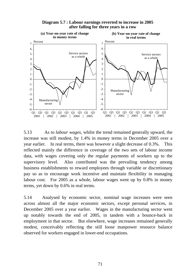

**Diagram 5.7 : Labour earnings reverted to increase in 2005 after falling for three years in a row**

5.13 As to *labour wages*, whilst the trend remained generally upward, the increase was still modest, by 1.4% in money terms in December 2005 over a year earlier. In real terms, there was however a slight decrease of 0.3%. This reflected mainly the difference in coverage of the two sets of labour income data, with wages covering only the regular payments of workers up to the supervisory level. Also contributed was the prevailing tendency among business establishments to reward employees through variable or discretionary pay so as to encourage work incentive and maintain flexibility in managing labour cost. For 2005 as a whole, labour wages went up by 0.8% in money terms, yet down by 0.6% in real terms.

5.14 Analysed by economic sector, nominal wage increases were seen across almost all the major economic sectors, except personal services, in December 2005 over a year earlier. Wages in the manufacturing sector went up notably towards the end of 2005, in tandem with a bounce-back in employment in that sector. But elsewhere, wage increases remained generally modest, conceivably reflecting the still loose manpower resource balance observed for workers engaged in lower-end occupations.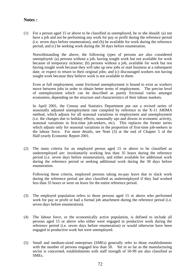### **Notes :**

(1) For a person aged 15 or above to be classified as unemployed, he or she should: (a) not have a job and not be performing any work for pay or profit during the reference period (i.e. seven days before enumeration); and (b) be available for work during the reference period; and (c) be seeking work during the 30 days before enumeration.

 Notwithstanding the above, the following types of persons are also considered unemployed: (a) persons without a job, having sought work but not available for work because of temporary sickness; (b) persons without a job, available for work but not having sought work because they will take up new jobs or start business at a subsequent date, or expect to return to their original jobs; and (c) discouraged workers not having sought work because they believe work is not available to them.

 Even at full employment, some frictional unemployment is bound to exist as workers move between jobs in order to obtain better terms of employment. The precise level of unemployment which can be described as purely frictional varies amongst economies, depending on the structure and characteristics of their labour markets.

 In April 2001, the Census and Statistics Department put out a revised series of seasonally adjusted unemployment rate compiled by reference to the X-11 ARIMA method, which adjusts for all seasonal variations in employment and unemployment (i.e. the changes due to holiday effects, seasonally ups and downs in economic activity, seasonal variations in first-time job-seekers, etc). This replaces the former series which adjusts only for seasonal variations in the proportion of first-time job-seekers in the labour force. For more details, see Note (3) at the end of Chapter 5 of the Half-yearly Economic Report 2001.

(2) The main criteria for an employed person aged 15 or above to be classified as underemployed are: involuntarily working less than 35 hours during the reference period (i.e. seven days before enumeration), and either available for additional work during the reference period or seeking additional work during the 30 days before enumeration.

 Following these criteria, employed persons taking no-pay leave due to slack work during the reference period are also classified as underemployed if they had worked less than 35 hours or were on leave for the entire reference period.

- (3) The employed population refers to those persons aged 15 or above who performed work for pay or profit or had a formal job attachment during the reference period (i.e. seven days before enumeration).
- (4) The labour force, or the economically active population, is defined to include all persons aged 15 or above who either were engaged in productive work during the reference period (i.e. seven days before enumeration) or would otherwise have been engaged in productive work but were unemployed.
- (5) Small and medium-sized enterprises (SMEs) generally refer to those establishments with the number of persons engaged less than 50. Yet in so far as the manufacturing sector is concerned, establishments with staff strength of 50-99 are also classified as SMEs.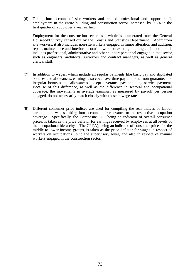(6) Taking into account off-site workers and related professional and support staff, employment in the entire building and construction sector increased, by 0.5% in the first quarter of 2006 over a year earlier.

 Employment for the construction sector as a whole is enumerated from the General Household Survey carried out by the Census and Statistics Department. Apart from site workers, it also includes non-site workers engaged in minor alteration and addition, repair, maintenance and interior decoration work on existing buildings. In addition, it includes professional, administrative and other support personnel engaged in that sector, such as engineers, architects, surveyors and contract managers, as well as general clerical staff.

- (7) In addition to wages, which include all regular payments like basic pay and stipulated bonuses and allowances, earnings also cover overtime pay and other non-guaranteed or irregular bonuses and allowances, except severance pay and long service payment. Because of this difference, as well as the difference in sectoral and occupational coverage, the movements in average earnings, as measured by payroll per person engaged, do not necessarily match closely with those in wage rates.
- (8) Different consumer price indices are used for compiling the real indices of labour earnings and wages, taking into account their relevance to the respective occupation coverage. Specifically, the Composite CPI, being an indicator of overall consumer prices, is taken as the price deflator for earnings received by employees at all levels of the occupational hierarchy. The CPI(A), being an indicator of consumer prices for the middle to lower income groups, is taken as the price deflator for wages in respect of workers on occupations up to the supervisory level, and also in respect of manual workers engaged in the construction sector.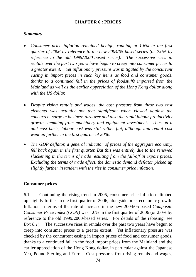## **CHAPTER 6 : PRICES**

## *Summary*

- *Consumer price inflation remained benign, running at 1.6% in the first quarter of 2006 by reference to the new 2004/05-based series (or 2.0% by reference to the old 1999/2000-based series). The successive rises in rentals over the past two years have begun to creep into consumer prices to a greater extent. Yet inflationary pressure was mitigated by the concurrent easing in import prices in such key items as food and consumer goods, thanks to a continued fall in the prices of foodstuffs imported from the Mainland as well as the earlier appreciation of the Hong Kong dollar along with the US dollar.*
- *Despite rising rentals and wages, the cost pressure from these two cost elements was actually not that significant when viewed against the concurrent surge in business turnover and also the rapid labour productivity growth stemming from machinery and equipment investment. Thus on a unit cost basis, labour cost was still rather flat, although unit rental cost went up further in the first quarter of 2006.*
- *The GDP deflator, a general indicator of prices of the aggregate economy, fell back again in the first quarter. But this was entirely due to the renewed slackening in the terms of trade resulting from the fall-off in export prices. Excluding the terms of trade effect, the domestic demand deflator picked up slightly further in tandem with the rise in consumer price inflation.*

## **Consumer prices**

6.1 Continuing the rising trend in 2005, consumer price inflation climbed up slightly further in the first quarter of 2006, alongside brisk economic growth. Inflation in terms of the rate of increase in the new 2004/05-based *Composite Consumer Price Index (CCPI)* was 1.6% in the first quarter of 2006 (or 2.0% by reference to the old 1999/2000-based series. For details of the rebasing, see *Box 6.1*). The successive rises in rentals over the past two years have begun to creep into consumer prices to a greater extent. Yet inflationary pressure was checked by the concurrent easing in import prices of food and consumer goods, thanks to a continued fall in the food import prices from the Mainland and the earlier appreciation of the Hong Kong dollar, in particular against the Japanese Yen, Pound Sterling and Euro. Cost pressures from rising rentals and wages,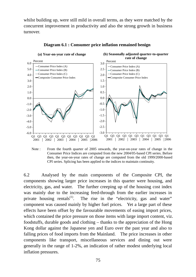whilst building up, were still mild in overall terms, as they were matched by the concurrent improvement in productivity and also the strong growth in business turnover.



#### **Diagram 6.1 : Consumer price inflation remained benign**

Note : From the fourth quarter of 2005 onwards, the year-on-year rates of change in the Consumer Price Indices are computed from the new 2004/05-based CPI series. Before then, the year-on-year rates of change are computed from the old 1999/2000-based CPI series. Splicing has been applied to the indices to maintain continuity.

6.2 Analysed by the main components of the Composite CPI, the components showing larger price increases in this quarter were housing, and electricity, gas, and water. The further creeping up of the housing cost index was mainly due to the increasing feed-through from the earlier increases in private housing rentals<sup> $(1)$ </sup>. The rise in the "electricity, gas and water" component was caused mainly by higher fuel prices. Yet a large part of these effects have been offset by the favourable movements of easing import prices, which contained the price pressure on those items with large import content, viz. foodstuffs, durable goods and clothing – thanks to the appreciation of the Hong Kong dollar against the Japanese yen and Euro over the past year and also to falling prices of food imports from the Mainland. The price increases in other components like transport, miscellaneous services and dining out were generally in the range of 1-2%, an indication of rather modest underlying local inflation pressures.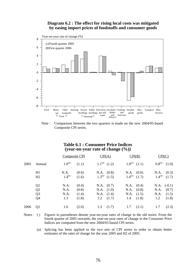#### **Diagram 6.2 : The effect for rising local costs was mitigated by easing import prices of foodstuffs and consumer goods**



Note : Comparison between the two quarters is made on the new 2004/05-based Composite CPI series.

### **Table 6.1 : Consumer Price Indices (year-on-year rate of change (%))**

|      |                | Composite CPI |       | CPI(A)     |                     | CPI(B)              |       | CPI(C)        |                     |
|------|----------------|---------------|-------|------------|---------------------|---------------------|-------|---------------|---------------------|
| 2005 | Annual         | $1.0^{(a)}$   | (1.1) |            | $1.1^{(a)}$ $(1.2)$ | $1.0^{(a)}$ $(1.1)$ |       |               | $0.8^{(a)}$ $(1.0)$ |
|      | H1             | N.A.          | (0.6) | N.A. (0.8) |                     | N.A. (0.6)          |       |               | N.A. (0.3)          |
|      | H2             | $1.4^{(a)}$   | (1.6) |            | $1.3^{(a)}$ $(1.5)$ | $1.4^{(a)}$ $(1.7)$ |       | $1.4^{(a)}$   | (1.7)               |
|      | Q <sub>1</sub> | N.A.          | (0.4) | N.A. (0.7) |                     | N.A. (0.4)          |       | $N.A.$ (-0.1) |                     |
|      | Q <sub>2</sub> | N.A.          | (0.8) | N.A. (1.0) |                     | N.A. (0.8)          |       | N.A. (0.7)    |                     |
|      | Q <sub>3</sub> | N.A.          | (1.4) | N.A. (1.4) |                     | $N.A.$ (1.5)        |       |               | $N.A.$ (1.5)        |
|      | Q <sub>4</sub> | 1.3           | (1.8) |            | $1.2 \quad (1.7)$   | $1.4$ $(1.8)$       |       | 1.2           | (1.8)               |
| 2006 | Q <sub>1</sub> | 1.6           | (2.0) | 1.3        | (1.7)               | 1.7                 | (2.1) | 1.7           | (2.3)               |

Notes : () Figures in parentheses denote year-on-year rates of change in the old series. From the fourth quarter of 2005 onwards, the year-on-year rates of change in the Consumer Price Indices are computed from the new 2004/05-based CPI series.

 (a) Splicing has been applied to the two sets of CPI series in order to obtain better estimates of the rates of change for the year 2005 and H2 of 2005.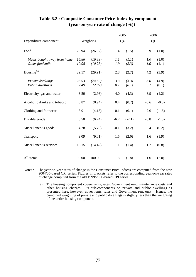|                                                 |                |                    | 2005       |                | 2006       |                |
|-------------------------------------------------|----------------|--------------------|------------|----------------|------------|----------------|
| <b>Expenditure component</b>                    |                | Weighting          | $Q_4$      |                | $\Omega$   |                |
| Food                                            | 26.94          | (26.67)            | 1.4        | (1.5)          | 0.9        | (1.0)          |
| Meals bought away from home<br>Other foodstuffs | 16.86<br>10.08 | (16.39)<br>(10.28) | 1.1<br>1.9 | (1.1)<br>(2.3) | 1.0<br>1.0 | (1.0)<br>(1.1) |
| Housing $(a)$                                   | 29.17          | (29.91)            | 2.8        | (2.7)          | 4.2        | (3.9)          |
| Private dwellings<br>Public dwellings           | 23.93<br>2.49  | (24.59)<br>(2.07)  | 3.3<br>0.1 | (3.3)<br>(0.1) | 5.0<br>0.1 | (4.9)<br>(0.1) |
| Electricity, gas and water                      | 3.59           | (2.98)             | 4.0        | (4.3)          | 3.9        | (4.2)          |
| Alcoholic drinks and tobacco                    | 0.87           | (0.94)             | 0.4        | (0.2)          | $-0.6$     | $(-0.8)$       |
| Clothing and footwear                           | 3.91           | (4.13)             | 0.1        | (0.1)          | $-2.0$     | $(-1.6)$       |
| Durable goods                                   | 5.50           | (6.24)             | $-6.7$     | $(-2.1)$       | $-5.8$     | $(-1.6)$       |
| Miscellaneous goods                             | 4.78           | (5.70)             | $-0.1$     | (3.2)          | 0.4        | (6.2)          |
| Transport                                       | 9.09           | (9.01)             | 1.5        | (2.0)          | 1.6        | (1.9)          |
| Miscellaneous services                          | 16.15          | (14.42)            | 1.1        | (1.4)          | 1.2        | (0.8)          |
| All items                                       | 100.00         | 100.00             | 1.3        | (1.8)          | 1.6        | (2.0)          |

## **Table 6.2 : Composite Consumer Price Index by component (year-on-year rate of change (%))**

- Notes : The year-on-year rates of change in the Consumer Price Indices are computed from the new 2004/05-based CPI series. Figures in brackets refer to the corresponding year-on-year rates of change computed from the old 1999/2000-based CPI series
	- (a) The housing component covers rents, rates, Government rent, maintenance costs and other housing charges. Its sub-components on private and public dwellings as presented here, however, cover rents, rates and Government rent only. Hence, the combined weighting of private and public dwellings is slightly less than the weighting of the entire housing component.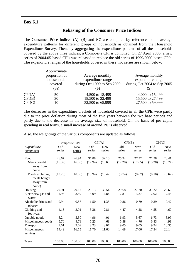## **Box 6.1**

### **Rebasing of the Consumer Price Indices**

The Consumer Price Indices (A), (B) and (C) are compiled by reference to the average expenditure patterns for different groups of households as obtained from the Household Expenditure Survey. Then, by aggregating the expenditure patterns of all the households covered by the above three indices, a Composite CPI is compiled. On 27 April 2006, a new series of 2004/05-based CPIs was released to replace the old series of 1999/2000-based CPIs. The expenditure ranges of the households covered in these two series are shown below:

|        | Approximate<br>proportion of<br>households<br>covered<br>$(\%)$ | Average monthly<br>expenditure range<br>during Oct 1999 to Sep 2000 | Average monthly<br>expenditure range<br>during Oct 2004 to Sep 2005<br>$(\$\)$ |
|--------|-----------------------------------------------------------------|---------------------------------------------------------------------|--------------------------------------------------------------------------------|
| CPI(A) | 50                                                              | 4,500 to 18,499                                                     | 4,000 to 15,499                                                                |
| CPI(B) | 30                                                              | 18,500 to 32,499                                                    | 15,500 to 27,499                                                               |
| CPI(C) | 10                                                              | 32,500 to 65,999                                                    | 27,500 to 59,999                                                               |

The decreases in the expenditure brackets of household covered in all the CPIs were partly due to the price deflation during most of the five years between the two base periods and partly due to the decrease in the average size of household. On the basis of per capita spending in real terms, a small increase of around 1% is observed.

Also, the weightings of the various components are updated as follows:

|                                    |         | Composite CPI |         | CPI(A)     | CPI(B)  |            | CPI(C)  |            |
|------------------------------------|---------|---------------|---------|------------|---------|------------|---------|------------|
| Expenditure                        | Old     | <b>New</b>    | Old     | <b>New</b> | Old     | <b>New</b> | Old     | <b>New</b> |
| component                          | series  | series        | series  | series     | series  | series     | series  | series     |
|                                    |         |               |         |            |         |            |         |            |
| Food                               | 26.67   | 26.94         | 31.88   | 32.10      | 25.94   | 27.32      | 21.38   | 20.41      |
| Meals bought<br>away from<br>home  | (16.39) | (16.86)       | (17.94) | (18.63)    | (17.20) | (17.65)    | (13.28) | (13.74)    |
| Food (excluding                    | (10.28) | (10.08)       | (13.94) | (13.47)    | (8.74)  | (9.67)     | (8.10)  | (6.67)     |
| meals bought<br>away from<br>home) |         |               |         |            |         |            |         |            |
| Housing                            | 29.91   | 29.17         | 29.13   | 30.54      | 29.68   | 27.70      | 31.22   | 29.66      |
| Electricity, gas and               | 2.98    | 3.59          | 3.99    | 4.84       | 2.81    | 3.37       | 2.02    | 2.45       |
| water                              |         |               |         |            |         |            |         |            |
| Alcoholic drinks and<br>tobacco    | 0.94    | 0.87          | 1.50    | 1.35       | 0.86    | 0.79       | 0.39    | 0.42       |
| Clothing and                       | 4.13    | 3.91          | 3.36    | 2.81       | 4.47    | 4.28       | 4.55    | 4.67       |
| footwear                           |         |               |         |            |         |            |         |            |
| Durable goods                      | 6.24    | 5.50          | 4.96    | 4.01       | 6.93    | 5.67       | 6.73    | 6.99       |
| Miscellaneous goods                | 5.70    | 4.78          | 5.25    | 4.68       | 5.58    | 4.76       | 6.43    | 4.91       |
| Transport                          | 9.01    | 9.09          | 8.23    | 8.07       | 9.05    | 9.05       | 9.94    | 10.35      |
| Miscellaneous<br>services          | 14.42   | 16.15         | 11.70   | 11.60      | 14.68   | 17.06      | 17.34   | 20.14      |
| Overall                            | 100.00  | 100.00        | 100.00  | 100.00     | 100.00  | 100.00     | 100.00  | 100.00     |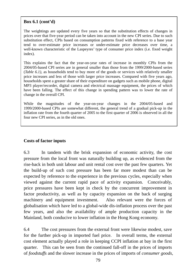## **Box 6.1 (cont'd)**

The weightings are updated every five years so that the substitution effects of changes in prices over that five-year period can be taken into account in the new CPI series. Due to such substitution effect, CPIs based on consumption patterns fixed with reference to a base year tend to over-estimate price increases or under-estimate price decreases over time, a well-known characteristic of the Laspeyres' type of consumer price index (i.e. fixed weight index).

This explains the fact that the year-on-year rates of increase in monthly CPIs from the 2004/05-based CPI series are in general smaller than those from the 1999/2000-based series (*Table 6.1)*, as households tend to buy more of the goods or services with relatively smaller price increases and less of those with larger price increases. Compared with five years ago, households spent a greater share of their expenditure on gadgets such as mobile phone, digital MP3 player/recorder, digital camera and electrical massage equipment, the prices of which have been falling. The effect of this change in spending pattern was to lower the rate of change in the overall CPI.

While the magnitudes of the year-on-year changes in the 2004/05-based and 1999/2000-based CPIs are somewhat different, the general trend of a gradual pick-up in the inflation rate from the fourth quarter of 2005 to the first quarter of 2006 is observed in all the four new CPI series, as in the old ones.

## **Costs of factor inputs**

6.3 In tandem with the brisk expansion of economic activity, the cost pressure from the local front was naturally building up, as evidenced from the rise-back in both unit labour and unit rental cost over the past few quarters. Yet the build-up of such cost pressure has been far more modest than can be expected by reference to the experience in the previous cycles, especially when viewed against the current rapid pace of activity expansion. Conceivably, price pressures have been kept in check by the concurrent improvement in factor productivity, as well as by capacity expansion on the back of surging machinery and equipment investment. Also relevant were the forces of globalisation which have led to a global-wide dis-inflation process over the past few years, and also the availability of ample production capacity in the Mainland, both conducive to lower inflation in the Hong Kong economy.

6.4 The cost pressures from the external front were likewise modest, save for the further pick-up in imported fuel price. In overall terms, the external cost element actually played a role in keeping CCPI inflation at bay in the first quarter. This can be seen from the continued fall-off in the prices of imports of *foodstuffs* and the slower increase in the prices of imports of *consumer goods,*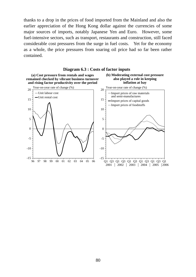thanks to a drop in the prices of food imported from the Mainland and also the earlier appreciation of the Hong Kong dollar against the currencies of some major sources of imports, notably Japanese Yen and Euro. However, some fuel-intensive sectors, such as transport, restaurants and construction, still faced considerable cost pressures from the surge in fuel costs. Yet for the economy as a whole, the price pressures from soaring oil price had so far been rather contained.



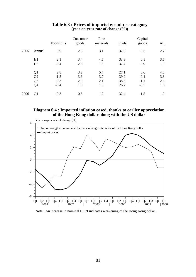|      |                                                                      | Foodstuffs                     | Consumer<br>goods        | Raw<br>materials         | Fuels                        | Capital<br>goods                  | <u>All</u>               |
|------|----------------------------------------------------------------------|--------------------------------|--------------------------|--------------------------|------------------------------|-----------------------------------|--------------------------|
| 2005 | Annual                                                               | 0.9                            | 2.8                      | 3.1                      | 32.9                         | $-0.5$                            | 2.7                      |
|      | H1<br>H2                                                             | 2.1<br>$-0.4$                  | 3.4<br>2.3               | 4.6<br>1.8               | 33.3<br>32.4                 | 0.1<br>$-0.9$                     | 3.6<br>1.9               |
|      | Q <sub>1</sub><br>Q <sub>2</sub><br>Q <sub>3</sub><br>Q <sub>4</sub> | 2.8<br>1.5<br>$-0.3$<br>$-0.4$ | 3.2<br>3.6<br>2.9<br>1.8 | 5.7<br>3.7<br>2.1<br>1.5 | 27.1<br>39.9<br>38.3<br>26.7 | 0.6<br>$-0.4$<br>$-1.1$<br>$-0.7$ | 4.0<br>3.3<br>2.3<br>1.6 |
| 2006 | Q1                                                                   | $-0.3$                         | 0.5                      | 1.2                      | 32.4                         | $-1.5$                            | 1.0                      |

### **Table 6.3 : Prices of imports by end-use category (year-on-year rate of change (%))**

### **Diagram 6.4 : Imported inflation eased, thanks to earlier appreciation of the Hong Kong dollar along with the US dollar**



#### Note : An increase in nominal EERI indicates weakening of the Hong Kong dollar.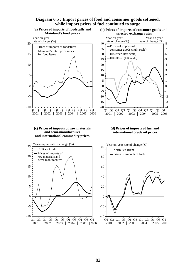#### **Diagram 6.5 : Import prices of food and consumer goods softened, while import prices of fuel continued to surge**

#### **(a) Prices of imports of foodstuffs and Mainland's food prices**



**(b) Prices of imports of consumer goods and selected exchange rates**



#### **(c) Prices of imports of raw materials and semi-manufactures and international commodity prices**



#### **(d) Prices of imports of fuel and international crude oil prices**

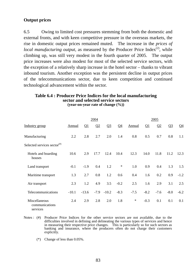## **Output prices**

6.5 Owing to limited cost pressures stemming from both the domestic and external fronts, and with keen competitive pressure in the overseas markets, the rise in domestic output prices remained muted. The increase in the *prices of local manufacturing output*, as measured by the Producer Price Index<sup>(2)</sup>, while climbing up, was still very modest in the fourth quarter of 2005. The output price increases were also modest for most of the selected service sectors, with the exception of a relatively sharp increase in the hotel sector – thanks to vibrant inbound tourism. Another exception was the persistent decline in output prices of the telecommunications sector, due to keen competition and continued technological advancement within the sector.

#### **Table 6.4 : Producer Price Indices for the local manufacturing sector and selected service sectors (year-on-year rate of change (%))**

|                                                                      |         | 2004     |        | 2005    |                |        |          |          |        |                       |
|----------------------------------------------------------------------|---------|----------|--------|---------|----------------|--------|----------|----------|--------|-----------------------|
| Industry group                                                       | Annual  | $\Omega$ | Q2     | $Q_3$   | Q <sub>4</sub> | Annual | $\Omega$ | $\Omega$ | $Q_3$  | $\Omega$ <sup>4</sup> |
| Manufacturing                                                        | 2.2     | 2.8      | 2.7    | 2.0     | 1.4            | 0.8    | 0.5      | 0.7      | 0.8    | 1.1                   |
| Selected services sector $($ <sup><math>#</math><math>)</math></sup> |         |          |        |         |                |        |          |          |        |                       |
| Hotels and boarding<br>houses                                        | 10.6    | 2.9      | 17.7   | 12.4    | 10.4           | 12.3   | 14.0     | 11.8     | 11.2   | 12.3                  |
| Land transport                                                       | $-0.1$  | $-1.9$   | 0.4    | 1.2     | $\ast$         | 1.0    | 0.9      | 0.4      | 1.3    | 1.5                   |
| Maritime transport                                                   | 1.3     | 2.7      | 0.8    | 1.2     | 0.6            | 0.4    | 1.6      | 0.2      | 0.9    | $-1.2$                |
| Air transport                                                        | 2.3     | 1.2      | 4.9    | 3.5     | $-0.2$         | 2.5    | 1.6      | 2.9      | 3.1    | 2.5                   |
| Telecommunications                                                   | $-10.1$ | $-13.6$  | $-7.9$ | $-10.2$ | $-8.3$         | $-7.5$ | $-8.2$   | $-7.6$   | $-8.0$ | $-6.2$                |
| Miscellaneous<br>communications<br>services                          | 2.4     | 2.9      | 2.8    | 2.0     | 1.8            | $\ast$ | $-0.3$   | 0.1      | 0.1    | 0.1                   |

Notes : (#) Producer Price Indices for the other service sectors are not available, due to the difficulties involved in defining and delineating the various types of services and hence in measuring their respective price changes. This is particularly so for such sectors as banking and insurance, where the producers often do not charge their customers explicitly.

(\*) Change of less than 0.05%.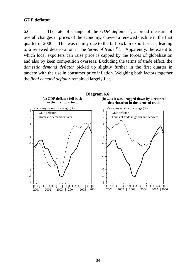### **GDP deflator**

6.6 The rate of change of the *GDP deflator* (3), a broad measure of overall changes in prices of the economy, showed a renewed decline in the first quarter of 2006. This was mainly due to the fall-back in export prices, leading to a renewed deterioration in the *terms of trade* <sup>(4)</sup>. Apparently, the extent to which local exporters can raise price is capped by the forces of globalisation and also by keen competition overseas. Excluding the terms of trade effect, the *domestic demand deflator* picked up slightly further in the first quarter in tandem with the rise in consumer price inflation. Weighing both factors together, the *final demand deflator* remained largely flat.

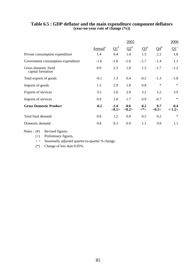|                                           |                     |                           | 2005                      |            |                        | 2006            |
|-------------------------------------------|---------------------|---------------------------|---------------------------|------------|------------------------|-----------------|
|                                           | Annual <sup>#</sup> | $\Omega^{1}$              | $\Omega^*$                | $Q3^*$     | $Q4^{\#}$              | $\Omega^+$      |
| Private consumption expenditure           | 1.4                 | 0.4                       | 1.4                       | 1.5        | 2.2                    | 1.8             |
| Government consumption expenditure        | $-1.6$              | $-1.8$                    | $-1.6$                    | $-1.7$     | $-1.4$                 | 1.1             |
| Gross domestic fixed<br>capital formation | 0.9                 | 2.3                       | 1.8                       | 1.3        | $-1.7$                 | $-1.2$          |
| Total exports of goods                    | $-0.1$              | 1.3                       | 0.4                       | $-0.2$     | $-1.3$                 | $-1.8$          |
| Imports of goods                          | 1.3                 | 2.9                       | 1.8                       | 0.8        | $\ast$                 | $\ast$          |
| Exports of services                       | 3.5                 | 2.6                       | 2.9                       | 3.2        | 5.2                    | 3.9             |
| Imports of services                       | 0.9                 | 2.0                       | 1.7                       | 0.9        | $-0.7$                 | $\ast$          |
| <b>Gross Domestic Product</b>             | $-0.2$              | $-1.4$<br>$<\!\!0.1\!\!>$ | $-0.6$<br>$<\!\!0.2\!\!>$ | 0.2<br><*> | 0.7<br>$<\!\!0.5\!\!>$ | $-0.4$<br><1.2> |
| Total final demand                        | 0.8                 | 1.2                       | 0.9                       | 0.5        | 0.2                    | $\ast$          |
| Domestic demand                           | 0.8                 | 0.3                       | 0.9                       | 1.1        | 0.9                    | 1.1             |

#### **Table 6.5 : GDP deflator and the main expenditure component deflators (year-on-year rate of change (%))**

Notes : (#) Revised figures.

(+) Preliminary figures.

< > Seasonally adjusted quarter-to-quarter % change.

(\*) Change of less than 0.05%.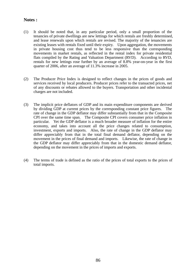### **Notes :**

- (1) It should be noted that, in any particular period, only a small proportion of the tenancies of private dwellings are new lettings for which rentals are freshly determined, and lease renewals upon which rentals are revised. The majority of the tenancies are existing leases with rentals fixed until their expiry. Upon aggregation, the movements in private housing cost thus tend to be less responsive than the corresponding movements in market rentals, as reflected in the rental index for private residential flats compiled by the Rating and Valuation Department (RVD). According to RVD, rentals for new lettings rose further by an average of 8.8% year-on-year in the first quarter of 2006, after an average of 11.3% increase in 2005.
- (2) The Producer Price Index is designed to reflect changes in the prices of goods and services received by local producers. Producer prices refer to the transacted prices, net of any discounts or rebates allowed to the buyers. Transportation and other incidental charges are not included.
- (3) The implicit price deflators of GDP and its main expenditure components are derived by dividing GDP at current prices by the corresponding constant price figures. The rate of change in the GDP deflator may differ substantially from that in the Composite CPI over the same time span. The Composite CPI covers consumer price inflation in particular. Yet the GDP deflator is a much broader measure of inflation for the entire economy, and takes into account all the price changes related to consumption, investment, exports and imports. Also, the rate of change in the GDP deflator may differ appreciably from that in the total final demand deflator, depending on the movement in the prices of final demand and imports. Likewise, the rate of change in the GDP deflator may differ appreciably from that in the domestic demand deflator, depending on the movement in the prices of imports and exports.
- (4) The terms of trade is defined as the ratio of the prices of total exports to the prices of total imports.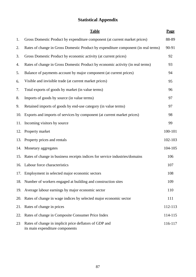# **Statistical Appendix**

|     | <b>Table</b>                                                                              | Page    |
|-----|-------------------------------------------------------------------------------------------|---------|
| 1.  | Gross Domestic Product by expenditure component (at current market prices)                | 88-89   |
| 2.  | Rates of change in Gross Domestic Product by expenditure component (in real terms)        | 90-91   |
| 3.  | Gross Domestic Product by economic activity (at current prices)                           | 92      |
| 4.  | Rates of change in Gross Domestic Product by economic activity (in real terms)            | 93      |
| 5.  | Balance of payments account by major component (at current prices)                        | 94      |
| 6.  | Visible and invisible trade (at current market prices)                                    | 95      |
| 7.  | Total exports of goods by market (in value terms)                                         | 96      |
| 8.  | Imports of goods by source (in value terms)                                               | 97      |
| 9.  | Retained imports of goods by end-use category (in value terms)                            | 97      |
| 10. | Exports and imports of services by component (at current market prices)                   | 98      |
| 11. | Incoming visitors by source                                                               | 99      |
| 12. | Property market                                                                           | 100-101 |
| 13. | Property prices and rentals                                                               | 102-103 |
| 14. | Monetary aggregates                                                                       | 104-105 |
| 15. | Rates of change in business receipts indices for service industries/domains               | 106     |
| 16. | Labour force characteristics                                                              | 107     |
|     | 17. Employment in selected major economic sectors                                         | 108     |
|     | 18. Number of workers engaged at building and construction sites                          | 109     |
| 19. | Average labour earnings by major economic sector                                          | 110     |
| 20. | Rates of change in wage indices by selected major economic sector                         | 111     |
| 21. | Rates of change in prices                                                                 | 112-113 |
| 22. | Rates of change in Composite Consumer Price Index                                         | 114-115 |
| 23  | Rates of change in implicit price deflators of GDP and<br>its main expenditure components | 116-117 |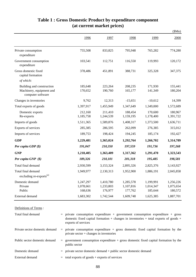|                                                                            |                                   |                                   |                                   |                                   | \$Mn)                             |
|----------------------------------------------------------------------------|-----------------------------------|-----------------------------------|-----------------------------------|-----------------------------------|-----------------------------------|
|                                                                            | 1996                              | 1997                              | 1998                              | 1999                              | 2000                              |
| Private consumption<br>expenditure                                         | 755,508                           | 833,825                           | 795,948                           | 765,282                           | 774,280                           |
| Government consumption<br>expenditure                                      | 103,541                           | 112,751                           | 116,550                           | 119,993                           | 120,172                           |
| Gross domestic fixed<br>capital formation                                  | 378,486                           | 451,891                           | 388,731                           | 325,328                           | 347,375                           |
| of which:                                                                  |                                   |                                   |                                   |                                   |                                   |
| Building and construction<br>Machinery, equipment and<br>computer software | 185,648<br>170,652                | 223,264<br>190,760                | 208,235<br>165,177                | 171,930<br>141,349                | 155,441<br>180,204                |
| Changes in inventories                                                     | 9,762                             | 12,313                            | $-15,651$                         | $-10,612$                         | 14,399                            |
| Total exports of goods                                                     | 1,397,917                         | 1,455,949                         | 1,347,649                         | 1,349,000                         | 1,572,689                         |
| Domestic exports<br>Re-exports                                             | 212,160<br>1,185,758              | 211,410<br>1,244,539              | 188,454<br>1,159,195              | 170,600<br>1,178,400              | 180,967<br>1,391,722              |
| Imports of goods                                                           | 1,511,365                         | 1,589,876                         | 1,408,317                         | 1,373,500                         | 1,636,711                         |
| Exports of services                                                        | 285,385                           | 286,595                           | 262,099                           | 276,385                           | 315,012                           |
| Imports of services                                                        | 189,753                           | 198,424                           | 194,245                           | 185,174                           | 192,427                           |
| <b>GDP</b>                                                                 | 1,229,481                         | 1,365,024                         | 1,292,764                         | 1,266,702                         | 1,314,789                         |
| Per capita GDP (\$)                                                        | 191,047                           | 210,350                           | 197,559                           | 191,736                           | 197,268                           |
| <b>GNP</b>                                                                 | 1,218,405                         | 1,363,409                         | 1,317,362                         | 1,291,470                         | 1,323,543                         |
| Per capita GNP (\$)                                                        | 189,326                           | 210,101                           | 201,318                           | 195,485                           | 198,581                           |
| Total final demand                                                         | 2,930,599                         | 3,153,324                         | 2,895,326                         | 2,825,376                         | 3,143,927                         |
| Total final demand<br>excluding re-exports <sup>(a)</sup>                  | 1,949,977                         | 2,130,313                         | 1,952,900                         | 1,886,191                         | 2,045,858                         |
| Domestic demand<br>Private<br>Public                                       | 1,247,297<br>1,078,661<br>168,636 | 1,410,780<br>1,233,803<br>176,977 | 1,285,578<br>1,107,816<br>177,762 | 1,199,991<br>1,014,347<br>185,644 | 1,256,226<br>1,075,654<br>180,572 |
| External demand                                                            | 1,683,302                         | 1,742,544                         | 1,609,748                         | 1,625,385                         | 1,887,701                         |

# **Table 1 : Gross Domestic Product by expenditure component (at current market prices)**

| Definitions of Terms:          |                                                                                                                                                                                                       |
|--------------------------------|-------------------------------------------------------------------------------------------------------------------------------------------------------------------------------------------------------|
| Total final demand             | $=$ private consumption expenditure + government consumption expenditure + gross<br>domestic fixed capital formation $+$ changes in inventories $+$ total exports of goods $+$<br>exports of services |
| Private sector domestic demand | $=$ private consumption expenditure $+$ gross domestic fixed capital formation by the<br>private sector $+$ changes in inventories                                                                    |
| Public sector domestic demand  | $=$ government consumption expenditure $+$ gross domestic fixed capital formation by the<br>public sector                                                                                             |
| Domestic demand                | $=$ private sector domestic demand $+$ public sector domestic demand                                                                                                                                  |
| External demand                | $=$ total exports of goods + exports of services                                                                                                                                                      |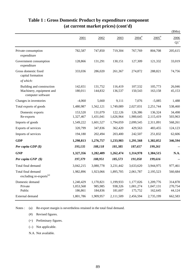|                                                                            |                                   |                                 |                                 |                                   |                                   | \$Mn)                        |
|----------------------------------------------------------------------------|-----------------------------------|---------------------------------|---------------------------------|-----------------------------------|-----------------------------------|------------------------------|
|                                                                            | 2001                              | 2002                            | 2003                            | $2004$ <sup>#</sup>               | $2005$ <sup>#</sup>               | 2006<br>$Q1^+$               |
| Private consumption<br>expenditure                                         | 782,587                           | 747,850                         | 719,304                         | 767,769                           | 804,708                           | 205,615                      |
| Government consumption<br>expenditure                                      | 128,866                           | 131,291                         | 130,151                         | 127,309                           | 121,332                           | 33,019                       |
| Gross domestic fixed<br>capital formation                                  | 333,036                           | 286,020                         | 261,367                         | 274,872                           | 288,821                           | 74,756                       |
| of which:                                                                  |                                   |                                 |                                 |                                   |                                   |                              |
| Building and construction<br>Machinery, equipment and<br>computer software | 142,651<br>180,011                | 131,752<br>144,832              | 116,419<br>136,537              | 107,532<br>150,543                | 105,773<br>163,158                | 26,046<br>45,153             |
| Changes in inventories                                                     | $-4,060$                          | 5,660                           | 9,111                           | 7,076                             | $-5,085$                          | 1,488                        |
| Total exports of goods                                                     | 1,480,987                         | 1,562,121                       | 1,749,089                       | 2,027,031                         | 2,251,744                         | 538,460                      |
| Domestic exports<br>Re-exports                                             | 153,520<br>1,327,467              | 131,079<br>1,431,041            | 122,126<br>1,626,964            | 126,386<br>1,900,645              | 136,324<br>2,115,419              | 34,498<br>503,963            |
| Imports of goods                                                           | 1,549,222                         | 1,601,527                       | 1,794,059                       | 2,099,545                         | 2,311,091                         | 568,261                      |
| Exports of services                                                        | 320,799                           | 347,836                         | 362,420                         | 429,563                           | 483,455                           | 124,123                      |
| Imports of services                                                        | 194,180                           | 202,494                         | 203,400                         | 242,507                           | 251,832                           | 62,606                       |
| <b>GDP</b>                                                                 | 1,298,813                         | 1,276,757                       | 1,233,983                       | 1,291,568                         | 1,382,052                         | 346,594                      |
| Per capita GDP $(\$)$                                                      | 193,135                           | 188,118                         | 181,385                         | 187,657                           | 199,261                           |                              |
| <b>GNP</b>                                                                 | 1,327,356                         | 1,282,409                       | 1,262,474                       | 1,314,978                         | 1,384,515                         | N.A.                         |
| Per capita GNP (\$)                                                        | 197,379                           | 188,951                         | 185,573                         | 191,058                           | 199,616                           |                              |
| Total final demand                                                         | 3,042,215                         | 3,080,778                       | 3,231,442                       | 3,633,620                         | 3,944,975                         | 977,461                      |
| Total final demand<br>excluding re-exports <sup>(a)</sup>                  | 1,982,896                         | 1,923,066                       | 1,895,705                       | 2,061,787                         | 2,195,523                         | 560,684                      |
| Domestic demand<br>Private<br>Public                                       | 1,240,429<br>1,053,568<br>186,861 | 1,170,821<br>985,985<br>184,836 | 1,199,933<br>938,326<br>181,607 | 1,177,026<br>1,001,274<br>175,752 | 1,209,776<br>1,047,131<br>162,645 | 314,878<br>270,754<br>44,124 |
| External demand                                                            | 1,801,786                         | 1,909,957                       | 2,111,509                       | 2,456,594                         | 2,735,199                         | 662,583                      |

# **Table 1 : Gross Domestic Product by expenditure component (at current market prices) (cont'd)**

(a) Re-export margin is nevertheless retained in the total final demand. Notes :

- (#) Revised figures.
- (+) Preliminary figures.
- (--) Not applicable.
- N.A. Not available.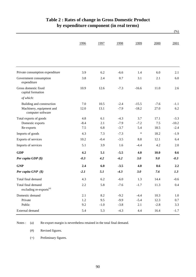|                                                           | 1996    | 1997   | 1998   | 1999    | 2000   | 2001    |
|-----------------------------------------------------------|---------|--------|--------|---------|--------|---------|
|                                                           |         |        |        |         |        |         |
| Private consumption expenditure                           | 3.9     | 6.2    | $-6.6$ | 1.4     | 6.0    | 2.1     |
| Government consumption<br>expenditure                     | 3.8     | 2.4    | 0.7    | 3.1     | 2.1    | 6.0     |
| Gross domestic fixed<br>capital formation                 | 10.9    | 12.6   | $-7.3$ | $-16.6$ | 11.0   | 2.6     |
| of which:                                                 |         |        |        |         |        |         |
| Building and construction                                 | 7.0     | 10.5   | $-2.4$ | $-15.5$ | $-7.6$ | $-1.1$  |
| Machinery, equipment and<br>computer software             | 12.0    | 13.1   | $-7.9$ | $-18.2$ | 27.0   | 6.2     |
| Total exports of goods                                    | 4.8     | 6.1    | $-4.3$ | 3.7     | 17.1   | $-3.3$  |
| Domestic exports                                          | $-8.4$  | 2.1    | $-7.9$ | $-7.2$  | 7.5    | $-10.2$ |
| Re-exports                                                | 7.5     | 6.8    | $-3.7$ | 5.4     | 18.5   | $-2.4$  |
| Imports of goods                                          | 4.3     | 7.3    | $-7.3$ | $\ast$  | 18.2   | $-1.9$  |
| Exports of services                                       | 10.2    | $-0.4$ | $-3.5$ | 8.8     | 12.1   | 6.4     |
| Imports of services                                       | 5.1     | 3.9    | 1.6    | $-4.4$  | 4.2    | 2.0     |
| <b>GDP</b>                                                | 4.2     | 5.1    | $-5.5$ | 4.0     | 10.0   | 0.6     |
| Per capita GDP $(\$)$                                     | $-0.3$  | 4.2    | $-6.2$ | 3.0     | 9.0    | $-0.3$  |
| <b>GNP</b>                                                | 2.4     | 6.0    | $-3.5$ | 4.0     | 8.6    | 2.2     |
| Per capita GNP (\$)                                       | $-2.1$  | 5.1    | $-4.3$ | 3.0     | 7.6    | 1.3     |
| Total final demand                                        | 4.3     | 6.2    | $-6.0$ | 1.3     | 14.4   | $-0.6$  |
| Total final demand<br>excluding re-exports <sup>(a)</sup> | $2.2\,$ | 5.8    | $-7.6$ | $-1.7$  | 11.3   | 0.4     |
| Domestic demand                                           | 2.1     | 8.2    | $-9.2$ | $-4.4$  | 10.3   | 1.0     |
| Private                                                   | $1.2\,$ | 9.5    | $-9.9$ | $-5.4$  | 12.3   | 0.7     |
| Public                                                    | 9.2     | $-1.0$ | $-3.8$ | 2.1     | $-2.8$ | 3.3     |
| External demand                                           | 5.4     | 5.3    | $-4.3$ | 4.4     | 16.4   | $-1.7$  |

# **Table 2 : Rates of change in Gross Domestic Product by expenditure component (in real terms)**

 $(%)$ 

(a) Re-export margin is nevertheless retained in the total final demand. Notes :

> (#) Revised figures.

(+) Preliminary figures.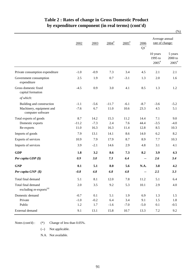|                                                           |         |        |                     |                     |                |                                          | (% )                                    |
|-----------------------------------------------------------|---------|--------|---------------------|---------------------|----------------|------------------------------------------|-----------------------------------------|
|                                                           | 2002    | 2003   | $2004$ <sup>#</sup> | $2005$ <sup>#</sup> | 2006<br>$Q1^+$ | Average annual<br>rate of change:        |                                         |
|                                                           |         |        |                     |                     |                | 10 years<br>1995 to<br>$2005^{\text{*}}$ | 5 years<br>2000 to<br>$2005^{\text{#}}$ |
| Private consumption expenditure                           | $-1.0$  | $-0.9$ | 7.3                 | 3.4                 | 4.5            | 2.1                                      | 2.1                                     |
| Government consumption<br>expenditure                     | 2.5     | 1.9    | 0.7                 | $-3.1$              | 1.3            | 2.0                                      | 1.6                                     |
| Gross domestic fixed<br>capital formation                 | $-4.5$  | 0.9    | 3.0                 | 4.1                 | 8.5            | 1.3                                      | 1.2                                     |
| of which:                                                 |         |        |                     |                     |                |                                          |                                         |
| Building and construction                                 | $-1.1$  | $-5.6$ | $-11.7$             | $-6.1$              | $-8.7$         | $-3.6$                                   | $-5.2$                                  |
| Machinery, equipment and<br>computer software             | $-7.6$  | 6.7    | 11.0                | 10.6                | 23.3           | 4.5                                      | 5.1                                     |
| Total exports of goods                                    | 8.7     | 14.2   | 15.3                | 11.2                | 14.4           | 7.1                                      | 9.0                                     |
| Domestic exports                                          | $-11.2$ | $-7.3$ | 2.4                 | 7.6                 | 44.4           | $-3.5$                                   | $-4.0$                                  |
| Re-exports                                                | 11.0    | 16.3   | 16.3                | 11.4                | 12.8           | 8.5                                      | 10.3                                    |
| Imports of goods                                          | 7.9     | 13.1   | 14.1                | 8.6                 | 14.0           | 6.2                                      | 8.2                                     |
| Exports of services                                       | 10.9    | 7.9    | 17.9                | 8.7                 | 8.9            | 7.7                                      | 10.3                                    |
| Imports of services                                       | 3.9     | $-2.1$ | 14.6                | 2.9                 | 4.8            | 3.1                                      | 4.1                                     |
| <b>GDP</b>                                                | 1.8     | 3.2    | 8.6                 | 7.3                 | 8.2            | 3.9                                      | 4.3                                     |
| Per capita GDP $(\$)$                                     | 0.9     | 3.0    | 7.3                 | 6.4                 | --             | 2.6                                      | 3.4                                     |
| <b>GNP</b>                                                | 0.1     | 5.1    | 8.0                 | 5.6                 | N.A.           | 3.8                                      | 4.2                                     |
| Per capita $GNP(S)$                                       | $-0.8$  | 4.8    | 6.8                 | 4.8                 |                | 2.5                                      | 3.3                                     |
| Total final demand                                        | 5.1     | 8.1    | 12.0                | 7.8                 | 11.2           | 5.1                                      | 6.4                                     |
| Total final demand<br>excluding re-exports <sup>(a)</sup> | 2.0     | 3.5    | 9.2                 | 5.3                 | $10.1\,$       | 2.9                                      | 4.0                                     |
| Domestic demand                                           | $-0.7$  | 0.1    | 5.1                 | 1.9                 | 6.9            | 1.3                                      | 1.5                                     |
| Private                                                   | $-1.0$  | $-0.2$ | 6.4                 | 3.4                 | 9.1            | 1.5                                      | 1.8                                     |
| Public                                                    | 1.2     | 1.7    | $-1.6$              | $-7.0$              | $-5.0$         | 0.1                                      | $-0.5$                                  |
| External demand                                           | 9.1     | 13.1   | 15.8                | 10.7                | 13.3           | 7.2                                      | 9.2                                     |

# **Table 2 : Rates of change in Gross Domestic Product by expenditure component (in real terms) (cont'd)**

(\*) Change of less than 0.05%. Notes (cont'd) :

(--) Not applicable.

N.A. Not available.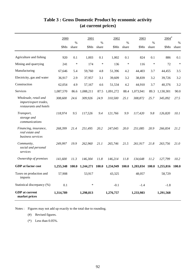|                                                                          | 2000      |               | 2001      |                        | 2002      |               | 2003            |               | $2004$ <sup>#</sup> |                        |
|--------------------------------------------------------------------------|-----------|---------------|-----------|------------------------|-----------|---------------|-----------------|---------------|---------------------|------------------------|
|                                                                          | \$Mn      | $\%$<br>share | \$Mn      | $\frac{0}{0}$<br>share | \$Mn      | $\%$<br>share | \$Mn            | $\%$<br>share | \$Mn                | $\frac{0}{0}$<br>share |
| Agriculture and fishing                                                  | 920       | 0.1           | 1,003     | 0.1                    | 1,002     | 0.1           | 824             | 0.1           | 886                 | 0.1                    |
| Mining and quarrying                                                     | 241       | $\ast$        | 174       | $\ast$                 | 136       | $\ast$        | 116             | $\ast$        | 72                  | $\ast$                 |
| Manufacturing                                                            | 67,646    | 5.4           | 59,760    | 4.8                    | 51,396    | 4.2           | 44,403          | 3.7           | 44,455              | 3.5                    |
| Electricity, gas and water                                               | 36,917    | 2.9           | 37,957    | 3.1                    | 39,609    | 3.2           | 38,839          | 3.2           | 39,726              | 3.2                    |
| Construction                                                             | 62,054    | 4.9           | 57,167    | 4.6                    | 51,534    | 4.2           | 44,910          | 3.7           | 40,376              | 3.2                    |
| <b>Services</b>                                                          | 1,087,570 | 86.6          | 1,088,211 | 87.5                   | 1,091,272 | 88.4          | 1,073,941       | 89.3          | 1,130,301           | 90.0                   |
| Wholesale, retail and<br>import/export trades,<br>restaurants and hotels | 308,600   | 24.6          | 309,926   | 24.9                   | 310,500   | 25.1          | 308,872         | 25.7          | 345,092             | 27.5                   |
| Transport,<br>storage and<br>communications                              | 118,974   | 9.5           | 117,526   | 9.4                    | 121,766   | 9.9           | 117,420         | 9.8           | 126,820             | 10.1                   |
| Financing, insurance,<br>real estate and<br>business services            | 268,399   | 21.4          | 251,495   | 20.2                   | 247,045   | 20.0          | 251,085         | 20.9          | 266,834             | 21.2                   |
| Community,<br>social and personal<br>services                            | 249,997   | 19.9          | 262,960   | 21.1                   | 265,746   | 21.5          | 261,917         | 21.8          | 263,756             | <i>21.0</i>            |
| Ownership of premises                                                    | 141,600   | 11.3          | 146,304   | 11.8                   | 146,214   | 11.8          | 134,648         | 11.2          | 127,799             | 10.2                   |
| <b>GDP</b> at factor cost                                                | 1,255,348 | 100.0         | 1,244,271 | 100.0                  | 1,234,949 |               | 100.0 1,203,034 |               | 100.0 1,255,816     | <b>100.0</b>           |
| Taxes on production and<br>imports                                       | 57,908    |               | 53,917    |                        | 43,325    |               | 48,057          |               | 58,729              |                        |
| Statistical discrepancy (%)                                              | 0.1       |               | $\ast$    |                        | $-0.1$    |               | $-1.4$          |               | $-1.8$              |                        |
| <b>GDP</b> at current<br>market prices                                   | 1,314,789 |               | 1,298,813 |                        | 1,276,757 |               | 1,233,983       |               | 1,291,568           |                        |

# **Table 3 : Gross Domestic Product by economic activity (at current prices)**

Notes : Figures may not add up exactly to the total due to rounding.

(#) Revised figures.

(\*) Less than 0.05%.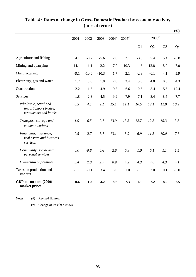|                                                                          |         |         |         |                     |                      |        |                     |                | (% )    |
|--------------------------------------------------------------------------|---------|---------|---------|---------------------|----------------------|--------|---------------------|----------------|---------|
|                                                                          | 2001    | 2002    | 2003    | $2004$ <sup>#</sup> | $2005^{\frac{4}{5}}$ |        | $2005$ <sup>#</sup> |                |         |
|                                                                          |         |         |         |                     |                      | Q1     | Q2                  | Q <sub>3</sub> | Q4      |
| Agriculture and fishing                                                  | 4.1     | $-0.7$  | $-5.6$  | 2.8                 | 2.1                  | $-3.0$ | 7.4                 | 5.4            | $-0.8$  |
| Mining and quarrying                                                     | $-14.1$ | $-11.1$ | 2.2     | $-17.0$             | 10.3                 | $\ast$ | 12.8                | 18.9           | 7.0     |
| Manufacturing                                                            | $-9.1$  | $-10.0$ | $-10.3$ | 1.7                 | 2.1                  | $-2.3$ | $-0.1$              | 4.1            | 5.9     |
| Electricity, gas and water                                               | 1.7     | 3.8     | 1.8     | 2.0                 | 3.4                  | 5.0    | 4.8                 | 0.5            | 4.3     |
| Construction                                                             | $-2.2$  | $-1.5$  | $-4.9$  | $-9.8$              | $-6.6$               | 0.5    | $-8.4$              | $-5.5$         | $-12.4$ |
| Services                                                                 | 1.8     | 2.8     | 4.5     | 9.9                 | 7.9                  | 7.1    | 8.4                 | 8.5            | 7.7     |
| Wholesale, retail and<br>import/export trades,<br>restaurants and hotels | 0.3     | 4.5     | 9.1     | 15.1                | 11.1                 | 10.5   | 12.1                | 11.0           | 10.9    |
| Transport, storage and<br>communications                                 | 1.9     | 6.5     | 0.7     | 13.9                | 13.5                 | 12.7   | 12.3                | 15.3           | 13.5    |
| Financing, insurance,<br>real estate and business<br>services            | 0.5     | 2.7     | 5.7     | 13.1                | 8.9                  | 6.9    | 11.3                | 10.0           | 7.6     |
| Community, social and<br>personal services                               | 4.0     | $-0.6$  | 0.6     | 2.6                 | 0.9                  | 1.0    | 0.1                 | 1.1            | 1.5     |
| Ownership of premises                                                    | 3.4     | 2.0     | 2.7     | 0.9                 | 4.2                  | 4.3    | 4.0                 | 4.3            | 4.1     |
| Taxes on production and<br>imports                                       | $-1.1$  | $-0.1$  | 3.4     | 13.0                | 1.0                  | $-1.3$ | 2.0                 | 10.1           | $-5.0$  |
| GDP at constant (2000)<br>market prices                                  | 0.6     | 1.8     | 3.2     | 8.6                 | 7.3                  | 6.0    | 7.2                 | 8.2            | 7.5     |

# **Table 4 : Rates of change in Gross Domestic Product by economic activity (in real terms)**

(#) Revised figures. Notes :

(\*) Change of less than 0.05%.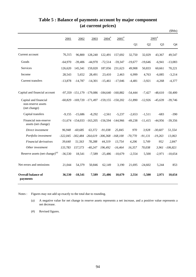# **Table 5 : Balance of payments account by major component (at current prices)**

|                                                             |           |           |                                              |                     |                     |           |           |                     | \$Mn)          |
|-------------------------------------------------------------|-----------|-----------|----------------------------------------------|---------------------|---------------------|-----------|-----------|---------------------|----------------|
|                                                             | 2001      | 2002      | 2003                                         | $2004$ <sup>#</sup> | $2005$ <sup>#</sup> |           |           | $2005$ <sup>#</sup> |                |
|                                                             |           |           |                                              |                     |                     | Q1        | Q2        | Q <sub>3</sub>      | Q4             |
| Current account                                             | 76,315    | 96,800    | 128,240                                      | 122,491             | 157,692             | 32,750    | 32,029    | 43,367              | 49,547         |
| Goods                                                       | $-64,970$ | $-39,406$ | $-44,970$                                    | $-72,514$           | $-59,347$           | $-19,677$ | $-19,646$ | $-6,941$            | $-13,083$      |
| Services                                                    | 126,620   | 145,341   | 159,020                                      | 187,056             | 231,623             | 49,908    | 50,833    | 60,661              | 70,221         |
| Income                                                      | 28,543    | 5.652     | 28,491                                       | 23,410              | 2,463               | 6,999     | 4,763     | $-6,085$            | $-3,214$       |
| Current transfers                                           | $-13,878$ | $-14,787$ | $-14,301$                                    | $-15,461$           | $-17,046$           | $-4,481$  | $-3,921$  | $-4,268$            | $-4,377$       |
| Capital and financial account                               |           |           | -97,359 -151,179 -179,086 -184,640 -160,882  |                     |                     | $-54,444$ | $-7,427$  | $-48,610$           | $-50,400$      |
| Capital and financial<br>non-reserve assets<br>(net change) |           |           | -60,829 -169,720 -171,497 -159,155 -150,202  |                     |                     | $-51,890$ | $-12.926$ | $-45,639$           | $-39,746$      |
| Capital transfers                                           | $-9,155$  | $-15,686$ | $-8,292$                                     | $-2,561$            | $-5,237$            | $-2,653$  | $-1,511$  | $-683$              | $-390$         |
| Financial non-reserve<br>assets (net change)                |           |           | -51,674 -154,033 -163,205 -156,594 -144,966  |                     |                     | -49.238   | $-11,415$ | $-44,956$           | $-39,356$      |
| Direct investment                                           | 96,948    | $-60.685$ | 63.372                                       | $-91,038$           | 25.845              | 970       | 3,928     | $-30,607$           | 51,554         |
| Portfolio investment                                        |           |           | -322,045 -302,484 -264,619 -306,368 -168,100 |                     |                     | $-70,770$ | $-91,131$ | $-19,263$           | 13,063         |
| Financial derivatives                                       | 39,640    | 51,563    | 78,288                                       | 44,319              | 13,754              | 4,206     | 5,749     | 952                 | 2,847          |
| Other investment                                            | 133,783   | 157,573   | $-40,247$                                    | 196,492             | $-16,464$           | 16,357    | 70,038    |                     | 3,961 -106,821 |
| Reserve assets (net change) <sup>(a)</sup>                  | $-36,530$ | 18,541    | $-7,589$                                     | $-25,486$           | $-10,679$           | $-2,554$  | 5,500     | $-2,971$            | $-10,654$      |
| Net errors and omissions                                    | 21,044    | 54,379    | 50,846                                       | 62,149              | 3,190               | 21,695    | $-24,602$ | 5,244               | 853            |
| <b>Overall balance of</b><br>payments                       | 36,530    | $-18,541$ | 7,589                                        | 25,486              | 10,679              | 2,554     | $-5,500$  | 2,971               | 10,654         |

Notes : Figures may not add up exactly to the total due to rounding.

(a) A negative value for net change in reserve assets represents a net increase, and a positive value represents a net decrease.

(#) Revised figures.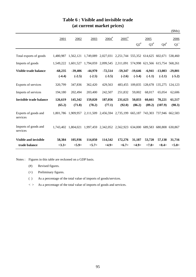|                                  |           |                     |           |                     |                                                               |           |           |                                 | \$Mn)     |
|----------------------------------|-----------|---------------------|-----------|---------------------|---------------------------------------------------------------|-----------|-----------|---------------------------------|-----------|
|                                  | 2001      | 2002                | 2003      | $2004$ <sup>#</sup> | $2005$ <sup>#</sup>                                           |           | 2005      |                                 | 2006      |
|                                  |           |                     |           |                     |                                                               | $Q2^*$    | $Q3^{\#}$ | $Q4^{\#}$                       | $Q1^+$    |
| Total exports of goods           | 1,480,987 | 1,562,121           |           |                     | 1,749,089 2,027,031 2,251,744 555,352 614,625 602,671 538,460 |           |           |                                 |           |
| Imports of goods                 | 1,549,222 | 1,601,527           |           |                     | 1,794,059 2,099,545 2,311,091 574,998 621,566 615,754 568,261 |           |           |                                 |           |
| Visible trade balance            | $-68,235$ | $-39,406$           | $-44,970$ | $-72,514$           | $-59,347$                                                     | $-19,646$ | $-6,941$  | $-13,083$                       | $-29,801$ |
|                                  | $(-4.4)$  | $(-2.5)$            | $(-2.5)$  | $(-3.5)$            | $(-2.6)$                                                      | $(-3.4)$  | $(-1.1)$  | $(-2.1)$                        | $(-5.2)$  |
| Exports of services              | 320,799   | 347,836             | 362,420   | 429,563             | 483,455                                                       |           |           | 109,835 128,678 135,275 124,123 |           |
| Imports of services              | 194,180   | 202,494             | 203,400   | 242,507             | 251,832                                                       | 59,002    | 68,017    | 65,054                          | 62,606    |
| <b>Invisible trade balance</b>   | 126,619   | 145,342             | 159,020   | 187,056             | 231,623                                                       | 50,833    | 60,661    | 70,221                          | 61,517    |
|                                  | (65.2)    | (71.8)              | (78.2)    | (77.1)              | (92.0)                                                        | (86.2)    | (89.2)    | (107.9)                         | (98.3)    |
| Exports of goods and<br>services |           | 1.801.786 1.909.957 |           |                     | 2,111,509 2,456,594 2,735,199 665,187 743,303 737,946 662,583 |           |           |                                 |           |
| Imports of goods and<br>services | 1.743.402 | 1.804.021           |           |                     | 1,997,459 2,342,052 2,562,923 634,000 689,583                 |           |           | 680,808 630,867                 |           |
| <b>Visible and invisible</b>     | 58,384    | 105,936             | 114,050   | 114,542             | 172,276                                                       | 31,187    | 53,720    | 57,138                          | 31,716    |
| trade balance                    | 3.3>      | <5.9>               | < 5.7>    | <4.9>               | <6.7>                                                         | <4.9>     | <7.8>     | $<\!\!8.4\!\!>$                 | < 5.0>    |

# **Table 6 : Visible and invisible trade (at current market prices)**

Notes : Figures in this table are reckoned on a GDP basis.

- (#) Revised figures.
- (+) Preliminary figures.
- ( ) As a percentage of the total value of imports of goods/services.
- $\langle \rangle$  As a percentage of the total value of imports of goods and services.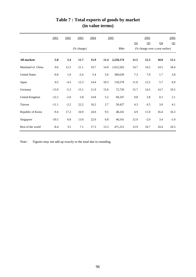|                       | 2001    | 2002   | 2003                        | 2004 |      | 2005      |                | 2005           |                                | 2006   |
|-----------------------|---------|--------|-----------------------------|------|------|-----------|----------------|----------------|--------------------------------|--------|
|                       |         |        |                             |      |      |           | Q <sub>2</sub> | Q <sub>3</sub> | Q <sub>4</sub>                 | Q1     |
|                       |         |        | $(% \mathbf{A})$ (% change) |      |      | \$Mn      |                |                | (% change over a year earlier) |        |
| <b>All markets</b>    | $-5.8$  | 5.4    | 11.7                        | 15.9 | 11.4 | 2,250,174 | 12.5           | 12.5           | 10.0                           | 12.1   |
| Mainland of China     | 0.6     | 12.3   | 21.1                        | 19.7 | 14.0 | 1,012,565 | 14.7           | 14.2           | 14.5                           | 18.4   |
| <b>United States</b>  | $-9.8$  | 1.0    | $-2.6$                      | 5.4  | 5.6  | 360,639   | 7.3            | 7.9            | 1.7                            | 3.8    |
| Japan                 | 0.5     | $-4.5$ | 12.3                        | 14.4 | 10.3 | 118,578   | 11.6           | 12.5           | 5.7                            | 6.9    |
| Germany               | $-13.9$ | $-5.3$ | 15.1                        | 11.9 | 15.6 | 72,720    | 15.7           | 14.5           | 14.7                           | 10.5   |
| <b>United Kingdom</b> | $-12.2$ | $-2.0$ | 5.8                         | 14.8 | 5.2  | 69,247    | 9.8            | 2.8            | 0.1                            | 2.1    |
| Taiwan                | $-11.1$ | $-2.2$ | 22.2                        | 16.2 | 2.7  | 50,427    | 4.3            | 6.5            | 3.0                            | 4.1    |
| Republic of Korea     | $-9.4$  | 17.2   | 16.9                        | 24.0 | 9.5  | 48,241    | 4.9            | 11.0           | 16.4                           | 16.3   |
| Singapore             | $-19.5$ | 6.8    | 13.0                        | 22.0 | 6.8  | 46,541    | 12.9           | $-2.0$         | 3.4                            | $-1.0$ |
| Rest of the world     | $-8.4$  | 3.5    | 7.1                         | 17.3 | 13.3 | 471,215   | 13.9           | 16.7           | 10.4                           | 10.3   |

# **Table 7 : Total exports of goods by market (in value terms)**

Note : Figures may not add up exactly to the total due to rounding.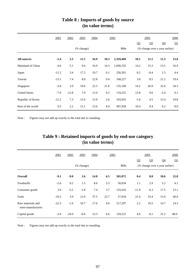|                      | 2001    | 2002    | 2003       | 2004 | 2005 |           |                | <u>2005</u>    |                                | 2006 |
|----------------------|---------|---------|------------|------|------|-----------|----------------|----------------|--------------------------------|------|
|                      |         |         |            |      |      |           | Q <sub>2</sub> | Q <sub>3</sub> | Q <sub>4</sub>                 | Q1   |
|                      |         |         | (% change) |      |      | \$Mn      |                |                | (% change over a year earlier) |      |
| <b>All sources</b>   | $-5.4$  | 3.3     | 11.5       | 16.9 | 10.3 | 2,329,469 | 10.1           | 11.5           | 11.3                           | 13.8 |
| Mainland of China    | $-4.6$  | 5.1     | 9.6        | 16.9 | 14.3 | 1,049,335 | 14.2           | 15.3           | 13.5                           | 16.9 |
| Japan                | $-11.2$ | 3.4     | 17.2       | 19.7 | 0.1  | 256,501   | 0.2            | $-0.4$         | 1.5                            | 4.4  |
| Taiwan               | $-13.1$ | 7.4     | 8.0        | 22.8 | 9.4  | 168,227   | 3.8            | 8.5            | 21.2                           | 19.4 |
| Singapore            | $-2.8$  | 3.9     | 19.6       | 22.5 | 21.8 | 135,190   | 14.2           | 26.9           | 32.6                           | 34.3 |
| <b>United States</b> | $-7.0$  | $-12.8$ | 7.9        | 13.4 | 6.5  | 119,252   | 13.8           | 9.6            | $-2.4$                         | 0.1  |
| Republic of Korea    | $-12.2$ | 7.3     | 15.0       | 15.0 | 2.6  | 103,035   | $-1.0$         | 4.5            | 15.4                           | 19.8 |
| Rest of the world    | 0.5     | 2.2     | 12.1       | 13.6 | 8.4  | 497,928   | 10.4           | 9.4            | 6.2                            | 8.0  |

## **(in value terms) Table 8 : Imports of goods by source**

Note : Figures may not add up exactly to the total due to rounding.

# **(in value terms) Table 9 : Retained imports of goods by end-use category**

|                                        | 2001    | 2002    | 2003                        | 2004 | 2005 |         |          | 2005           |                                | 2006     |
|----------------------------------------|---------|---------|-----------------------------|------|------|---------|----------|----------------|--------------------------------|----------|
|                                        |         |         |                             |      |      |         | $\Omega$ | Q <sub>3</sub> | Q <sub>4</sub>                 | $\Omega$ |
|                                        |         |         | $(% \mathbf{A})$ (% change) |      |      | \$Mn    |          |                | (% change over a year earlier) |          |
| Overall                                | $-9.1$  | $-9.0$  | 2.6                         | 14.8 | 6.5  | 581,072 | 0.4      | 8.8            | 18.6                           | 22.8     |
| Foodstuffs                             | $-2.6$  | 0.2     | 1.5                         | 8.6  | 3.3  | 50,834  | 1.1      | 2.9            | 5.2                            | 4.1      |
| Consumer goods                         | 3.9     | $-5.2$  | $-1.8$                      | 7.4  | 3.7  | 125,616 | $-11.9$  | 6.3            | 17.5                           | 13.1     |
| Fuels                                  | $-10.2$ | 3.9     | 12.9                        | 37.5 | 23.7 | 57,034  | 21.4     | 33.4           | 15.0                           | 40.0     |
| Raw materials and<br>semi-manufactures | $-22.3$ | $-1.6$  | 10.7                        | 17.6 | 4.9  | 217,297 | 2.2      | 10.5           | 14.7                           | 14.3     |
| Capital goods                          | $-2.8$  | $-24.9$ | $-6.6$                      | 13.3 | 6.6  | 129,521 | 4.0      | $-0.1$         | 31.2                           | 40.0     |

Note : Figures may not add up exactly to the total due to rounding.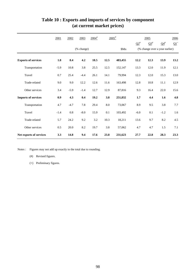|                            | 2001   | 2002   | 2003       | $2004$ <sup>#</sup> |           | $2005$ <sup>#</sup> |            | 2005    |                                | 2006                  |
|----------------------------|--------|--------|------------|---------------------|-----------|---------------------|------------|---------|--------------------------------|-----------------------|
|                            |        |        |            |                     |           |                     | $\Omega^*$ | $Q_2^*$ | $\mathbf{Q4}^{\text{\#}}$      | $\Omega$ <sup>+</sup> |
|                            |        |        | (% change) |                     |           | \$Mn                |            |         | (% change over a year earlier) |                       |
| <b>Exports of services</b> | 1.8    | 8.4    | 4.2        | 18.5                | 12.5      | 483,455             | 12.2       | 12.3    | 13.9                           | 13.2                  |
| Transportation             | $-5.9$ | 10.8   | 3.8        | 25.5                | 12.5      | 152,147             | 13.3       | 12.0    | 11.9                           | 12.1                  |
| Travel                     | 0.7    | 25.4   | $-4.4$     | 26.1                | 14.1      | 79,994              | 12.3       | 12.0    | 15.3                           | 13.0                  |
| Trade-related              | 9.0    | 9.0    | 12.2       | 12.6                | 11.6      | 163,498             | 12.8       | 10.8    | 11.1                           | 12.9                  |
| Other services             | 3.4    | $-5.9$ | $-1.4$     | 12.7                | 12.9      | 87,816              | 9.3        | 16.4    | 22.0                           | 15.6                  |
| <b>Imports of services</b> | 0.9    | 4.3    | 0.4        | 19.2                | 3.8       | 251,832             | 1.7        | 4.4     | 1.6                            | 4.8                   |
| Transportation             | 4.7    | $-4.7$ | 7.8        | 29.4                | $\rm 8.0$ | 73,067              | 8.9        | 9.5     | 3.8                            | 7.7                   |
| Travel                     | $-1.4$ | 0.8    | $-8.0$     | 15.9                | 0.1       | 103,492             | $-6.0$     | 0.1     | $-1.2$                         | 1.6                   |
| Trade-related              | 5.7    | 24.2   | 9.2        | 3.2                 | 10.3      | 18,211              | 13.6       | 9.7     | 8.2                            | 4.5                   |
| Other services             | 0.5    | 20.0   | 8.2        | 19.7                | 3.8       | 57,062              | 4.7        | 4.7     | 1.5                            | 7.1                   |
| Net exports of services    | 3.3    | 14.8   | 9.4        | 17.6                | 23.8      | 231,623             | 27.7       | 22.8    | 28.3                           | 23.3                  |

# **Table 10 : Exports and imports of services by component (at current market prices)**

Notes : Figures may not add up exactly to the total due to rounding.

(#) Revised figures.

(+) Preliminary figures.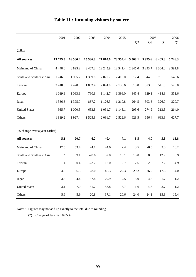|                                | 2001        | 2002       | 2003        | 2004       | 2005        |         | 2005           |                | 2006       |
|--------------------------------|-------------|------------|-------------|------------|-------------|---------|----------------|----------------|------------|
|                                |             |            |             |            |             | Q2      | Q <sub>3</sub> | Q <sub>4</sub> | Q1         |
| (000)                          |             |            |             |            |             |         |                |                |            |
| <b>All sources</b>             | 13725.3     | 16 566.4   | 15 536.8    | 21 810.6   | 23 359.4    | 5 508.1 | 5975.6         | 6 4 0 5.8      | 6 2 2 6 .3 |
| Mainland of China              | 4 4 4 8 . 6 | 6 825.2    | 8 4 6 7.2   | 12 245.9   | 12 541.4    | 2 845.0 | 3 2 9 3.7      | 3 3 6 4 .0     | 3 5 9 1.8  |
| South and Southeast Asia       | 1746.6      | 1 905.2    | 1 3 5 9 . 6 | 2077.7     | 2413.0      | 617.4   | 544.5          | 751.9          | 543.6      |
| Taiwan                         | 2418.8      | 2 4 2 8 .8 | 1 852.4     | 2 0 7 4.8  | 2 1 3 0.6   | 513.8   | 573.5          | 541.3          | 526.8      |
| Europe                         | 1 0 1 9.9   | 1 0 8 3.9  | 780.8       | 1 142.7    | 1 3 9 8 .0  | 345.4   | 329.1          | 414.9          | 351.6      |
| Japan                          | 1 3 3 6 . 5 | 1 395.0    | 867.2       | 1 1 2 6 .3 | 1 2 1 0.8   | 264.5   | 303.5          | 326.0          | 320.7      |
| <b>United States</b>           | 935.7       | 1 000.8    | 683.8       | 1 0 5 1 .7 | 1 1 4 3 . 1 | 293.6   | 274.9          | 313.8          | 264.0      |
| Others                         | 1819.2      | 1927.4     | 1525.8      | 2 091.7    | 2 5 2 2.6   | 628.5   | 656.4          | 693.9          | 627.7      |
| (% change over a year earlier) |             |            |             |            |             |         |                |                |            |
|                                |             |            |             |            |             |         |                |                |            |
| <b>All sources</b>             | 5.1         | 20.7       | $-6.2$      | 40.4       | 7.1         | 8.5     | 4.0            | 5.8            | 13.8       |
| Mainland of China              | 17.5        | 53.4       | 24.1        | 44.6       | 2.4         | 3.5     | $-0.5$         | 3.0            | 18.2       |
| South and Southeast Asia       | $\ast$      | 9.1        | $-28.6$     | 52.8       | 16.1        | 15.8    | 8.8            | 12.7           | 8.9        |
| Taiwan                         | 1.4         | 0.4        | $-23.7$     | 12.0       | 2.7         | 2.6     | 2.0            | 2.2            | 4.9        |
| Europe                         | $-4.6$      | 6.3        | $-28.0$     | 46.3       | 22.3        | 29.2    | 26.2           | 17.6           | 14.0       |
| Japan                          | $-3.3$      | 4.4        | $-37.8$     | 29.9       | 7.5         | 3.0     | $-4.5$         | $-1.7$         | 1.2        |
| <b>United States</b>           | $-3.1$      | 7.0        | $-31.7$     | 53.8       | 8.7         | 11.6    | 4.3            | 2.7            | 1.2        |
| Others                         | 5.6         | 5.9        | $-20.8$     | 37.1       | 20.6        | 24.0    | 24.1           | 15.8           | 15.4       |

# **Table 11 : Incoming visitors by source**

Notes : Figures may not add up exactly to the total due to rounding.

(\*) Change of less than 0.05%.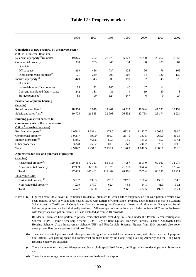|                                                    | 1996      | 1997    | 1998       | 1999           | 2000       | 2001      | 2002             |
|----------------------------------------------------|-----------|---------|------------|----------------|------------|-----------|------------------|
|                                                    |           |         |            |                |            |           |                  |
| Completion of new property by the private sector   |           |         |            |                |            |           |                  |
| $(000 \text{ m}^2 \text{ of internal floor area})$ |           |         |            |                |            |           |                  |
| Residential property <sup>(a)</sup> (in units)     | 19875     | 18 20 2 | 22 278     | 35 322         | 25 790     | 26 26 2   | 31 052           |
| Commercial property                                | 390       | 705     | 945        | 634            | 160        | 208       | 304              |
| of which:                                          |           |         |            |                |            |           |                  |
| Office space                                       | 269       | 456     | 737        | 428            | 96         | 76        | 166              |
| Other commercial premises <sup>(b)</sup>           | 121       | 249     | 208        | 206            | 64         | 132       | 138              |
| Industrial property <sup>(c)</sup>                 | 440       | 343     | 300        | 191            | 62         | 45        | 29               |
| of which:                                          |           |         |            |                |            |           |                  |
| Industrial-cum-office premises                     | 115       | 72      | 145        | 40             | 37         | 14        | $\boldsymbol{0}$ |
| Conventional flatted factory space                 | 242       | 181     | 31         | $\overline{4}$ | 19         | 30        | $\mathfrak{Z}$   |
| Storage premises <sup>(d)</sup>                    | 83        | 90      | 124        | 147            | 6          | $\theta$  | 27               |
| <b>Production of public housing</b>                |           |         |            |                |            |           |                  |
| (in units)                                         |           |         |            |                |            |           |                  |
| Rental housing flats <sup>(e)</sup>                | 18 3 5 8  | 16 04 6 | 14 267     | 26 7 33        | 40 944     | 47 590    | 20 154           |
| Subsidized sales flats <sup>(e)</sup>              | 10725     | 21 5 35 | 21 9 93    | 26 5 32        | 22 768     | 26 174    | 2 2 2 4          |
| Building plans with consent to                     |           |         |            |                |            |           |                  |
| commence work in the private sector                |           |         |            |                |            |           |                  |
| ('000 m <sup>2</sup> of usable floor area)         |           |         |            |                |            |           |                  |
| Residential property <sup>(f)</sup>                | 1 0 5 8.2 | 1 631.4 | 1472.0     | 1692.8         | 1 1 4 2 .7 | 1 0 0 2.5 | 790.0            |
| Commercial property                                | 1 0 0 5.7 | 599.0   | 395.7      | 287.5          | 337.5      | 265.0     | 365.3            |
| Industrial property <sup>(g)</sup>                 | 530.5     | 461.6   | 69.5       | 84.9           | 129.2      | 45.7      | 107.1            |
| Other properties                                   | 375.8     | 259.2   | 201.5      | 125.8          | 240.2      | 75.0      | 109.3            |
| Total                                              | 2970.2    | 2951.2  | 2 1 3 8 .7 | 2 190.9        | 1 849.5    | 1 3 8 8.1 | 1 371.8          |
| Agreements for sale and purchase of property       |           |         |            |                |            |           |                  |
| (Number)                                           |           |         |            |                |            |           |                  |
| Residential property <sup>(h)</sup>                | 129 484   | 172 711 | 85 616     | 77 087         | 65 340     | 69 667    | 72974            |
| Non-residential property                           | 17939     | 32 750  | 25 873     | 21 379         | 20 404     | 18 5 23   | 12 947           |
| Total                                              | 147 423   | 205 461 | 111 489    | 98 4 66        | 85 744     | 88 190    | 85 921           |
| Total value (\$Bn)                                 |           |         |            |                |            |           |                  |
| Residential property <sup>(h)</sup>                | 381.7     | 690.3   | 278.5      | 212.0          | 168.4      | 150.9     | 154.3            |
| Non-residential property                           | 92.9      | 177.7   | 62.4       | 44.6           | 54.1       | 41.9      | 31.1             |
| Total                                              | 474.7     | 868.0   | 340.9      | 256.6          | 222.5      | 192.8     | 185.4            |
|                                                    |           |         |            |                |            |           |                  |

### **Table 12 : Property market**

Notes : (a) Figures before 2002 cover all completed residential premises to which either temporary or full Occupation Permits have been granted, as well as village type houses issued with Letters of Compliance. Property developments subject to a Consent Scheme need a Certificate of Compliance, Consent to Assign or Consent to Lease in addition to an Occupation Permit before the premises can be individually assigned. Village-type housing units are excluded as from 2002 and units issued with temporary Occupation Permits are also excluded as from 2004 onwards.

Residential premises here pertain to private residential units, excluding units built under the Private Sector Participation Scheme (PSPS), Home Ownership Scheme (HOS), Buy or Rent Option, Mortgage Subsidy Scheme, Sandwich Class Housing Scheme, Urban Improvement Scheme (UIS) and Flat-for-Sale Scheme. Figures from 2004 onwards also cover those private flats converted from subsidised flats.

- (b) These include retail premises and other premises designed or adapted for commercial use, with the exception of purposebuilt offices. Car-parking space and commercial premises built by the Hong Kong Housing Authority and the Hong Kong Housing Society are excluded.
- (c) These include industrial-cum-office premises, but exclude specialised factory buildings which are developed mainly for own use.

(d) These include storage premises at the container terminals and the airport.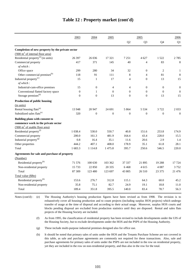| Q2<br>Q <sub>3</sub><br>Q4<br>Completion of new property by the private sector<br>$(000 \text{ m}^2 \text{ of internal floor area})$<br>Residential property $^{(a)}$ (in units)<br>26 397<br>26 036<br>17 321<br>7 2 5 1<br>4 627<br>1522<br>Commercial property<br>417<br>371<br>40<br>$\overline{4}$<br>83<br>145 | Q1<br>2785<br>8<br>280<br>34<br>32<br>$\overline{2}$<br>$\theta$<br>$\mathbf{1}$<br>81<br>8<br>91<br>111<br>8<br>$\overline{4}$ |  |           |
|----------------------------------------------------------------------------------------------------------------------------------------------------------------------------------------------------------------------------------------------------------------------------------------------------------------------|---------------------------------------------------------------------------------------------------------------------------------|--|-----------|
|                                                                                                                                                                                                                                                                                                                      |                                                                                                                                 |  |           |
|                                                                                                                                                                                                                                                                                                                      |                                                                                                                                 |  |           |
|                                                                                                                                                                                                                                                                                                                      |                                                                                                                                 |  |           |
|                                                                                                                                                                                                                                                                                                                      |                                                                                                                                 |  |           |
|                                                                                                                                                                                                                                                                                                                      |                                                                                                                                 |  |           |
|                                                                                                                                                                                                                                                                                                                      |                                                                                                                                 |  | of which: |
| 299<br>Office space                                                                                                                                                                                                                                                                                                  |                                                                                                                                 |  |           |
| Other commercial premises <sup>(b)</sup><br>118                                                                                                                                                                                                                                                                      |                                                                                                                                 |  |           |
| Industrial property <sup>(c)</sup><br>15<br>17<br>$\overline{4}$<br>13<br>$\mathbf{1}$<br>$\theta$                                                                                                                                                                                                                   | 15                                                                                                                              |  |           |
| of which:                                                                                                                                                                                                                                                                                                            |                                                                                                                                 |  |           |
| Industrial-cum-office premises<br>$\boldsymbol{0}$<br>$\mathbf{0}$<br>$\theta$<br>15<br>4<br>$\overline{4}$                                                                                                                                                                                                          | $\mathbf{0}$                                                                                                                    |  |           |
| $\boldsymbol{0}$<br>Conventional flatted factory space<br>$\theta$<br>$\theta$<br>$\theta$<br>$\mathbf{0}$<br>$\mathbf{1}$                                                                                                                                                                                           | $\overline{0}$                                                                                                                  |  |           |
| Storage premises <sup>(d)</sup><br>$\overline{0}$<br>$\theta$<br>13<br>$\Omega$<br>$\mathbf{0}$<br>13                                                                                                                                                                                                                | 15                                                                                                                              |  |           |
| Production of public housing                                                                                                                                                                                                                                                                                         |                                                                                                                                 |  |           |
| (in units)                                                                                                                                                                                                                                                                                                           |                                                                                                                                 |  |           |
| Rental housing flats <sup>(e)</sup><br>13 948<br>24 691<br>5 8 6 4<br>5 5 3 4<br>3722<br>20 947                                                                                                                                                                                                                      | 2033                                                                                                                            |  |           |
| Subsidized sales flats <sup>(e)</sup><br>320<br>$\boldsymbol{0}$<br>$\boldsymbol{0}$<br>$\boldsymbol{0}$<br>$\boldsymbol{0}$<br>$\boldsymbol{0}$                                                                                                                                                                     | $\boldsymbol{0}$                                                                                                                |  |           |
| Building plans with consent to                                                                                                                                                                                                                                                                                       |                                                                                                                                 |  |           |
| commence work in the private sector                                                                                                                                                                                                                                                                                  |                                                                                                                                 |  |           |
| $(000 \text{ m}^2 \text{ of usable floor area})$                                                                                                                                                                                                                                                                     |                                                                                                                                 |  |           |
| Residential property <sup>(f)</sup><br>1 0 38.4<br>530.0<br>550.7<br>40.8<br>151.6<br>253.8                                                                                                                                                                                                                          | 174.9                                                                                                                           |  |           |
| Commercial property<br>200.0<br>161.3<br>164.4<br>43.4<br>228.0<br>481.9                                                                                                                                                                                                                                             | 15.5                                                                                                                            |  |           |
| Industrial property <sup>(g)</sup><br>2.9<br>0.8<br>16.4<br>35.1<br>11.6<br>20.6                                                                                                                                                                                                                                     | 1.4                                                                                                                             |  |           |
| Other properties<br>444.2<br>407.1<br>408.0<br>178.9<br>35.1<br>61.8                                                                                                                                                                                                                                                 | 28.1                                                                                                                            |  |           |
| 1 683.3<br>1475.8<br>395.7<br>250.6<br>546.5<br>Total<br>1 1 1 4 .8                                                                                                                                                                                                                                                  | 220.0                                                                                                                           |  |           |
| Agreements for sale and purchase of property                                                                                                                                                                                                                                                                         |                                                                                                                                 |  |           |
| (Number)                                                                                                                                                                                                                                                                                                             |                                                                                                                                 |  |           |
| Residential property <sup>(h)</sup><br>71 576<br>100 630<br>103 362<br>37 337<br>21895<br>19 288                                                                                                                                                                                                                     | 17 724                                                                                                                          |  |           |
| 22 850<br>4615<br>Non-residential property<br>15 7 33<br>20 3 35<br>6468<br>4 0 8 7                                                                                                                                                                                                                                  | 3752                                                                                                                            |  |           |
| 43 805<br>Total<br>87 309<br>123 480<br>123 697<br>26 510<br>23 37 5                                                                                                                                                                                                                                                 | 21 4 7 6                                                                                                                        |  |           |
| Total value (\$Bn)                                                                                                                                                                                                                                                                                                   |                                                                                                                                 |  |           |
| Residential property <sup>(h)</sup><br>276.7<br>153.6<br>312.8<br>115.1<br>64.3<br>60.0                                                                                                                                                                                                                              | 45.2                                                                                                                            |  |           |
| Non-residential property<br>35.8<br>75.1<br>82.7<br>24.9<br>19.1<br>18.8                                                                                                                                                                                                                                             | 11.0                                                                                                                            |  |           |
| 189.4<br>351.8<br>395.5<br>83.4<br>78.7<br>56.3<br>Total<br>140.0                                                                                                                                                                                                                                                    |                                                                                                                                 |  |           |

### **Table 12 : Property market (cont'd)**

Notes (cont'd) : (e) The Housing Authority's housing production figures have been revised as from 1998. The revision is to exhaustively cover all housing production and to count projects (including surplus HOS projects) which undergo transfer of usage at the time of disposal and according to their actual usage. Moreover, surplus HOS courts and blocks pending disposal are excluded from production statistics until they are disposed. Rental and sales flats projects of the Housing Society are included.

> (f) As from 1995, the classification of residential property has been revised to include developments under the UIS of the Housing Society, but to exclude developments under the HOS and the PSPS of the Housing Authority.

- (g) These include multi-purpose industrial premises designed also for office use.
- (h) It should be noted that primary sales of units under the HOS and the Tenants Purchase Scheme are not covered in this table, as sale and purchase agreements are commonly not required for these transactions. Also, sale and purchase agreements for primary sales of units under the PSPS are not included in the row on residential property, yet they are included in the row on non-residential property, and thus also in the row for the total.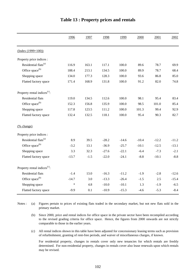|                                          | 1996    | 1997   | 1998    | 1999    | 2000    | 2001    | 2002    |
|------------------------------------------|---------|--------|---------|---------|---------|---------|---------|
| $(Index (1999=100))$                     |         |        |         |         |         |         |         |
| Property price indices :                 |         |        |         |         |         |         |         |
| Residential flats <sup>(a)</sup>         | 116.9   | 163.1  | 117.1   | 100.0   | 89.6    | 78.7    | 69.9    |
| Office space <sup>(b)</sup>              | 188.4   | 213.1  | 134.5   | 100.0   | 89.9    | 78.7    | 68.4    |
| Shopping space                           | 134.0   | 177.3  | 128.3   | 100.0   | 93.6    | 86.8    | 85.0    |
| Flatted factory space                    | 171.4   | 168.9  | 131.8   | 100.0   | 91.2    | 82.0    | 74.8    |
| Property rental indices <sup>(c)</sup> : |         |        |         |         |         |         |         |
| Residential flats                        | 119.0   | 134.5  | 112.6   | 100.0   | 98.1    | 95.4    | 83.4    |
| Office space <sup>(b)</sup>              | 152.3   | 156.8  | 135.9   | 100.0   | 98.5    | 101.0   | 85.4    |
| Shopping space                           | 117.8   | 123.5  | 111.2   | 100.0   | 101.3   | 99.4    | 92.9    |
| Flatted factory space                    | 132.4   | 132.5  | 118.1   | 100.0   | 95.4    | 90.3    | 82.7    |
| (% change)                               |         |        |         |         |         |         |         |
| Property price indices :                 |         |        |         |         |         |         |         |
| Residential flats <sup>(a)</sup>         | 8.9     | 39.5   | $-28.2$ | $-14.6$ | $-10.4$ | $-12.2$ | $-11.2$ |
| Office space <sup>(b)</sup>              | $-3.2$  | 13.1   | $-36.9$ | $-25.7$ | $-10.1$ | $-12.5$ | $-13.1$ |
| Shopping space                           | 3.3     | 32.3   | $-27.6$ | $-22.1$ | $-6.4$  | $-7.3$  | $-2.1$  |
| Flatted factory space                    | $-13.7$ | $-1.5$ | $-22.0$ | $-24.1$ | $-8.8$  | $-10.1$ | $-8.8$  |
| Property rental indices <sup>(c)</sup> : |         |        |         |         |         |         |         |
| Residential flats                        | $-1.4$  | 13.0   | $-16.3$ | $-11.2$ | $-1.9$  | $-2.8$  | $-12.6$ |
| Office space <sup>(b)</sup>              | $-14.7$ | 3.0    | $-13.3$ | $-26.4$ | $-1.5$  | 2.5     | $-15.4$ |
| Shopping space                           | $\ast$  | 4.8    | $-10.0$ | $-10.1$ | 1.3     | $-1.9$  | $-6.5$  |
| Flatted factory space                    | $-9.9$  | 0.1    | $-10.9$ | $-15.3$ | $-4.6$  | $-5.3$  | $-8.4$  |

### **Table 13 : Property prices and rentals**

(a) Notes : (a) Figures pertain to prices of existing flats traded in the secondary market, but not new flats sold in the primary market.

(b) Since 2000, price and rental indices for office space in the private sector have been recompiled according to the revised grading criteria for office space. Hence, the figures from 2000 onwards are not strictly comparable to those in the earlier years.

(c) All rental indices shown in this table have been adjusted for concessionary leasing terms such as provision of refurbishment, granting of rent-free periods, and waiver of miscellaneous charges, if known.

For residential property, changes in rentals cover only new tenancies for which rentals are freshly determined. For non-residential property, changes in rentals cover also lease renewals upon which rentals may be revised.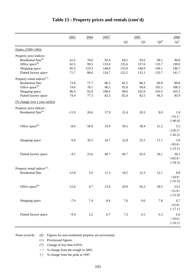|                                          | 2003    | 2004    | $2005^{\text{*}}$ |                | 2005           |                 | 2006            |
|------------------------------------------|---------|---------|-------------------|----------------|----------------|-----------------|-----------------|
|                                          |         |         |                   | Q <sub>2</sub> | Q <sub>3</sub> | ${\bf Q4}^{\#}$ | $\mathrm{Q1}^+$ |
| $(Index (1999=100))$                     |         |         |                   |                |                |                 |                 |
| Property price indices :                 |         |         |                   |                |                |                 |                 |
| Residential flats <sup>(a)</sup>         | 61.6    | 78.0    | 92.0              | 94.5           | 93.6           | 90.1            | 90.8            |
| Office space <sup>(b)</sup>              | 62.5    | 99.3    | 133.0             | 135.6          | 137.6          | 135.7           | 130.0           |
| Shopping space                           | 85.5    | 119.3   | 148.8             | 153.0          | 148.9          | 149.1           | 148.7           |
| Flatted factory space                    | 71.7    | 88.6    | 124.7             | 122.5          | 132.1          | 135.7           | 141.7           |
| Property rental indices <sup>(c)</sup> : |         |         |                   |                |                |                 |                 |
| Residential flats                        | 73.6    | 77.7    | 86.5              | 85.5           | 88.3           | 89.9            | 89.8            |
| Office space <sup>(b)</sup>              | 74.6    | 78.1    | 96.5              | 92.8           | 99.8           | 105.5           | 108.3           |
| Shopping space                           | 86.4    | 92.8    | 100.6             | 99.0           | 102.9          | 103.5           | 103.3           |
| Flatted factory space                    | 74.9    | 77.3    | 82.5              | 82.4           | 82.5           | 84.3            | 85.9            |
| (% change over a year earlier)           |         |         |                   |                |                |                 |                 |
| Property price indices :                 |         |         |                   |                |                |                 |                 |
| Residential flats <sup>(a)</sup>         | $-11.9$ | 26.6    | 17.9              | 22.4           | 20.3           | 8.0             | 1.0             |
|                                          |         |         |                   |                |                |                 | < 53.1 >        |
|                                          |         |         |                   |                |                |                 | $\{-46.4\}$     |
| Office space <sup>(b)</sup>              | $-8.6$  | 58.9    | 33.9              | 39.5           | 38.4           | 21.2            | 5.5             |
|                                          |         |         |                   |                |                |                 | <120.3>         |
|                                          |         |         |                   |                |                |                 | $\{-42.2\}$     |
|                                          |         |         |                   |                |                |                 |                 |
| Shopping space                           | 0.6     | 39.5    | 24.7              | 32.8           | 25.5           | 11.1            | 3.0             |
|                                          |         |         |                   |                |                |                 | <83.6>          |
|                                          |         |         |                   |                |                |                 | $\{-23.1\}$     |
| Flatted factory space                    | $-4.1$  | 23.6    | 40.7              | 46.7           | 45.6           | 36.1            | 30.5            |
|                                          |         |         |                   |                |                |                 | <102.4>         |
|                                          |         |         |                   |                |                |                 | $\{-18.3\}$     |
| Property rental indices <sup>(c)</sup> : |         |         |                   |                |                |                 |                 |
| <b>Residential flats</b>                 | $-11.8$ | 5.6     | 11.3              | 10.5           | 12.3           | 12.1            | 8.8             |
|                                          |         |         |                   |                |                |                 | <24.9>          |
|                                          |         |         |                   |                |                |                 | $\{-35.3\}$     |
| Office space <sup>(b)</sup>              | $-12.6$ | 4.7     | 23.6              | 20.8           | 26.3           | 28.5            | 23.5            |
|                                          |         |         |                   |                |                |                 | < 51.0 >        |
|                                          |         |         |                   |                |                |                 | ${-31.9}$       |
| Shopping space                           | $-7.0$  | $7.4\,$ | 8.4               | 7.6            | 9.0            | 7.8             | 6.7             |
|                                          |         |         |                   |                |                |                 | <22.8>          |
|                                          |         |         |                   |                |                |                 | $\{-17.1\}$     |
| Flatted factory space                    | $-9.4$  | $3.2\,$ | 6.7               | 7.3            | 6.5            | 6.3             | 6.0             |
|                                          |         |         |                   |                |                |                 | <19.0>          |
|                                          |         |         |                   |                |                |                 | $\{-35.1\}$     |
|                                          |         |         |                   |                |                |                 |                 |

### **Table 13 : Property prices and rentals (cont'd)**

Notes (cont'd) : (#) Figures for non-residential property are provisional.

(+) Provisional figures.

(\*) Change of less than 0.05%.

 $\langle \rangle$  % change from the trough in 2003.

{ } % change from the peak in 1997.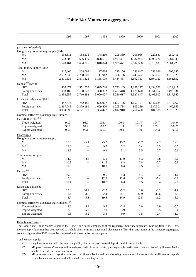|                                                              | 1996      | 1997                     | 1998      | 1999      | 2000      | 2001      | 2002      |
|--------------------------------------------------------------|-----------|--------------------------|-----------|-----------|-----------|-----------|-----------|
| (as at end of period)                                        |           |                          |           |           |           |           |           |
| Hong Kong dollar money supply (\$Mn):                        |           |                          |           |           |           |           |           |
| M1                                                           | 198,311   | 188,135                  | 178,260   | 205,339   | 203,966   | 229,841   | 259,411   |
| $M2^{(a)}$                                                   | 1,503,603 | 1,666,419                | 1,828,691 | 1,923,481 | 1,987,963 | 1,998,774 | 1,984,049 |
| $M3^{(a)}$                                                   | 1,520,461 | 1,684,325                | 1,840,824 | 1,935,471 | 2,002,358 | 2,016,635 | 2,004,225 |
| Total money supply (\$Mn)                                    |           |                          |           |           |           |           |           |
| M1                                                           | 217,460   | 208,093                  | 197,666   | 225,156   | 243,847   | 258,056   | 295,650   |
| M <sub>2</sub>                                               | 2,532,236 | 2,788,808                | 3,111,942 | 3,386,196 | 3,649,492 | 3,550,060 | 3,518,326 |
| M <sub>3</sub>                                               | 2,611,636 | 2,871,425                | 3,168,199 | 3,434,467 | 3,692,753 | 3,594,130 | 3,561,852 |
| Deposit <sup>(b)</sup> (\$Mn)                                |           |                          |           |           |           |           |           |
| <b>HKS</b>                                                   | 1,400,077 | 1,551,555                | 1,699,726 | 1,773,169 | 1,851,177 | 1,854,651 | 1,824,911 |
| Foreign currency                                             | 1,058,180 | 1,158,728                | 1,300,302 | 1,477,448 | 1,676,670 | 1,551,852 | 1,492,631 |
| Total                                                        | 2,458,256 | 2,710,282                | 3,000,027 | 3,250,617 | 3,527,847 | 3,406,502 | 3,317,542 |
| Loans and advances (\$Mn)                                    |           |                          |           |           |           |           |           |
| HK\$                                                         | 1,447,844 | 1,742,481                | 1,695,027 | 1,607,126 | 1,652,191 | 1,647,684 | 1,615,667 |
| Foreign currency                                             | 2,467,045 | 2,379,189                | 1,609,400 | 1,205,784 | 809,259   | 537,301   | 460,659   |
| Total                                                        | 3,914,890 | 4,121,670                | 3,304,427 | 2,812,910 | 2,461,450 | 2,184,986 | 2,076,325 |
| Nominal Effective Exchange Rate Indices                      |           |                          |           |           |           |           |           |
| $\left(\text{Jan } 2000 = 100\right)^{(c)(d)}$               |           |                          |           |           |           |           |           |
| Trade-weighted                                               | 94.0      | 98.0                     | 103.4     | 100.9     | 101.7     | 104.7     | 104.0     |
| Import-weighted                                              | 93.0      | 97.9                     | 105.5     | 101.4     | 101.5     | 105.1     | 104.7     |
| Export-weighted                                              | 95.1      | 98.1                     | 101.3     | 100.4     | 101.9     | 104.3     | 103.3     |
| (% change)                                                   |           |                          |           |           |           |           |           |
| Hong Kong dollar money supply:                               |           |                          |           |           |           |           |           |
| M1                                                           | 15.5      | $-5.1$                   | $-5.2$    | 15.2      | $-0.7$    | 12.7      | 12.9      |
| $M2^{(a)}$                                                   | 19.3      | $\overline{\phantom{a}}$ | 9.7       | 5.2       | 3.4       | 0.5       | $-0.7$    |
| $M3^{(a)}$                                                   | 18.9      | $-$                      | 9.3       | 5.1       | 3.5       | 0.7       | $-0.6$    |
| Total money supply:                                          |           |                          |           |           |           |           |           |
| M1                                                           | 14.2      | $-4.3$                   | $-5.0$    | 13.9      | 8.3       | 5.8       | 14.6      |
| M2                                                           | 10.9      | $\overline{\phantom{a}}$ | 11.6      | $8.8\,$   | 7.8       | $-2.7$    | $-0.9$    |
| M <sub>3</sub>                                               | 10.5      | $\overline{\phantom{a}}$ | 10.3      | 8.4       | 7.5       | $-2.7$    | $-0.9$    |
| $\text{Deposit}^{(\text{b})}$                                |           |                          |           |           |           |           |           |
| <b>HKS</b>                                                   | 19.5      | $-$                      | 9.5       | 4.3       | 4.4       | 0.2       | $-1.6$    |
| Foreign currency                                             | 0.3       | $-$                      | 12.2      | 13.6      | 13.5      | $-7.4$    | $-3.8$    |
| Total                                                        | 10.4      | $-\,-$                   | 10.7      | 8.4       | 8.5       | $-3.4$    | $-2.6$    |
| Loans and advances                                           |           |                          |           |           |           |           |           |
| HK\$                                                         | 17.0      | 20.4                     | $-2.7$    | $-5.2$    | 2.8       | $-0.3$    | $-1.9$    |
| Foreign currency                                             | $-1.4$    | $-3.6$                   | $-32.4$   | $-25.1$   | $-32.9$   | $-33.6$   | $-14.3$   |
| Total                                                        | 4.7       | 5.3                      | $-19.8$   | $-14.9$   | $-12.5$   | $-11.2$   | $-5.0$    |
| Nominal Effective Exchange Rate Indices ${}^{\text{(c)(d)}}$ |           |                          |           |           |           |           |           |
| Trade-weighted                                               | 2.6       | 4.3                      | 5.5       | $-2.4$    | $\rm 0.8$ | 2.9       | $-0.7$    |
| Import-weighted                                              | 3.8       | 5.3                      | 7.8       | $-3.9$    | 0.1       | 3.5       | $-0.4$    |
| Export-weighted                                              | 1.5       | $3.2\,$                  | 3.3       | $-0.9$    | 1.5       | 2.4       | $-1.0$    |
|                                                              |           |                          |           |           |           |           |           |

#### **Table 14 : Monetary aggregates**

Definition of Terms :

The Hong Kong Dollar Money Supply is the Hong Kong dollar component of the respective monetary aggregate. Starting from April 1997, money supply definition has been revised to include short-term Exchange Fund placements of less than one month in the monetary aggregates. As such, figures after 1997 cannot be compared with those in the previous period.

Total Money Supply:

M1: Legal tender notes and coins with the public, plus customers' demand deposits with licensed banks.

M2: M1 plus customers' savings and time deposits with licensed banks, plus negotiable certificates of deposit issued by licensed banks and held outside the monetary sector.

M3: M2 plus customers' deposits with restricted licence banks and deposit-taking companies, plus negotiable certificates of deposit issued by such institutions and held outside the monetary sector.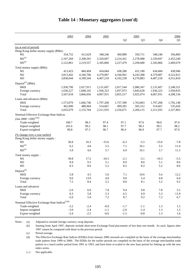|                                                              | 2003      | 2004      | 2005      |                | 2005           |           | 2006      |
|--------------------------------------------------------------|-----------|-----------|-----------|----------------|----------------|-----------|-----------|
|                                                              |           |           |           | Q <sub>2</sub> | Q <sub>3</sub> | Q4        | Q1        |
| (as at end of period)                                        |           |           |           |                |                |           |           |
| Hong Kong dollar money supply (\$Mn):                        |           |           |           |                |                |           |           |
| M1                                                           | 354,752   | 412,629   | 348,246   | 360,889        | 350,711        | 348,246   | 356,869   |
| $M2^{(a)}$                                                   | 2,107,269 | 2,208,591 | 2,329,697 | 2,214,261      | 2,278,988      | 2,329,697 | 2,453,240 |
| $M3^{(a)}$                                                   | 2,122,861 | 2,219,557 | 2,345,866 | 2,227,479      | 2,294,680      | 2,345,866 | 2,469,679 |
| Total money supply (\$Mn)                                    |           |           |           |                |                |           |           |
| M1                                                           | 413,423   | 484,494   | 434,684   | 438,286        | 431,190        | 434,684   | 438,946   |
| M <sub>2</sub>                                               | 3,813,442 | 4,166,706 | 4,379,087 | 4,166,961      | 4,243,288      | 4,379,087 | 4,522,812 |
| M <sub>3</sub>                                               | 3,858,044 | 4,189,544 | 4,407,218 | 4,192,238      | 4,270,883      | 4,407,218 | 4,551,810 |
| Deposit <sup>(b)</sup> (\$Mn)                                |           |           |           |                |                |           |           |
| <b>HKS</b>                                                   | 1,930,790 | 2,017,911 | 2,131,607 | 2,017,544      | 2,080,347      | 2,131,607 | 2,248,321 |
| Foreign currency                                             | 1,636,227 | 1,848,145 | 1,936,323 | 1,837,973      | 1,845,628      | 1,936,323 | 1,959,835 |
| Total                                                        | 3,567,018 | 3,866,056 | 4,067,931 | 3,855,517      | 3,925,974      | 4,067,931 | 4,208,156 |
| Loans and advances (\$Mn)                                    |           |           |           |                |                |           |           |
| <b>HKS</b>                                                   | 1,573,079 | 1,666,740 | 1,797,268 | 1,757,390      | 1,763,803      | 1,797,268 | 1,792,148 |
| Foreign currency                                             | 462,000   | 488,964   | 514,667   | 499,281        | 505,312        | 514,667   | 535,656   |
| Total                                                        | 2,035,079 | 2,155,704 | 2,311,935 | 2,256,671      | 2,269,115      | 2,311,935 | 2,327,803 |
| Nominal Effective Exchange Rate Indices                      |           |           |           |                |                |           |           |
| $\left(\text{Jan } 2000 = 100\right)^{(c)(d)}$               |           |           |           |                |                |           |           |
| Trade-weighted                                               | 100.7     | 98.3      | 97.4      | 97.1           | 97.6           | 98.6      | 97.6      |
| Import-weighted                                              | 101.6     | 99.2      | 98.1      | 97.7           | 98.3           | 99.5      | 98.2      |
| Export-weighted                                              | 99.8      | 97.3      | 96.7      | 96.4           | 96.9           | 97.7      | 97.0      |
| <u>(% change over a year earlier)</u>                        |           |           |           |                |                |           |           |
| Hong Kong dollar money supply:                               |           |           |           |                |                |           |           |
| M1                                                           | 36.8      | 16.3      | $-15.6$   | $-6.3$         | $-5.5$         | $-15.6$   | $-7.8$    |
| $M2^{(a)}$                                                   | 6.2       | 4.8       | 5.5       | 7.1            | 10.1           | 5.5       | 11.4      |
| $M3^{(a)}$                                                   | 5.9       | 4.6       | 5.7       | 6.9            | 10.1           | 5.7       | 11.5      |
| Total money supply:                                          |           |           |           |                |                |           |           |
| M1                                                           | 39.8      | 17.2      | $-10.3$   | $-2.1$         | $-3.1$         | $-10.3$   | $-5.5$    |
| M <sub>2</sub>                                               | 8.4       | 9.3       | 5.1       | 8.9            | 8.6            | 5.1       | 8.6       |
| M <sub>3</sub>                                               | 8.3       | 8.6       | 5.2       | 8.2            | 8.2            | 5.2       | 8.6       |
| Deposit <sup>(b)</sup>                                       |           |           |           |                |                |           |           |
| HK\$                                                         | 5.8       | 4.5       | 5.6       | 7.1            | 10.6           | 5.6       | 12.2      |
| Foreign currency                                             | 9.6       | 13.0      | 4.8       | 9.0            | 5.4            | 4.8       | 6.0       |
| Total                                                        | $7.5\,$   | 8.4       | 5.2       | $\ \, 8.0$     | $8.1\,$        | 5.2       | 9.2       |
| Loans and advances                                           |           |           |           |                |                |           |           |
| HK\$                                                         | $-2.6$    | $6.0\,$   | 7.8       | 9.4            | 9.8            | 7.8       | 5.5       |
| Foreign currency                                             | 0.3       | 5.8       | 5.3       | 6.5            | 6.9            | 5.3       | 11.0      |
| Total                                                        | $-2.0$    | 5.9       | $7.2\,$   | 8.7            | 9.2            | $7.2\,$   | 6.7       |
| Nominal Effective Exchange Rate Indices ${}^{\text{(c)(d)}}$ |           |           |           |                |                |           |           |
| Trade-weighted                                               | $-3.2$    | $-2.4$    | $-0.9$    | $-1.7$         | $-1.1$         | 1.3       | 1.5       |
| Import-weighted                                              | $-3.0$    | $-2.4$    | $-1.1$    | $-2.0$         | $-1.4$         | 1.3       | 1.3       |
| Export-weighted                                              | $-3.4$    | $-2.5$    | $-0.6$    | $-1.5$         | $-0.8$         | 1.3       | 1.6       |
|                                                              |           |           |           |                |                |           |           |

#### **Table 14 : Monetary aggregates (cont'd)**

Notes : (a) Adjusted to include foreign currency swap deposits.

(b) Starting from April 1997, deposits include short-term Exchange Fund placements of less than one month. As such, figures after 1997 cannot be compared with those in the previous period.

(c) Period average.

(d) The Effective Exchange Rate Indices (EERIs) from January 2000 onwards are compiled on the basis of the average merchandise trade pattern from 1999 to 2000. The EERIs for the earlier periods are compiled on the basis of the average merchandise trade pattern in a much earlier period from 1991 to 1993, and have been re-scaled to the new base period for linking up with the new index series.

(--) Not applicable.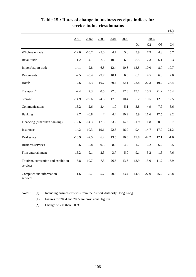|                                                             |         |         |         |         |      |        |      |                | $(\%)$ |
|-------------------------------------------------------------|---------|---------|---------|---------|------|--------|------|----------------|--------|
|                                                             | 2001    | 2002    | 2003    | 2004    | 2005 |        | 2005 |                |        |
|                                                             |         |         |         |         |      | Q1     | Q2   | Q <sub>3</sub> | Q4     |
| Wholesale trade                                             | $-12.0$ | $-10.7$ | $-5.0$  | 4.7     | 5.6  | 3.9    | 7.9  | 4.8            | 5.7    |
| Retail trade                                                | $-1.2$  | $-4.1$  | $-2.3$  | 10.8    | 6.8  | 8.5    | 7.3  | 6.1            | 5.3    |
| Import/export trade                                         | $-14.1$ | $-2.8$  | 6.5     | 12.4    | 10.6 | 13.5   | 10.0 | 8.7            | 10.7   |
| Restaurants                                                 | $-2.5$  | $-5.4$  | $-9.7$  | 10.1    | 6.0  | 6.1    | 4.5  | 6.3            | 7.0    |
| Hotels                                                      | $-7.6$  | $-2.3$  | $-19.7$ | 39.4    | 22.1 | 22.8   | 22.3 | 19.2           | 23.4   |
| Transport <sup>(a)</sup>                                    | $-2.4$  | 2.3     | 0.5     | 22.8    | 17.8 | 19.1   | 15.5 | 21.2           | 15.4   |
| Storage                                                     | $-14.9$ | $-19.6$ | $-4.5$  | 17.0    | 10.4 | 5.2    | 10.5 | 12.9           | 12.5   |
| Communications                                              | $-13.2$ | $-2.6$  | $-2.4$  | $1.0\,$ | 5.1  | 3.8    | 4.9  | 7.9            | 3.6    |
| Banking                                                     | 2.7     | $-0.8$  | *       | 4.4     | 10.9 | 5.9    | 11.6 | 17.5           | 9.2    |
| Financing (other than banking)                              | $-12.6$ | $-14.3$ | 17.3    | 33.2    | 14.3 | $-1.9$ | 11.8 | 30.0           | 18.7   |
| Insurance                                                   | 14.2    | 10.3    | 19.1    | 22.3    | 16.0 | 9.4    | 14.7 | 17.9           | 21.2   |
| Real estate                                                 | $-16.9$ | $-2.5$  | 6.2     | 13.5    | 16.0 | 17.8   | 42.2 | 12.1           | $-1.0$ |
| <b>Business services</b>                                    | $-9.6$  | $-5.8$  | 0.5     | 8.3     | 4.9  | 1.7    | 6.2  | 6.2            | 5.5    |
| Film entertainment                                          | 15.2    | $-9.1$  | 2.3     | 3.7     | 5.0  | 9.1    | 5.2  | $-1.3$         | 7.6    |
| Tourism, convention and exhibition<br>services <sup>+</sup> | $-3.8$  | 10.7    | $-7.3$  | 26.5    | 13.6 | 13.9   | 13.0 | 11.2           | 15.9   |
| Computer and information<br>services                        | $-11.6$ | 5.7     | 5.7     | 20.5    | 23.4 | 14.5   | 27.0 | 25.2           | 25.8   |

#### **Table 15 : Rates of change in business receipts indices for service industries/domains**

Notes : (a) Including business receipts from the Airport Authority Hong Kong.

(+) Figures for 2004 and 2005 are provisional figures.

(\*) Change of less than 0.05%.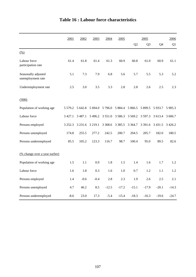|                                          | 2001        | 2002        | 2003       | 2004       | 2005        |             | 2005           |           | 2006      |
|------------------------------------------|-------------|-------------|------------|------------|-------------|-------------|----------------|-----------|-----------|
|                                          |             |             |            |            |             | Q2          | Q <sub>3</sub> | Q4        | Q1        |
| $\frac{(0,0)}{2}$                        |             |             |            |            |             |             |                |           |           |
| Labour force<br>participation rate       | 61.4        | 61.8        | 61.4       | 61.3       | 60.9        | 60.8        | 61.0           | 60.9      | 61.1      |
| Seasonally adjusted<br>unemployment rate | 5.1         | 7.3         | 7.9        | 6.8        | 5.6         | 5.7         | 5.5            | 5.3       | 5.2       |
| Underemployment rate                     | 2.5         | 3.0         | 3.5        | 3.3        | 2.8         | 2.8         | 2.6            | 2.5       | 2.3       |
| (000)                                    |             |             |            |            |             |             |                |           |           |
| Population of working age                | 5 5 7 9 . 2 | 5 642.8     | 5 6 9 4.0  | 5 7 9 6.0  | 5 8 8 4 . 4 | 5 8 6 6.5   | 5 899.5        | 5 9 3 3.7 | 5 905.3   |
| Labour force                             | 3 4 2 7 .1  | 3 4 8 7 . 1 | 3 4 9 6.2  | 3 5 5 1 .0 | 3586.3      | 3 5 6 9 . 2 | 3 5 9 7 . 3    | 3 613.4   | 3 606.7   |
| Persons employed                         | 3 2 5 2 . 3 | 3 2 3 1.6   | 3 2 1 9 .1 | 3 3 08.6   | 3 3 8 5 . 5 | 3 3 6 4 .7  | 3 3 9 1.6      | 3 4 3 1.5 | 3 4 2 6.2 |
| Persons unemployed                       | 174.8       | 255.5       | 277.2      | 242.5      | 200.7       | 204.5       | 205.7          | 182.0     | 180.5     |
| Persons underemployed                    | 85.5        | 105.2       | 123.3      | 116.7      | 98.7        | 100.4       | 95.0           | 89.5      | 82.6      |
| (% change over a year earlier)           |             |             |            |            |             |             |                |           |           |
| Population of working age                | 1.5         | 1.1         | 0.9        | 1.8        | 1.5         | 1.4         | 1.6            | 1.7       | 1.2       |
| Labour force                             | 1.6         | 1.8         | 0.3        | 1.6        | 1.0         | 0.7         | 1.2            | 1.1       | 1.2       |
| Persons employed                         | 1.4         | $-0.6$      | $-0.4$     | 2.8        | 2.3         | 1.9         | 2.6            | 2.5       | 2.1       |
| Persons unemployed                       | 4.7         | 46.2        | 8.5        | $-12.5$    | $-17.2$     | $-15.1$     | $-17.9$        | $-20.1$   | $-14.3$   |
| Persons underemployed                    | $-8.6$      | 23.0        | 17.3       | $-5.4$     | $-15.4$     | $-18.3$     | $-16.3$        | $-19.6$   | $-24.7$   |

# **Table 16 : Labour force characteristics**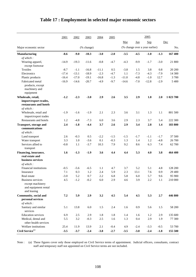|                                                                            | 2001    | 2002    | 2003       | 2004    | 2005   |         |                 | 2005                           |        |           |
|----------------------------------------------------------------------------|---------|---------|------------|---------|--------|---------|-----------------|--------------------------------|--------|-----------|
|                                                                            |         |         |            |         |        | Mar     | $_{\text{Jun}}$ | Sep                            |        | Dec       |
| Major economic sector                                                      |         |         | (% change) |         |        |         |                 | (% change over a year earlier) |        | No.       |
| <b>Manufacturing</b>                                                       | $-8.6$  | $-9.0$  | $-10.3$    | $-3.0$  | $-2.0$ | $-3.5$  | $-4.5$          | $-1.0$                         | $-1.3$ | 167 400   |
| of which:                                                                  |         |         |            |         |        |         |                 |                                |        |           |
| Wearing apparel,                                                           | $-14.9$ | $-19.3$ | $-11.6$    | $-0.8$  | $-4.7$ | $-4.3$  | $-9.9$          | $-1.7$                         | $-3.0$ | 21 800    |
| except footwear                                                            |         |         |            |         |        |         |                 |                                |        |           |
| Textiles                                                                   | $-8.7$  | $-1.1$  | $-16.8$    | $-11.1$ | 0.5    | $-3.8$  | 1.5             | 3.8                            | 0.8    | 20 200    |
| Electronics                                                                | $-17.4$ | $-13.1$ | $-18.9$    | $-2.3$  | $-4.7$ | 1.1     | $-7.3$          | $-4.3$                         | $-7.9$ | 14 300    |
| Plastic products                                                           | $-16.4$ | $-17.0$ | $-19.1$    | $-16.8$ | $-1.3$ | $-11.0$ | $-4.8$          | $-1.0$                         | 12.7   | 3700      |
| Fabricated metal                                                           | $-16.9$ | $-14.6$ | $-20.7$    | $-4.9$  | $-9.7$ | $-14.6$ | $-7.0$          | $-12.8$                        | $-2.9$ | 5 400     |
| products, except<br>machinery and<br>equipment                             |         |         |            |         |        |         |                 |                                |        |           |
| Wholesale, retail,                                                         | $-1.2$  | $-2.3$  | $-3.0$     | 2.9     | 2.6    | 3.5     | 2.9             | 1.8                            | 2.0    | 1 023 700 |
| import/export trades,<br>restaurants and hotels<br>of which:               |         |         |            |         |        |         |                 |                                |        |           |
| Wholesale, retail and                                                      | $-1.9$  | $-1.6$  | $-1.9$     | 2.1     | 2.3    | 3.6     | 3.1             | 1.3                            | 1.1    | 801 500   |
| import/export trades                                                       |         |         |            |         |        |         |                 |                                |        |           |
| Restaurants and hotels                                                     | 1.2     | $-4.8$  | $-7.3$     | 6.0     | 3.6    | 2.9     | 2.3             | 3.7                            | 5.4    | 222 300   |
| Transport, storage and                                                     | 2.4     | $-1.8$  | $-4.4$     | 3.7     | 2.6    | 2.9     | 3.4             | 2.8                            | 1.4    | 183 800   |
| communications<br>of which:                                                |         |         |            |         |        |         |                 |                                |        |           |
| Land transport                                                             | 2.6     | $-0.3$  | 0.5        | $-2.2$  | $-1.5$ | $-1.5$  | $-1.7$          | $-1.1$                         | $-1.7$ | 37 500    |
| Water transport                                                            | 3.3     | 1.0     | $-3.6$     | 0.1     | $-0.3$ | 1.3     | 1.4             | 1.2                            | $-4.8$ | 26 700    |
| Services allied to                                                         | $-0.8$  | 1.1     | $-3.7$     | 10.3    | 7.9    | 9.2     | 8.6             | 6.3                            | 7.4    | 62 700    |
| transport                                                                  |         |         |            |         |        |         |                 |                                |        |           |
| Financing, insurance,<br>real estate and<br>business services<br>of which: | 1.6     | $-1.3$  | $-1.9$     | 3.6     | 4.4    | 4.4     | 5.3             | 4.0                            | 3.8    | 464 400   |
| Financial institutions                                                     | $-0.5$  | $-5.6$  | $-6.5$     | 1.1     | 4.7    | 3.7     | 5.2             | 5.1                            | 4.8    | 128 200   |
| Insurance                                                                  | 7.1     | 0.3     | 1.2        | 2.4     | 5.9    | 2.3     | 13.1            | 7.6                            | 0.9    | 29 400    |
| Real estate                                                                | $-3.0$  | 5.2     | 0.7        | 2.2     | 6.8    | 5.8     | 6.0             | 5.7                            | 9.6    | 95 900    |
| Business services                                                          | 4.5     | $-1.2$  | $-0.2$     | $6.0\,$ | 2.9    | 4.6     | 3.9             | 2.2                            | 1.1    | 210 000   |
| except machinery<br>and equipment rental<br>and leasing                    |         |         |            |         |        |         |                 |                                |        |           |
| Community, social and                                                      | 7.2     | 5.9     | 2.9        | 3.2     | 4.5    | 5.4     | 4.5             | 5.3                            | 2.7    | 446 800   |
| personal services<br>of which:                                             |         |         |            |         |        |         |                 |                                |        |           |
| Sanitary and similar<br>services                                           | 5.1     | 13.8    | $6.0\,$    | $1.5$   | 2.4    | 1.6     | 0.9             | 5.6                            | 1.5    | 58 200    |
| <b>Education</b> services                                                  | 6.9     | 2.5     | 2.9        | 1.8     | 1.8    | 1.4     | 1.6             | 1.2                            | 2.9    | 135 600   |
| Medical, dental and<br>other health services                               | 5.5     | 3.2     | $-0.3$     | $2.5\,$ | 1.6    | 1.3     | 0.4             | 2.9                            | 1.9    | 77 300    |
| Welfare institutions                                                       | 25.4    | 11.9    | 13.9       | 2.1     | $-0.4$ | 4.9     | $-2.4$          | $-3.3$                         | $-0.5$ | 53 700    |
| Civil Service $\!{\rm (a)}$                                                | $-3.5$  | $-3.7$  | $-2.4$     | $-3.8$  | $-2.7$ | $-3.5$  | $-3.0$          | $-2.4$                         | $-1.8$ | 155 500   |

## **Table 17 : Employment in selected major economic sectors**

Note : (a) These figures cover only those employed on Civil Service terms of appointment. Judicial officers, consultants, contract staff and temporary staff not appointed on Civil Service terms are not included.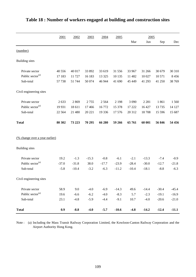|                                       | 2001     | 2002    | 2003    | 2004    | 2005    | 2005    |         |         |         |
|---------------------------------------|----------|---------|---------|---------|---------|---------|---------|---------|---------|
|                                       |          |         |         |         |         | Mar     | Jun     | Sep     | Dec     |
| (number)                              |          |         |         |         |         |         |         |         |         |
| <b>Building</b> sites                 |          |         |         |         |         |         |         |         |         |
| Private sector                        | 40 556   | 40 017  | 33 892  | 33 619  | 31 556  | 33 967  | 31 266  | 30 679  | 30 310  |
| Public sector <sup>(a)</sup>          | 17 183   | 11 727  | 16 183  | 13 3 25 | 10 135  | 11 482  | 10 027  | 10 571  | 8 4 5 6 |
| Sub-total                             | 57 738   | 51 744  | 50 074  | 46 944  | 41 690  | 45 449  | 41 293  | 41 250  | 38 769  |
| Civil engineering sites               |          |         |         |         |         |         |         |         |         |
| Private sector                        | 2 6 3 3  | 2869    | 2755    | 2 5 6 4 | 2 1 9 8 | 3 0 9 0 | 2 2 8 1 | 1861    | 1 560   |
| Public sector <sup>(a)</sup>          | 19 9 31  | 18 611  | 17 4 66 | 16772   | 15 378  | 17 222  | 16 427  | 13735   | 14 127  |
| Sub-total                             | 22 5 6 4 | 21 480  | 20 221  | 19 3 36 | 17 576  | 20 312  | 18708   | 15 5 96 | 15 687  |
| <b>Total</b>                          | 80 30 2  | 73 223  | 70 295  | 66 280  | 59 266  | 65761   | 60 001  | 56 846  | 54 456  |
| <u>(% change over a year earlier)</u> |          |         |         |         |         |         |         |         |         |
| <b>Building</b> sites                 |          |         |         |         |         |         |         |         |         |
| Private sector                        | 19.2     | $-1.3$  | $-15.3$ | $-0.8$  | $-6.1$  | $-2.1$  | $-13.3$ | $-7.4$  | $-0.9$  |
| Public sector <sup>(a)</sup>          | $-37.0$  | $-31.8$ | 38.0    | $-17.7$ | $-23.9$ | $-28.4$ | $-30.0$ | $-12.7$ | $-21.8$ |
| Sub-total                             | $-5.8$   | $-10.4$ | $-3.2$  | $-6.3$  | $-11.2$ | $-10.4$ | $-18.1$ | $-8.8$  | $-6.3$  |
| Civil engineering sites               |          |         |         |         |         |         |         |         |         |
| Private sector                        | 58.9     | 9.0     | $-4.0$  | $-6.9$  | $-14.3$ | 49.6    | $-14.4$ | $-30.4$ | $-45.4$ |
| Public sector <sup>(a)</sup>          | 19.6     | $-6.6$  | $-6.2$  | $-4.0$  | $-8.3$  | 5.7     | $-2.3$  | $-19.1$ | $-16.9$ |
| Sub-total                             | 23.1     | $-4.8$  | $-5.9$  | $-4.4$  | $-9.1$  | 10.7    | $-4.0$  | $-20.6$ | $-21.0$ |
| <b>Total</b>                          | 0.9      | $-8.8$  | $-4.0$  | $-5.7$  | $-10.6$ | $-4.8$  | $-14.2$ | $-12.4$ | $-11.1$ |

## **Table 18 : Number of workers engaged at building and construction sites**

Note : (a) Including the Mass Transit Railway Corporation Limited, the Kowloon-Canton Railway Corporation and the Airport Authority Hong Kong.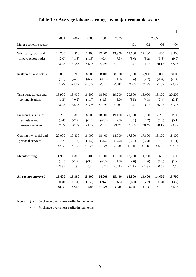|                        |        |          |           |            |           |           |          |                 | $(\$)$     |
|------------------------|--------|----------|-----------|------------|-----------|-----------|----------|-----------------|------------|
|                        | 2001   | 2002     | 2003      | 2004       | 2005      |           |          | 2005            |            |
| Major economic sector  |        |          |           |            |           | Q1        | Q2       | Q <sub>3</sub>  | Q4         |
| Wholesale, retail and  | 12,700 | 12,500   | 12,300    | 12,400     | 13,300    | 15,100    | 12,100   | 12,400          | 13,400     |
| import/export trades   | (2.0)  | $(-1.6)$ | $(-1.5)$  | (0.4)      | (7.3)     | (5.6)     | (5.2)    | (9.6)           | (9.0)      |
|                        | <3.7>  | <1.4>    | <1.1>     | <0.9       | < 6.1 >   | < 5.2 >   | <4.4>    | $<\!\!8.1\!\!>$ | <7.0>      |
| Restaurants and hotels | 9,000  | 8,700    | 8,100     | 8,100      | 8,300     | 9,100     | 7,900    | 8,000           | 8,000      |
|                        | (0.1)  | $(-4.2)$ | $(-6.2)$  | $(-0.1)$   | (1.9)     | (6.4)     | (2.7)    | $(-0.4)$        | $(-1.4)$   |
|                        | <1.7>  | <1.1>    | $< -3.7>$ | <0.4>      | <0.8>     | <6.0>     | <1.9>    | $< -1.8>$       | $< -3.2>$  |
| Transport, storage and | 18,900 | 18,900   | 18,500    | 18,300     | 19,200    | 20,500    | 18,000   | 18,100          | 20,200     |
| communications         | (1.3)  | $(-0.2)$ | $(-1.7)$  | $(-1.3)$   | (5.0)     | (5.5)     | (4.3)    | (7.4)           | (3.1)      |
|                        | <3.0>  | <2.9>    | <0.9>     | $< -0.9 >$ | <3.9>     | < 5.2 >   | <3.5>    | < 5.9           | <1.3>      |
| Financing, insurance,  | 19,200 | 18,800   | 18,600    | 18,500     | 19,100    | 21,000    | 18,100   | 17,200          | 19,900     |
| real estate and        | (0.4)  | $(-2.2)$ | $(-1.4)$  | $(-0.1)$   | (2.8)     | (3.1)     | (1.2)    | (1.5)           | (5.1)      |
| business services      | <2.0>  | <0.8>    | <1.2>     | <0.4>      | <1.7>     | <2.8>     | <0.4>    | <0.1>           | <3.2>      |
| Community, social and  | 20,000 | 19,800   | 18,900    | 18,400     | 18,000    | 17,800    | 17,800   | 18,100          | 18,100     |
| personal services      | (0.7)  | $(-1.3)$ | $(-4.7)$  | $(-2.6)$   | $(-2.2)$  | $(-2.7)$  | $(-0.3)$ | $(-4.5)$        | $(-1.1)$   |
|                        | <2.3>  | <1.9>    | $< -2.2>$ | $< -2.2>$  | $< -3.3>$ | $< -3.1>$ | <1.1>    | $< -5.8>$       | $< -2.9>$  |
| Manufacturing          | 11,900 | 11,800   | 11,400    | 11,300     | 11,600    | 12,700    | 11,200   | 10,600          | 11,600     |
|                        | (2.1)  | $(-1.2)$ | $(-3.0)$  | $(-0.6)$   | (1.8)     | (2.6)     | (2.6)    | (0.8)           | (1.2)      |
|                        | <3.8>  | <1.9>    | $<-0.4>$  | $<-0.2>$   | <0.8>     | <2.3>     | <1.8>    | $< -0.6 >$      | $< -0.6 >$ |
| All sectors surveyed   | 15,400 | 15,300   | 15,000    | 14,900     | 15,400    | 16,800    | 14,600   | 14,600          | 15,700     |
|                        | (1.8)  | $(-1.1)$ | $(-1.8)$  | $(-0.7)$   | (3.5)     | (4.4)     | (2.7)    | (3.2)           | (3.7)      |
|                        | <3.5>  | <2.0>    | <0.8>     | $<-0.2>$   | <2.4>     | <4.0>     | <1.8>    | <1.8>           | <1.9>      |

# **Table 19 : Average labour earnings by major economic sector**

Notes : ( ) % change over a year earlier in money terms.

< > % change over a year earlier in real terms.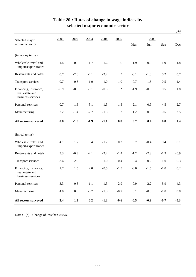|                                                               |        |         |        |        |        |        |             |        | $(\%)$ |
|---------------------------------------------------------------|--------|---------|--------|--------|--------|--------|-------------|--------|--------|
| Selected major<br>economic sector                             | 2001   | 2002    | 2003   | 2004   | 2005   | Mar    | 2005<br>Jun | Sep    | Dec    |
|                                                               |        |         |        |        |        |        |             |        |        |
| (in money terms)                                              |        |         |        |        |        |        |             |        |        |
| Wholesale, retail and<br>import/export trades                 | 1.4    | $-0.6$  | $-1.7$ | $-1.6$ | 1.6    | 1.9    | 0.9         | 1.9    | 1.8    |
| Restaurants and hotels                                        | 0.7    | $-2.6$  | $-4.1$ | $-2.2$ | $\ast$ | $-0.1$ | $-1.0$      | 0.2    | 0.7    |
| <b>Transport services</b>                                     | 0.7    | 0.6     | $-1.9$ | $-1.0$ | 1.0    | 0.7    | 1.5         | 0.5    | 1.4    |
| Financing, insurance,<br>real estate and<br>business services | $-0.9$ | $-0.8$  | $-0.1$ | $-0.5$ | $\ast$ | $-1.9$ | $-0.3$      | 0.5    | 1.8    |
| Personal services                                             | 0.7    | $-1.5$  | $-3.1$ | 1.3    | $-1.5$ | 2.1    | $-0.9$      | $-4.5$ | $-2.7$ |
| Manufacturing                                                 | 2.2    | $-1.4$  | $-2.7$ | $-1.3$ | 1.2    | 1.2    | 0.5         | 0.5    | 2.5    |
| All sectors surveyed                                          | 0.8    | $-1.0$  | $-1.9$ | $-1.1$ | 0.8    | 0.7    | 0.4         | 0.8    | 1.4    |
| (in real terms)                                               |        |         |        |        |        |        |             |        |        |
| Wholesale, retail and<br>import/export trades                 | 4.1    | 1.7     | 0.4    | $-1.7$ | 0.2    | 0.7    | $-0.4$      | 0.4    | 0.1    |
| Restaurants and hotels                                        | 3.3    | $-0.3$  | $-2.1$ | $-2.2$ | $-1.4$ | $-1.2$ | $-2.3$      | $-1.3$ | $-0.9$ |
| Transport services                                            | 3.4    | 2.9     | 0.1    | $-1.0$ | $-0.4$ | $-0.4$ | 0.2         | $-1.0$ | $-0.3$ |
| Financing, insurance,<br>real estate and<br>business services | 1.7    | 1.5     | 2.0    | $-0.5$ | $-1.3$ | $-3.0$ | $-1.5$      | $-1.0$ | 0.2    |
| Personal services                                             | 3.3    | 0.8     | $-1.1$ | 1.3    | $-2.9$ | 0.9    | $-2.2$      | $-5.9$ | $-4.3$ |
| Manufacturing                                                 | 4.8    | $0.8\,$ | $-0.7$ | $-1.3$ | $-0.2$ | 0.1    | $-0.8$      | $-1.0$ | 0.8    |
| All sectors surveyed                                          | 3.4    | 1.3     | 0.2    | $-1.2$ | $-0.6$ | $-0.5$ | $-0.9$      | $-0.7$ | $-0.3$ |

## **Table 20 : Rates of change in wage indices by selected major economic sector**

Note : (\*) Change of less than 0.05%.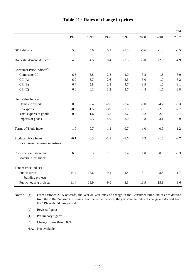|                                                          |        |        |        |        |         |         | $(\%)$  |
|----------------------------------------------------------|--------|--------|--------|--------|---------|---------|---------|
|                                                          | 1996   | 1997   | 1998   | 1999   | 2000    | 2001    | 2002    |
| GDP deflator                                             | 5.8    | 5.6    | 0.2    | $-5.8$ | $-5.6$  | $-1.8$  | $-3.5$  |
| Domestic demand deflator                                 | 4.9    | 4.5    | 0.4    | $-2.3$ | $-5.0$  | $-2.3$  | $-4.9$  |
| Consumer Price Indices $(a)$ :                           |        |        |        |        |         |         |         |
| Composite CPI                                            | 6.3    | 5.8    | 2.8    | $-4.0$ | $-3.8$  | $-1.6$  | $-3.0$  |
| CPI(A)                                                   | 6.0    | 5.7    | 2.6    | $-3.3$ | $-3.0$  | $-1.7$  | $-3.2$  |
| CPI(B)                                                   | 6.4    | 5.8    | 2.8    | $-4.7$ | $-3.9$  | $-1.6$  | $-3.1$  |
| CPI(C)                                                   | 6.6    | 6.1    | 3.2    | $-3.7$ | $-4.5$  | $-1.5$  | $-2.8$  |
| Unit Value Indices :                                     |        |        |        |        |         |         |         |
| Domestic exports                                         | 0.3    | $-2.4$ | $-2.8$ | $-2.4$ | $-1.0$  | $-4.7$  | $-3.3$  |
| Re-exports                                               | $-0.5$ | $-1.5$ | $-3.9$ | $-2.8$ | $-0.1$  | $-2.0$  | $-2.7$  |
| Total exports of goods                                   | $-0.3$ | $-1.6$ | $-3.8$ | $-2.7$ | $-0.2$  | $-2.3$  | $-2.7$  |
| Imports of goods                                         | $-1.3$ | $-2.3$ | $-4.9$ | $-2.0$ | 0.8     | $-3.1$  | $-3.9$  |
| Terms of Trade Index                                     | 1.0    | 0.7    | 1.2    | $-0.7$ | $-1.0$  | 0.9     | 1.2     |
| Producer Price Index<br>for all manufacturing industries | $-0.1$ | $-0.3$ | $-1.8$ | $-1.6$ | 0.2     | $-1.6$  | $-2.7$  |
|                                                          |        |        |        |        |         |         |         |
| Construction Labour and<br>Material Cost Index           | 6.8    | 9.3    | 7.5    | 1.4    | 1.8     | 0.3     | $-0.3$  |
| Tender Price Indices:                                    |        |        |        |        |         |         |         |
| Public sector<br>building projects                       | 14.4   | 17.6   | 9.1    | $-4.4$ | $-13.1$ | $-8.5$  | $-11.7$ |
| Public housing projects                                  | 11.4   | 18.9   | 9.0    | $-3.3$ | $-11.9$ | $-15.1$ | $-9.6$  |

### **Table 21 : Rates of change in prices**

Notes:  $(a)$ From October 2005 onwards, the year-on-year rates of change in the Consumer Price Indices are derived from the 2004/05-based CPI series. For the earlier periods, the year-on-year rates of change are derived from the CPIs with old base period.

(#) Revised figures.

(+) Preliminary figures.

(\*) Change of less than 0.05%.

N.A. Not available.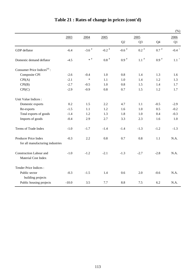|                                                |         |                     |                    |                     |                |                | $(\% )$             |
|------------------------------------------------|---------|---------------------|--------------------|---------------------|----------------|----------------|---------------------|
|                                                | 2003    | 2004                | 2005               |                     | 2005           |                | 2006                |
|                                                |         |                     |                    | Q2                  | Q <sub>3</sub> | Q <sub>4</sub> | Q1                  |
| GDP deflator                                   | $-6.4$  | $-3.6$ <sup>#</sup> | -0.2 $^\#$         | $-0.6$ <sup>#</sup> | $0.2$ #        | $0.7$ $^{\#}$  | $-0.4$ <sup>+</sup> |
| Domestic demand deflator                       | $-4.5$  | $\ast$ #            | $0.8$ <sup>#</sup> | $0.9$ $^{\#}$       | $1.1$ $^{\#}$  | $0.9*$         | $1.1$ $^{\circ}$    |
| Consumer Price Indices <sup>(a)</sup> :        |         |                     |                    |                     |                |                |                     |
| Composite CPI                                  | $-2.6$  | $-0.4$              | 1.0                | 0.8                 | 1.4            | 1.3            | 1.6                 |
| CPI(A)                                         | $-2.1$  | $\ast$              | 1.1                | 1.0                 | 1.4            | 1.2            | 1.3                 |
| CPI(B)                                         | $-2.7$  | $-0.5$              | 1.0                | 0.8                 | 1.5            | 1.4            | 1.7                 |
| CPI(C)                                         | $-2.9$  | $-0.9$              | 0.8                | 0.7                 | 1.5            | 1.2            | 1.7                 |
| Unit Value Indices :                           |         |                     |                    |                     |                |                |                     |
| Domestic exports                               | 0.2     | 1.5                 | 2.2                | 4.7                 | 1.1            | $-0.5$         | $-2.9$              |
| Re-exports                                     | $-1.5$  | 1.1                 | 1.2                | 1.6                 | 1.0            | 0.5            | $-0.2$              |
| Total exports of goods                         | $-1.4$  | 1.2                 | 1.3                | 1.8                 | 1.0            | 0.4            | $-0.3$              |
| Imports of goods                               | $-0.4$  | 2.9                 | 2.7                | 3.3                 | 2.3            | 1.6            | $1.0\,$             |
| Terms of Trade Index                           | $-1.0$  | $-1.7$              | $-1.4$             | $-1.4$              | $-1.3$         | $-1.2$         | $-1.3$              |
| Producer Price Index                           | $-0.3$  | 2.2                 | 0.8                | 0.7                 | 0.8            | 1.1            | N.A.                |
| for all manufacturing industries               |         |                     |                    |                     |                |                |                     |
| Construction Labour and<br>Material Cost Index | $-1.0$  | $-1.2$              | $-2.1$             | $-1.3$              | $-2.7$         | $-2.8$         | N.A.                |
| Tender Price Indices:                          |         |                     |                    |                     |                |                |                     |
| Public sector<br>building projects             | $-0.3$  | $-1.5$              | 1.4                | 0.6                 | 2.0            | $-0.6$         | N.A.                |
| Public housing projects                        | $-10.0$ | 3.5                 | 7.7                | 8.8                 | 7.5            | 6.2            | N.A.                |

# **Table 21 : Rates of change in prices (cont'd)**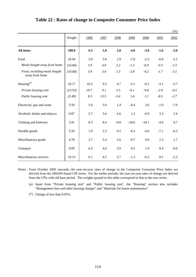|                                                |         |      |      |        |         |         |        | $(\% )$ |
|------------------------------------------------|---------|------|------|--------|---------|---------|--------|---------|
|                                                | Weight  | 1996 | 1997 | 1998   | 1999    | 2000    | 2001   | 2002    |
| All items                                      | 100.0   | 6.3  | 5.8  | 2.8    | $-4.0$  | $-3.8$  | $-1.6$ | $-3.0$  |
| Food                                           | 26.94   | 3.9  | 3.6  | 1.9    | $-1.8$  | $-2.2$  | $-0.8$ | $-2.1$  |
| Meals bought away from home                    | (16.86) | 3.9  | 4.0  | 2.2    | $-1.2$  | $-0.9$  | $-0.3$ | $-1.5$  |
| Food, excluding meals bought<br>away from home | (10.08) | 3.9  | 3.0  | 1.5    | $-2.8$  | $-4.2$  | $-1.7$ | $-3.1$  |
| Housing <sup>(a)</sup>                         | 29.17   | 10.2 | 9.2  | 4.7    | $-5.1$  | $-8.2$  | $-3.1$ | $-5.7$  |
| Private housing rent                           | (23.93) | 10.7 | 9.1  | 5.5    | $-6.1$  | $-9.8$  | $-2.9$ | $-6.5$  |
| Public housing rent                            | (2.49)  | 8.3  | 13.5 | $-3.4$ | 1.4     | 1.1     | $-8.3$ | $-2.7$  |
| Electricity, gas and water                     | 3.59    | 5.0  | 5.0  | 1.4    | $-0.4$  | 3.6     | $-1.9$ | $-7.0$  |
| Alcoholic drinks and tobacco                   | 0.87    | 5.7  | 5.6  | 6.6    | 1.2     | $-0.9$  | 3.3    | 2.4     |
| Clothing and footwear                          | 3.91    | 8.3  | 8.4  | $-0.8$ | $-20.6$ | $-10.1$ | $-4.6$ | 0.7     |
| Durable goods                                  | 5.50    | 1.9  | 2.2  | 0.2    | $-6.3$  | $-4.6$  | $-7.1$ | $-6.3$  |
| Miscellaneous goods                            | 4.78    | 2.7  | 5.4  | 2.6    | $-0.7$  | 0.9     | 1.3    | 1.7     |
| Transport                                      | 9.09    | 6.2  | 4.0  | 3.9    | 0.5     | 1.0     | 0.4    | $-0.6$  |
| Miscellaneous services                         | 16.15   | 6.1  | 4.5  | 2.7    | $-1.3$  | $-0.2$  | 0.5    | $-2.3$  |

#### **Table 22 : Rates of change in Composite Consumer Price Index**

Notes : From October 2005 onwards, the year-on-year rates of change in the Composite Consumer Price Index are derived from the 2004/05-based CPI series. For the earlier periods, the year-on-year rates of change are derived from the CPIs with old base period. The weights quoted in this table correspond to that in the new series.

(a) Apart from "Private housing rent" and "Public housing rent", the "Housing" section also includes "Management fees and other housing charges" and "Materials for house maintenance".

(\*) Change of less than 0.05%.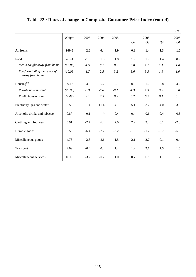|                                                |         |        |        |        |        |                |                | $(\%)$         |
|------------------------------------------------|---------|--------|--------|--------|--------|----------------|----------------|----------------|
|                                                | Weight  | 2003   | 2004   | 2005   |        | 2005           |                | 2006           |
|                                                |         |        |        |        | Q2     | Q <sub>3</sub> | Q <sub>4</sub> | Q <sub>1</sub> |
| <b>All items</b>                               | 100.0   | $-2.6$ | $-0.4$ | 1.0    | 0.8    | 1.4            | 1.3            | 1.6            |
| Food                                           | 26.94   | $-1.5$ | 1.0    | 1.8    | 1.9    | 1.9            | 1.4            | 0.9            |
| Meals bought away from home                    | (16.86) | $-1.5$ | 0.2    | 0.9    | 0.8    | 1.1            | 1.1            | 1.0            |
| Food, excluding meals bought<br>away from home | (10.08) | $-1.7$ | 2.5    | 3.2    | 3.6    | 3.3            | 1.9            | 1.0            |
| Housing <sup>(a)</sup>                         | 29.17   | $-4.8$ | $-5.2$ | 0.1    | $-0.9$ | 1.0            | 2.8            | 4.2            |
| Private housing rent                           | (23.93) | $-6.3$ | $-6.6$ | $-0.1$ | $-1.3$ | 1.3            | 3.3            | 5.0            |
| Public housing rent                            | (2.49)  | 9.1    | 2.5    | 0.2    | 0.2    | 0.2            | 0.1            | 0.1            |
| Electricity, gas and water                     | 3.59    | 1.4    | 11.4   | 4.1    | 5.1    | 3.2            | 4.0            | 3.9            |
| Alcoholic drinks and tobacco                   | 0.87    | 0.1    | $\ast$ | 0.4    | 0.4    | 0.6            | 0.4            | $-0.6$         |
| Clothing and footwear                          | 3.91    | $-2.7$ | 6.4    | 2.0    | 2.2    | 2.2            | 0.1            | $-2.0$         |
| Durable goods                                  | 5.50    | $-6.4$ | $-2.2$ | $-3.2$ | $-1.9$ | $-1.7$         | $-6.7$         | $-5.8$         |
| Miscellaneous goods                            | 4.78    | 2.3    | 3.6    | 1.5    | 2.1    | 2.7            | $-0.1$         | 0.4            |
| Transport                                      | 9.09    | $-0.4$ | 0.4    | 1.4    | 1.2    | 2.1            | 1.5            | 1.6            |
| Miscellaneous services                         | 16.15   | $-3.2$ | $-0.2$ | 1.0    | 0.7    | 0.8            | 1.1            | 1.2            |

# **Table 22 : Rates of change in Composite Consumer Price Index (cont'd)**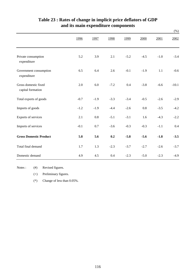|                                           |        |        |        |        |        |        | $(\%)$  |
|-------------------------------------------|--------|--------|--------|--------|--------|--------|---------|
|                                           | 1996   | 1997   | 1998   | 1999   | 2000   | 2001   | 2002    |
| Private consumption<br>expenditure        | 5.2    | 3.9    | 2.1    | $-5.2$ | $-4.5$ | $-1.0$ | $-3.4$  |
| Government consumption<br>expenditure     | 6.5    | 6.4    | 2.6    | $-0.1$ | $-1.9$ | 1.1    | $-0.6$  |
| Gross domestic fixed<br>capital formation | 2.0    | 6.0    | $-7.2$ | 0.4    | $-3.8$ | $-6.6$ | $-10.1$ |
| Total exports of goods                    | $-0.7$ | $-1.9$ | $-3.3$ | $-3.4$ | $-0.5$ | $-2.6$ | $-2.9$  |
| Imports of goods                          | $-1.2$ | $-1.9$ | $-4.4$ | $-2.6$ | 0.8    | $-3.5$ | $-4.2$  |
| Exports of services                       | 2.1    | 0.8    | $-5.1$ | $-3.1$ | 1.6    | $-4.3$ | $-2.2$  |
| Imports of services                       | $-0.1$ | 0.7    | $-3.6$ | $-0.3$ | $-0.3$ | $-1.1$ | 0.4     |
| <b>Gross Domestic Product</b>             | 5.8    | 5.6    | 0.2    | $-5.8$ | $-5.6$ | $-1.8$ | $-3.5$  |
| Total final demand                        | 1.7    | 1.3    | $-2.3$ | $-3.7$ | $-2.7$ | $-2.6$ | $-3.7$  |
| Domestic demand                           | 4.9    | 4.5    | 0.4    | $-2.3$ | $-5.0$ | $-2.3$ | $-4.9$  |

## **and its main expenditure components Table 23 : Rates of change in implicit price deflators of GDP**

Notes :  $(#)$ Revised figures.

(+) Preliminary figures.

(\*) Change of less than 0.05%.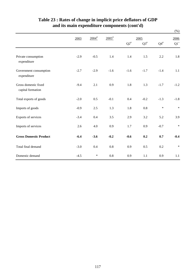|                                           |        |                     |                     |           |           |           | $(\%)$          |
|-------------------------------------------|--------|---------------------|---------------------|-----------|-----------|-----------|-----------------|
|                                           | 2003   | $2004$ <sup>#</sup> | $2005$ <sup>#</sup> |           | 2005      |           |                 |
|                                           |        |                     |                     | $Q2^{\#}$ | $Q3^{\#}$ | $Q4^{\#}$ | $\mathrm{Q1}^+$ |
| Private consumption<br>expenditure        | $-2.9$ | $-0.5$              | 1.4                 | 1.4       | 1.5       | 2.2       | $1.8\,$         |
| Government consumption<br>expenditure     | $-2.7$ | $-2.9$              | $-1.6$              | $-1.6$    | $-1.7$    | $-1.4$    | 1.1             |
| Gross domestic fixed<br>capital formation | $-9.4$ | 2.1                 | 0.9                 | 1.8       | 1.3       | $-1.7$    | $-1.2$          |
| Total exports of goods                    | $-2.0$ | 0.5                 | $-0.1$              | 0.4       | $-0.2$    | $-1.3$    | $-1.8$          |
| Imports of goods                          | $-0.9$ | 2.5                 | 1.3                 | 1.8       | 0.8       | $\ast$    | $\ast$          |
| Exports of services                       | $-3.4$ | 0.4                 | 3.5                 | 2.9       | 3.2       | 5.2       | 3.9             |
| Imports of services                       | 2.6    | 4.0                 | 0.9                 | 1.7       | 0.9       | $-0.7$    | $\ast$          |
| <b>Gross Domestic Product</b>             | $-6.4$ | $-3.6$              | $-0.2$              | $-0.6$    | 0.2       | 0.7       | $-0.4$          |
| Total final demand                        | $-3.0$ | 0.4                 | 0.8                 | 0.9       | 0.5       | 0.2       | $\ast$          |
| Domestic demand                           | $-4.5$ | $\ast$              | 0.8                 | 0.9       | 1.1       | 0.9       | 1.1             |

## **Table 23 : Rates of change in implicit price deflators of GDP and its main expenditure components (cont'd)**